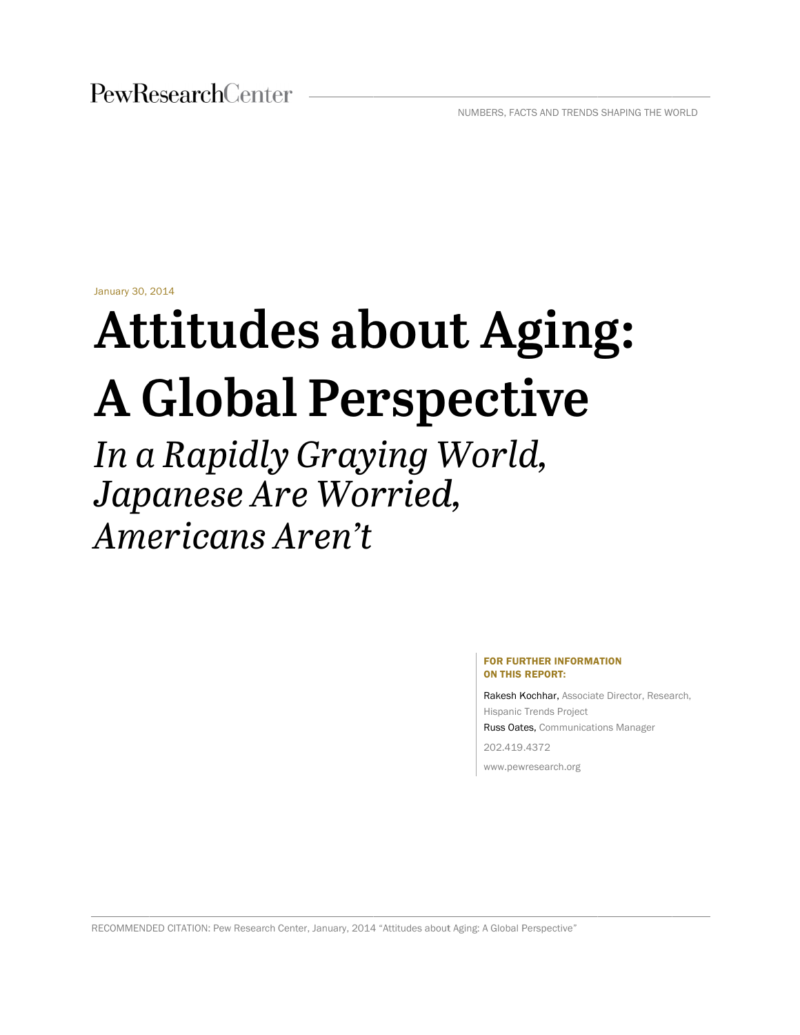January 30, 2014

# Attitudes about Aging: **A G Glo bal Per rsp ecti ive**

*In a Rapidly Graying World, Japanese Are Worried, Ame erica ans A ren't*

#### FOR FURTHER INFORMATION ON THIS REPORT:

Rakesh Kochhar, Associate Director, Research, Hispanic Trends Project Russ Oates, Communications Manager 202.419 .4372 www.pewresearch.org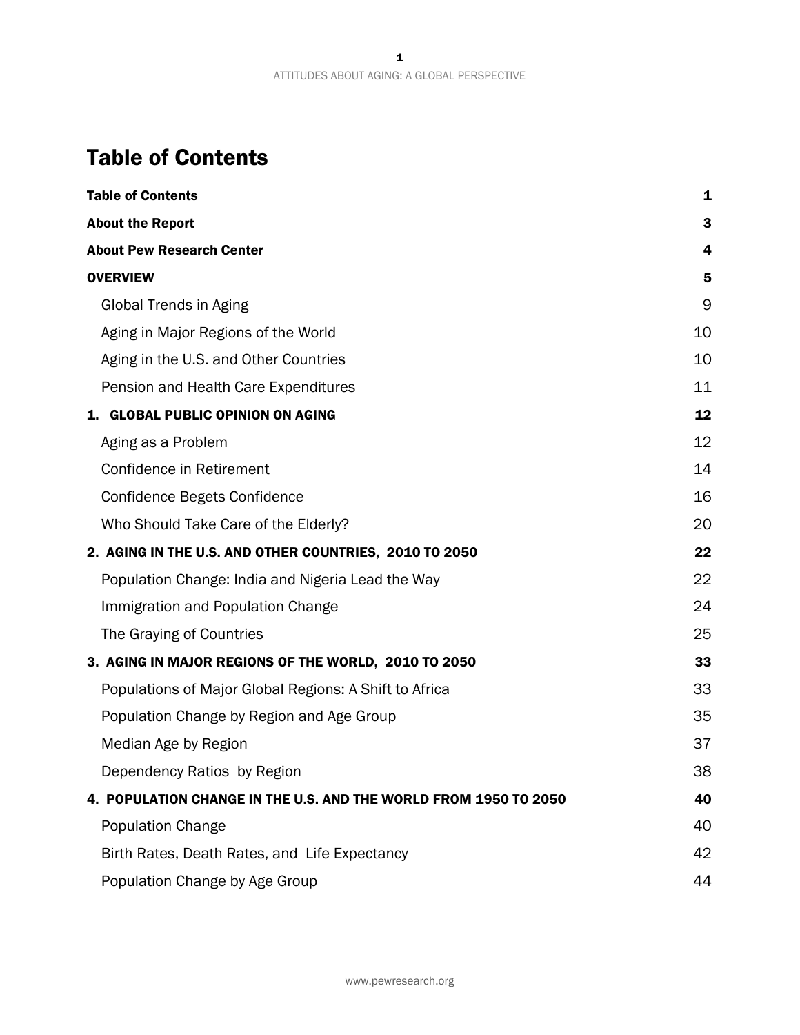# Table of Contents

| <b>Table of Contents</b>                                         | 1  |
|------------------------------------------------------------------|----|
| <b>About the Report</b>                                          | 3  |
| <b>About Pew Research Center</b>                                 | 4  |
| <b>OVERVIEW</b>                                                  | 5  |
| Global Trends in Aging                                           | 9  |
| Aging in Major Regions of the World                              | 10 |
| Aging in the U.S. and Other Countries                            | 10 |
| Pension and Health Care Expenditures                             | 11 |
| 1. GLOBAL PUBLIC OPINION ON AGING                                | 12 |
| Aging as a Problem                                               | 12 |
| Confidence in Retirement                                         | 14 |
| Confidence Begets Confidence                                     | 16 |
| Who Should Take Care of the Elderly?                             | 20 |
| 2. AGING IN THE U.S. AND OTHER COUNTRIES, 2010 TO 2050           | 22 |
| Population Change: India and Nigeria Lead the Way                | 22 |
| Immigration and Population Change                                | 24 |
| The Graying of Countries                                         | 25 |
| 3. AGING IN MAJOR REGIONS OF THE WORLD, 2010 TO 2050             | 33 |
| Populations of Major Global Regions: A Shift to Africa           | 33 |
| Population Change by Region and Age Group                        | 35 |
| Median Age by Region                                             | 37 |
| Dependency Ratios by Region                                      | 38 |
| 4. POPULATION CHANGE IN THE U.S. AND THE WORLD FROM 1950 TO 2050 | 40 |
| <b>Population Change</b>                                         | 40 |
| Birth Rates, Death Rates, and Life Expectancy                    | 42 |
| Population Change by Age Group                                   | 44 |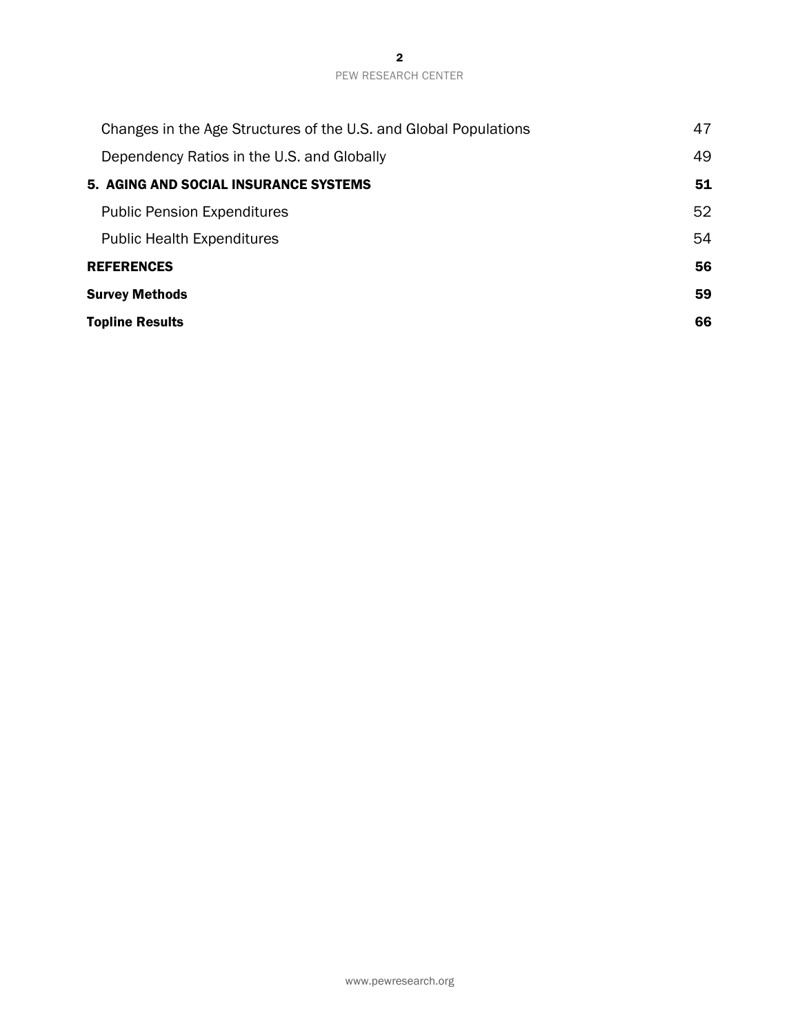| Changes in the Age Structures of the U.S. and Global Populations | 47 |
|------------------------------------------------------------------|----|
| Dependency Ratios in the U.S. and Globally                       | 49 |
| 5. AGING AND SOCIAL INSURANCE SYSTEMS                            | 51 |
| <b>Public Pension Expenditures</b>                               | 52 |
| <b>Public Health Expenditures</b>                                | 54 |
| <b>REFERENCES</b>                                                | 56 |
| <b>Survey Methods</b>                                            | 59 |
| <b>Topline Results</b>                                           | 66 |
|                                                                  |    |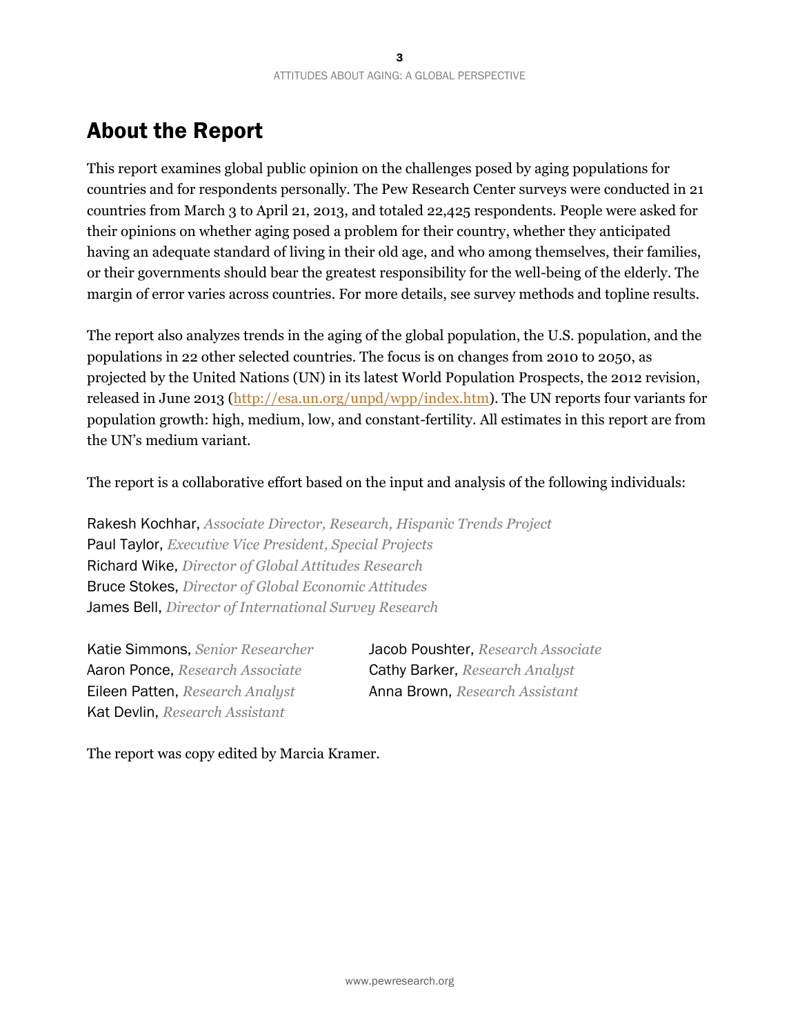# About the Report

This report examines global public opinion on the challenges posed by aging populations for countries and for respondents personally. The Pew Research Center surveys were conducted in 21 countries from March 3 to April 21, 2013, and totaled 22,425 respondents. People were asked for their opinions on whether aging posed a problem for their country, whether they anticipated having an adequate standard of living in their old age, and who among themselves, their families, or their governments should bear the greatest responsibility for the well-being of the elderly. The margin of error varies across countries. For more details, see survey methods and topline results.

The report also analyzes trends in the aging of the global population, the U.S. population, and the populations in 22 other selected countries. The focus is on changes from 2010 to 2050, as projected by the United Nations (UN) in its latest World Population Prospects, the 2012 revision, released in June 2013 (http://esa.un.org/unpd/wpp/index.htm). The UN reports four variants for population growth: high, medium, low, and constant-fertility. All estimates in this report are from the UN's medium variant.

The report is a collaborative effort based on the input and analysis of the following individuals:

Rakesh Kochhar, *Associate Director, Research, Hispanic Trends Project*  Paul Taylor, *Executive Vice President, Special Projects*  Richard Wike, *Director of Global Attitudes Research*  Bruce Stokes, *Director of Global Economic Attitudes*  James Bell, *Director of International Survey Research* 

Katie Simmons, *Senior Researcher* Jacob Poushter, *Research Associate*  Aaron Ponce, *Research Associate* Cathy Barker, *Research Analyst*  Eileen Patten, *Research Analyst* Anna Brown, *Research Assistant*  Kat Devlin, *Research Assistant* 

The report was copy edited by Marcia Kramer.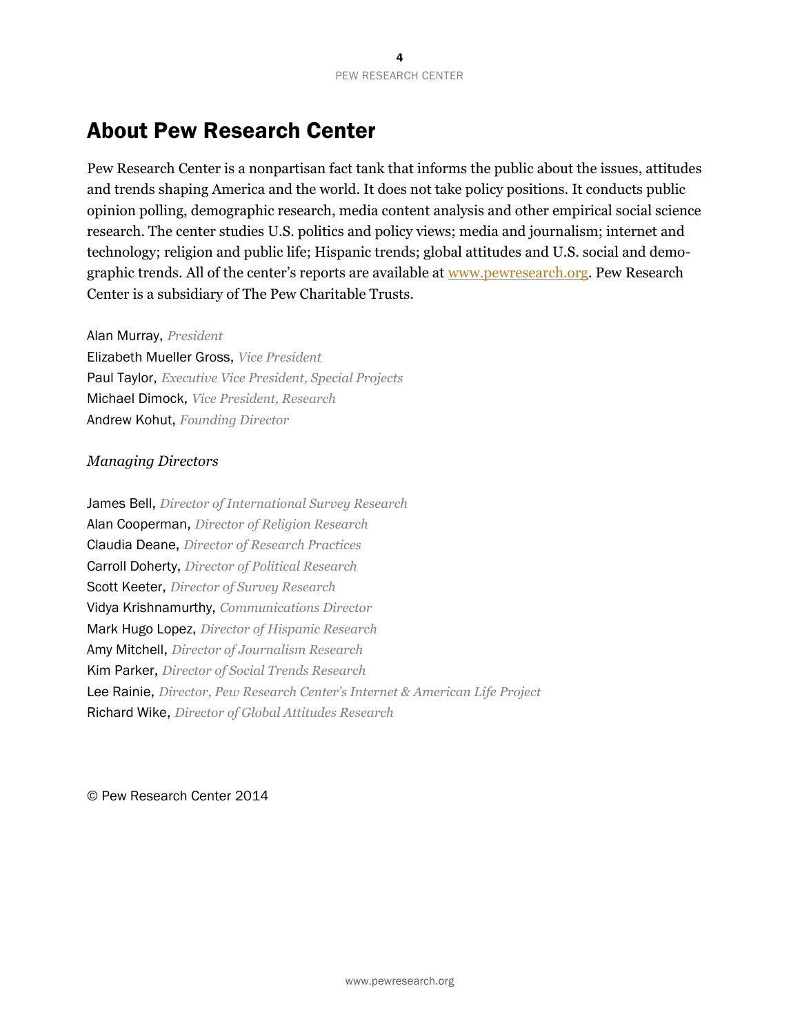# About Pew Research Center

Pew Research Center is a nonpartisan fact tank that informs the public about the issues, attitudes and trends shaping America and the world. It does not take policy positions. It conducts public opinion polling, demographic research, media content analysis and other empirical social science research. The center studies U.S. politics and policy views; media and journalism; internet and technology; religion and public life; Hispanic trends; global attitudes and U.S. social and demographic trends. All of the center's reports are available at www.pewresearch.org. Pew Research Center is a subsidiary of The Pew Charitable Trusts.

Alan Murray, *President*

Elizabeth Mueller Gross, *Vice President*  Paul Taylor, *Executive Vice President, Special Projects*  Michael Dimock, *Vice President, Research* Andrew Kohut, *Founding Director* 

#### *Managing Directors*

James Bell, *Director of International Survey Research*  Alan Cooperman, *Director of Religion Research* Claudia Deane, *Director of Research Practices* Carroll Doherty, *Director of Political Research* Scott Keeter, *Director of Survey Research* Vidya Krishnamurthy, *Communications Director*  Mark Hugo Lopez, *Director of Hispanic Research*  Amy Mitchell, *Director of Journalism Research*  Kim Parker, *Director of Social Trends Research*  Lee Rainie, *Director, Pew Research Center's Internet & American Life Project* Richard Wike, *Director of Global Attitudes Research*

© Pew Research Center 2014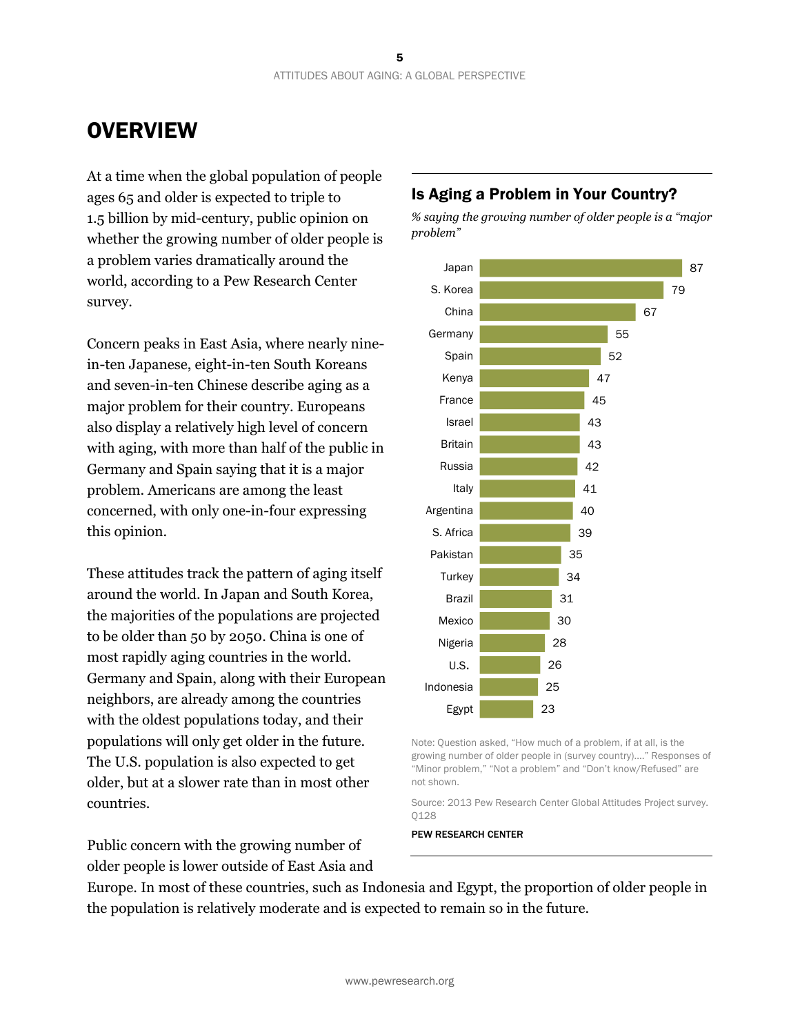# **OVERVIEW**

At a time when the global population of people ages 65 and older is expected to triple to 1.5 billion by mid-century, public opinion on whether the growing number of older people is a problem varies dramatically around the world, according to a Pew Research Center survey.

Concern peaks in East Asia, where nearly ninein-ten Japanese, eight-in-ten South Koreans and seven-in-ten Chinese describe aging as a major problem for their country. Europeans also display a relatively high level of concern with aging, with more than half of the public in Germany and Spain saying that it is a major problem. Americans are among the least concerned, with only one-in-four expressing this opinion.

These attitudes track the pattern of aging itself around the world. In Japan and South Korea, the majorities of the populations are projected to be older than 50 by 2050. China is one of most rapidly aging countries in the world. Germany and Spain, along with their European neighbors, are already among the countries with the oldest populations today, and their populations will only get older in the future. The U.S. population is also expected to get older, but at a slower rate than in most other countries.

Public concern with the growing number of older people is lower outside of East Asia and

### Is Aging a Problem in Your Country?

*% saying the growing number of older people is a "major problem"*



Note: Question asked, "How much of a problem, if at all, is the growing number of older people in (survey country)…." Responses of "Minor problem," "Not a problem" and "Don't know/Refused" are not shown.

Source: 2013 Pew Research Center Global Attitudes Project survey. Q128

PEW RESEARCH CENTER

Europe. In most of these countries, such as Indonesia and Egypt, the proportion of older people in the population is relatively moderate and is expected to remain so in the future.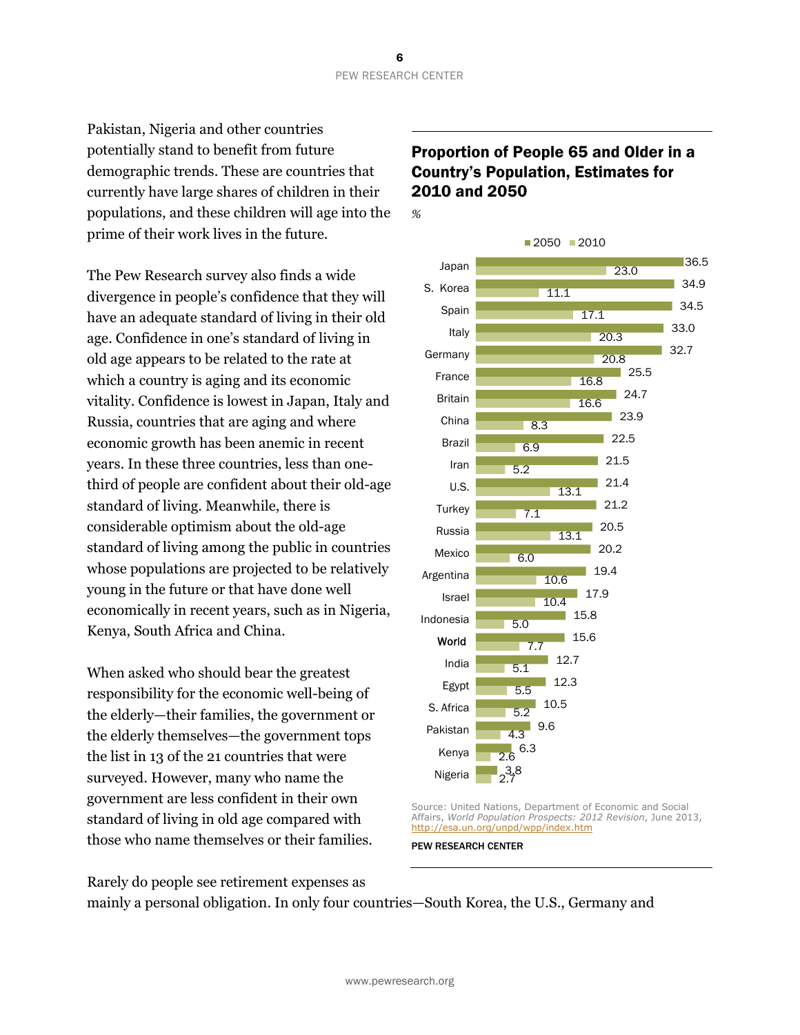Pakistan, Nigeria and other countries potentially stand to benefit from future demographic trends. These are countries that currently have large shares of children in their populations, and these children will age into the prime of their work lives in the future.

The Pew Research survey also finds a wide divergence in people's confidence that they will have an adequate standard of living in their old age. Confidence in one's standard of living in old age appears to be related to the rate at which a country is aging and its economic vitality. Confidence is lowest in Japan, Italy and Russia, countries that are aging and where economic growth has been anemic in recent years. In these three countries, less than onethird of people are confident about their old-age standard of living. Meanwhile, there is considerable optimism about the old-age standard of living among the public in countries whose populations are projected to be relatively young in the future or that have done well economically in recent years, such as in Nigeria, Kenya, South Africa and China.

When asked who should bear the greatest responsibility for the economic well-being of the elderly—their families, the government or the elderly themselves—the government tops the list in 13 of the 21 countries that were surveyed. However, many who name the government are less confident in their own standard of living in old age compared with those who name themselves or their families.

### Proportion of People 65 and Older in a Country's Population, Estimates for 2010 and 2050



Source: United Nations, Department of Economic and Social Affairs, *World Population Prospects: 2012 Revision*, June 2013, http://esa.un.org/unpd/wpp/index.htm

PEW RESEARCH CENTER

Rarely do people see retirement expenses as

mainly a personal obligation. In only four countries—South Korea, the U.S., Germany and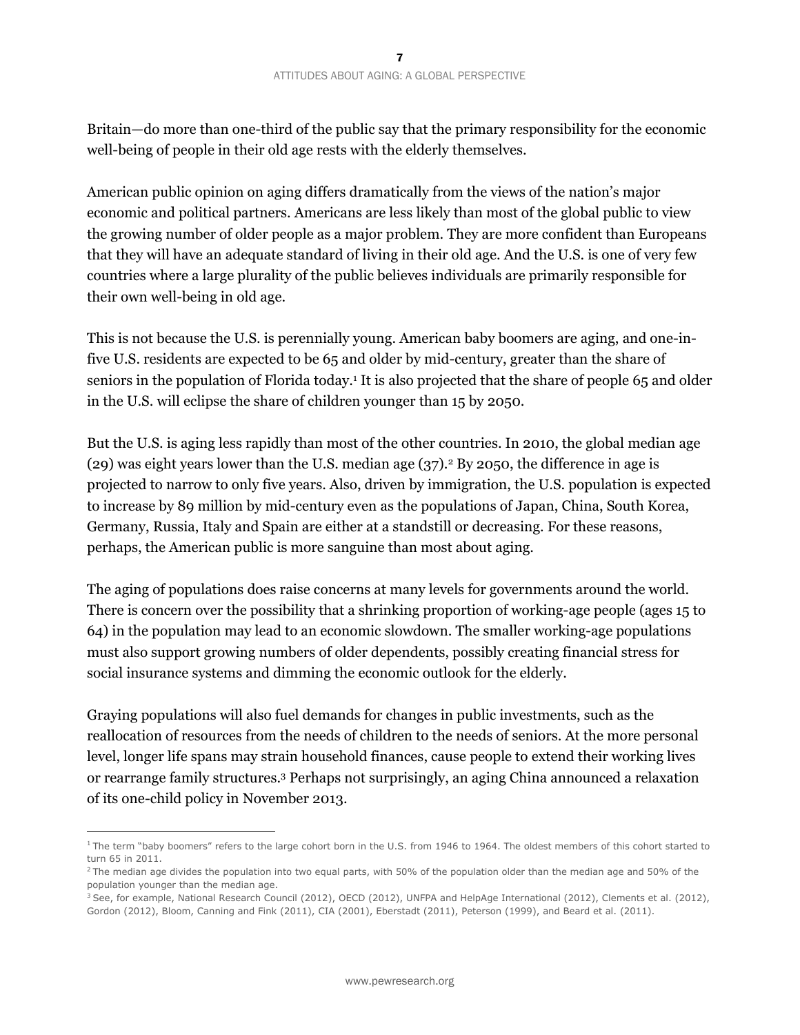Britain—do more than one-third of the public say that the primary responsibility for the economic well-being of people in their old age rests with the elderly themselves.

American public opinion on aging differs dramatically from the views of the nation's major economic and political partners. Americans are less likely than most of the global public to view the growing number of older people as a major problem. They are more confident than Europeans that they will have an adequate standard of living in their old age. And the U.S. is one of very few countries where a large plurality of the public believes individuals are primarily responsible for their own well-being in old age.

This is not because the U.S. is perennially young. American baby boomers are aging, and one-infive U.S. residents are expected to be 65 and older by mid-century, greater than the share of seniors in the population of Florida today.<sup>1</sup> It is also projected that the share of people 65 and older in the U.S. will eclipse the share of children younger than 15 by 2050.

But the U.S. is aging less rapidly than most of the other countries. In 2010, the global median age (29) was eight years lower than the U.S. median age  $(37)$ .<sup>2</sup> By 2050, the difference in age is projected to narrow to only five years. Also, driven by immigration, the U.S. population is expected to increase by 89 million by mid-century even as the populations of Japan, China, South Korea, Germany, Russia, Italy and Spain are either at a standstill or decreasing. For these reasons, perhaps, the American public is more sanguine than most about aging.

The aging of populations does raise concerns at many levels for governments around the world. There is concern over the possibility that a shrinking proportion of working-age people (ages 15 to 64) in the population may lead to an economic slowdown. The smaller working-age populations must also support growing numbers of older dependents, possibly creating financial stress for social insurance systems and dimming the economic outlook for the elderly.

Graying populations will also fuel demands for changes in public investments, such as the reallocation of resources from the needs of children to the needs of seniors. At the more personal level, longer life spans may strain household finances, cause people to extend their working lives or rearrange family structures.3 Perhaps not surprisingly, an aging China announced a relaxation of its one-child policy in November 2013.

<sup>&</sup>lt;sup>1</sup> The term "baby boomers" refers to the large cohort born in the U.S. from 1946 to 1964. The oldest members of this cohort started to turn 65 in 2011.

 $2$  The median age divides the population into two equal parts, with 50% of the population older than the median age and 50% of the population younger than the median age.

<sup>&</sup>lt;sup>3</sup> See, for example, National Research Council (2012), OECD (2012), UNFPA and HelpAge International (2012), Clements et al. (2012), Gordon (2012), Bloom, Canning and Fink (2011), CIA (2001), Eberstadt (2011), Peterson (1999), and Beard et al. (2011).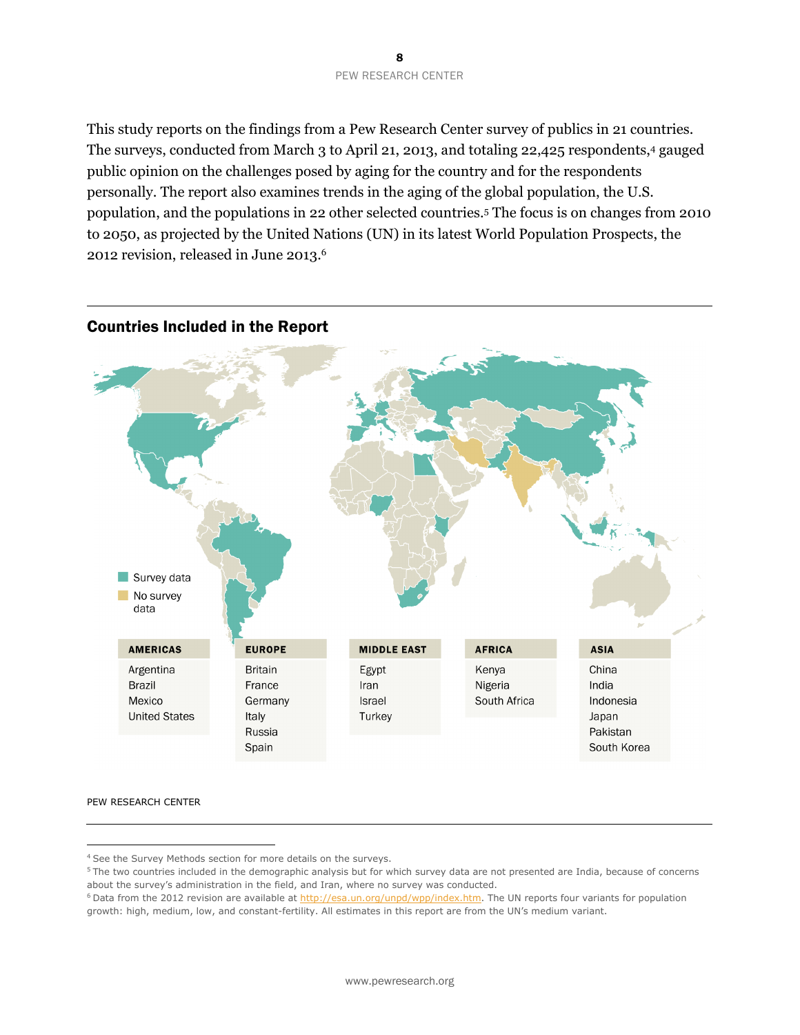#### 8 PEW RESEARCH CENTER

This study reports on the findings from a Pew Research Center survey of publics in 21 countries. The surveys, conducted from March 3 to April 21, 2013, and totaling 22,425 respondents,4 gauged public opinion on the challenges posed by aging for the country and for the respondents personally. The report also examines trends in the aging of the global population, the U.S. population, and the populations in 22 other selected countries.5 The focus is on changes from 2010 to 2050, as projected by the United Nations (UN) in its latest World Population Prospects, the 2012 revision, released in June 2013.6



#### Countries Included in the Report

PEW RESEARCH CENTER

<sup>4</sup> See the Survey Methods section for more details on the surveys.

<sup>&</sup>lt;sup>5</sup> The two countries included in the demographic analysis but for which survey data are not presented are India, because of concerns about the survey's administration in the field, and Iran, where no survey was conducted.

<sup>&</sup>lt;sup>6</sup> Data from the 2012 revision are available at http://esa.un.org/unpd/wpp/index.htm. The UN reports four variants for population growth: high, medium, low, and constant-fertility. All estimates in this report are from the UN's medium variant.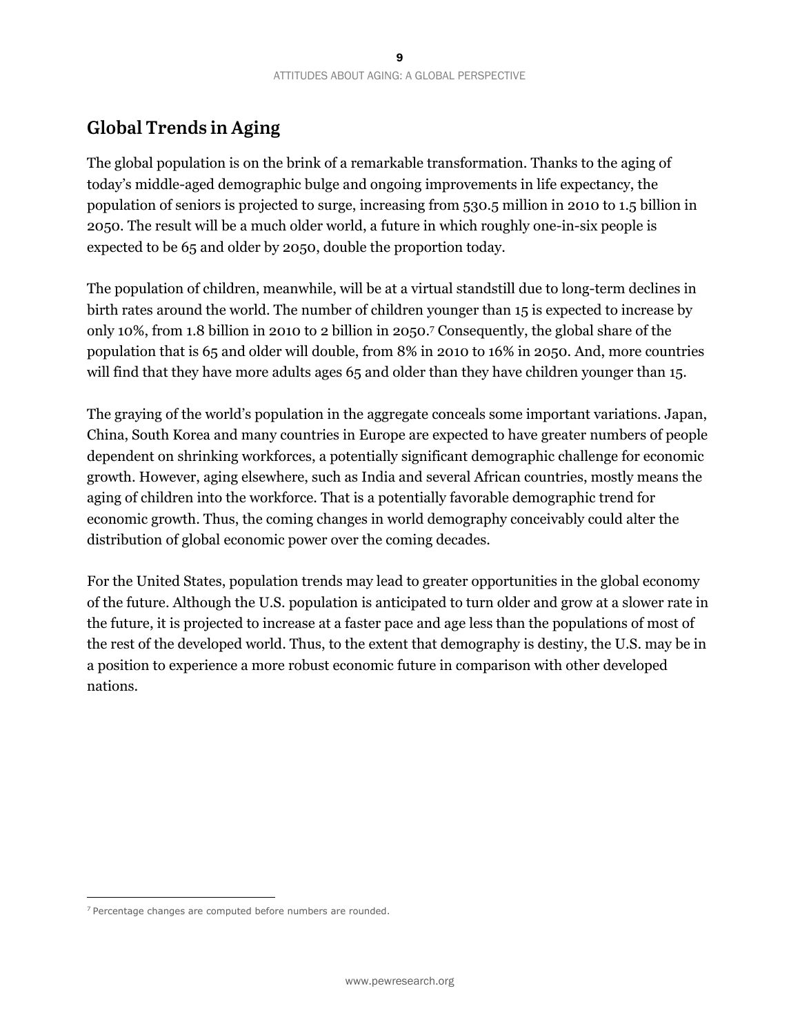# **Global Trends in Aging**

The global population is on the brink of a remarkable transformation. Thanks to the aging of today's middle-aged demographic bulge and ongoing improvements in life expectancy, the population of seniors is projected to surge, increasing from 530.5 million in 2010 to 1.5 billion in 2050. The result will be a much older world, a future in which roughly one-in-six people is expected to be 65 and older by 2050, double the proportion today.

The population of children, meanwhile, will be at a virtual standstill due to long-term declines in birth rates around the world. The number of children younger than 15 is expected to increase by only 10%, from 1.8 billion in 2010 to 2 billion in 2050.7 Consequently, the global share of the population that is 65 and older will double, from 8% in 2010 to 16% in 2050. And, more countries will find that they have more adults ages 65 and older than they have children younger than 15.

The graying of the world's population in the aggregate conceals some important variations. Japan, China, South Korea and many countries in Europe are expected to have greater numbers of people dependent on shrinking workforces, a potentially significant demographic challenge for economic growth. However, aging elsewhere, such as India and several African countries, mostly means the aging of children into the workforce. That is a potentially favorable demographic trend for economic growth. Thus, the coming changes in world demography conceivably could alter the distribution of global economic power over the coming decades.

For the United States, population trends may lead to greater opportunities in the global economy of the future. Although the U.S. population is anticipated to turn older and grow at a slower rate in the future, it is projected to increase at a faster pace and age less than the populations of most of the rest of the developed world. Thus, to the extent that demography is destiny, the U.S. may be in a position to experience a more robust economic future in comparison with other developed nations.

 $7$  Percentage changes are computed before numbers are rounded.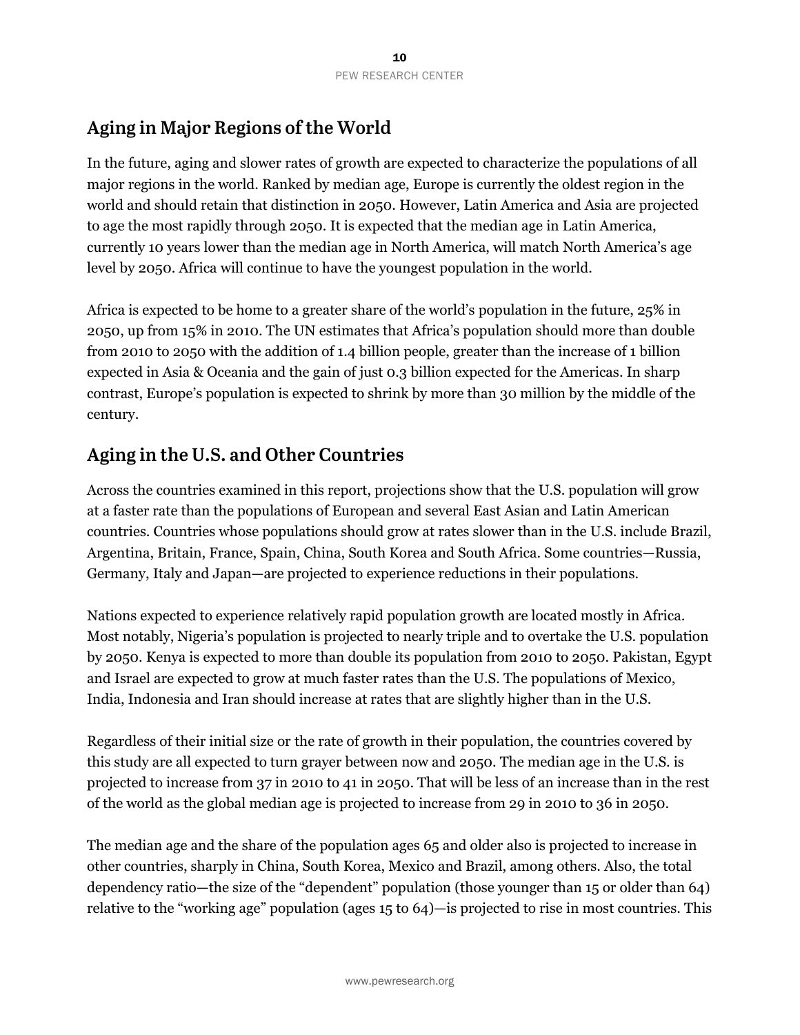# **Aging in Major Regions of the World**

In the future, aging and slower rates of growth are expected to characterize the populations of all major regions in the world. Ranked by median age, Europe is currently the oldest region in the world and should retain that distinction in 2050. However, Latin America and Asia are projected to age the most rapidly through 2050. It is expected that the median age in Latin America, currently 10 years lower than the median age in North America, will match North America's age level by 2050. Africa will continue to have the youngest population in the world.

Africa is expected to be home to a greater share of the world's population in the future, 25% in 2050, up from 15% in 2010. The UN estimates that Africa's population should more than double from 2010 to 2050 with the addition of 1.4 billion people, greater than the increase of 1 billion expected in Asia & Oceania and the gain of just 0.3 billion expected for the Americas. In sharp contrast, Europe's population is expected to shrink by more than 30 million by the middle of the century.

### **Aging in the U.S. and Other Countries**

Across the countries examined in this report, projections show that the U.S. population will grow at a faster rate than the populations of European and several East Asian and Latin American countries. Countries whose populations should grow at rates slower than in the U.S. include Brazil, Argentina, Britain, France, Spain, China, South Korea and South Africa. Some countries—Russia, Germany, Italy and Japan—are projected to experience reductions in their populations.

Nations expected to experience relatively rapid population growth are located mostly in Africa. Most notably, Nigeria's population is projected to nearly triple and to overtake the U.S. population by 2050. Kenya is expected to more than double its population from 2010 to 2050. Pakistan, Egypt and Israel are expected to grow at much faster rates than the U.S. The populations of Mexico, India, Indonesia and Iran should increase at rates that are slightly higher than in the U.S.

Regardless of their initial size or the rate of growth in their population, the countries covered by this study are all expected to turn grayer between now and 2050. The median age in the U.S. is projected to increase from 37 in 2010 to 41 in 2050. That will be less of an increase than in the rest of the world as the global median age is projected to increase from 29 in 2010 to 36 in 2050.

The median age and the share of the population ages 65 and older also is projected to increase in other countries, sharply in China, South Korea, Mexico and Brazil, among others. Also, the total dependency ratio—the size of the "dependent" population (those younger than 15 or older than 64) relative to the "working age" population (ages 15 to 64)—is projected to rise in most countries. This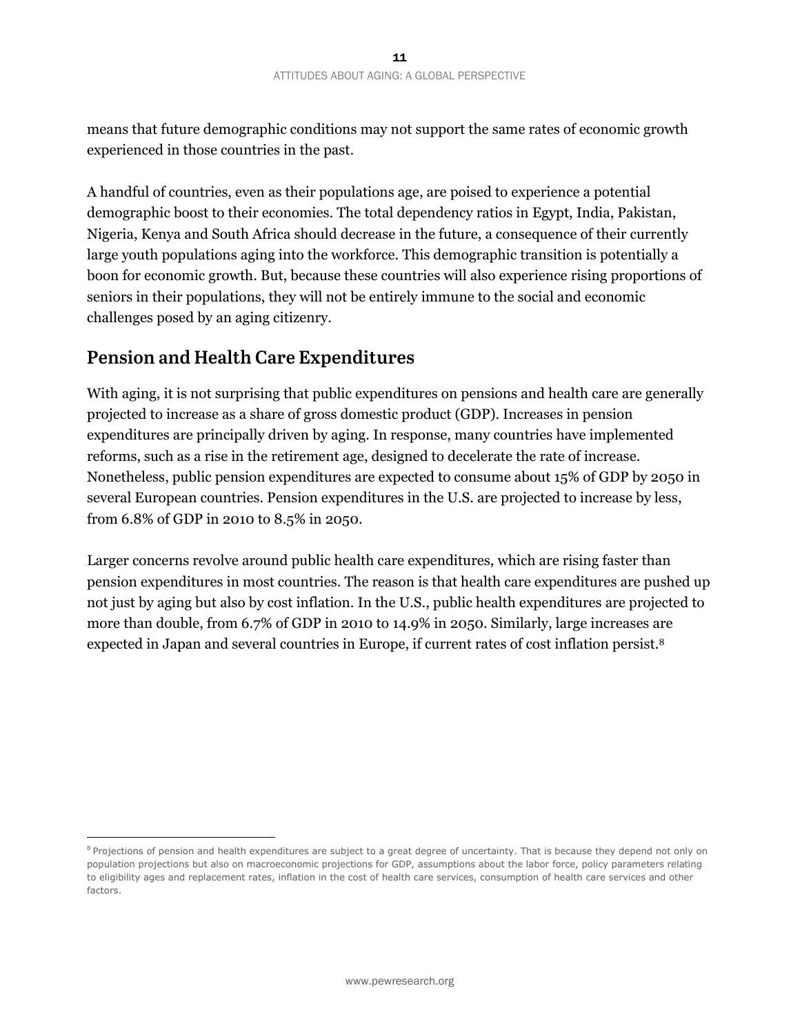means that future demographic conditions may not support the same rates of economic growth experienced in those countries in the past.

A handful of countries, even as their populations age, are poised to experience a potential demographic boost to their economies. The total dependency ratios in Egypt, India, Pakistan, Nigeria, Kenya and South Africa should decrease in the future, a consequence of their currently large youth populations aging into the workforce. This demographic transition is potentially a boon for economic growth. But, because these countries will also experience rising proportions of seniors in their populations, they will not be entirely immune to the social and economic challenges posed by an aging citizenry.

### **Pension and Health Care Expenditures**

 $\overline{a}$ 

With aging, it is not surprising that public expenditures on pensions and health care are generally projected to increase as a share of gross domestic product (GDP). Increases in pension expenditures are principally driven by aging. In response, many countries have implemented reforms, such as a rise in the retirement age, designed to decelerate the rate of increase. Nonetheless, public pension expenditures are expected to consume about 15% of GDP by 2050 in several European countries. Pension expenditures in the U.S. are projected to increase by less, from 6.8% of GDP in 2010 to 8.5% in 2050.

Larger concerns revolve around public health care expenditures, which are rising faster than pension expenditures in most countries. The reason is that health care expenditures are pushed up not just by aging but also by cost inflation. In the U.S., public health expenditures are projected to more than double, from 6.7% of GDP in 2010 to 14.9% in 2050. Similarly, large increases are expected in Japan and several countries in Europe, if current rates of cost inflation persist.8

<sup>&</sup>lt;sup>8</sup> Projections of pension and health expenditures are subject to a great degree of uncertainty. That is because they depend not only on population projections but also on macroeconomic projections for GDP, assumptions about the labor force, policy parameters relating to eligibility ages and replacement rates, inflation in the cost of health care services, consumption of health care services and other factors.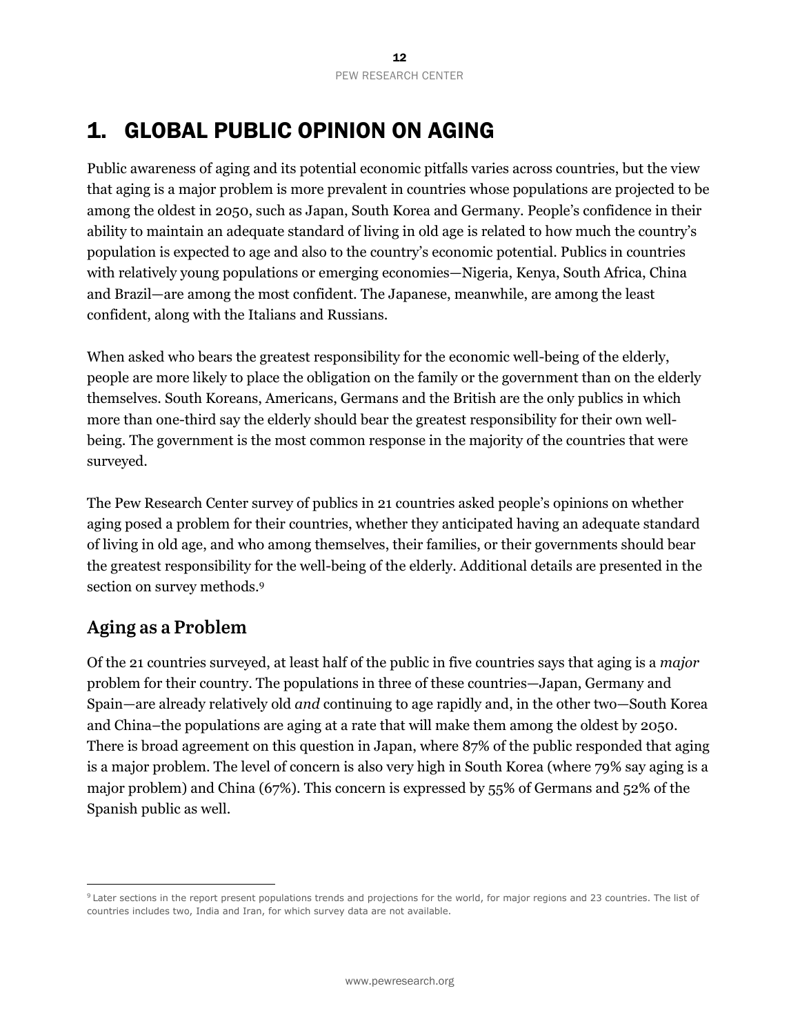# 1. GLOBAL PUBLIC OPINION ON AGING

Public awareness of aging and its potential economic pitfalls varies across countries, but the view that aging is a major problem is more prevalent in countries whose populations are projected to be among the oldest in 2050, such as Japan, South Korea and Germany. People's confidence in their ability to maintain an adequate standard of living in old age is related to how much the country's population is expected to age and also to the country's economic potential. Publics in countries with relatively young populations or emerging economies—Nigeria, Kenya, South Africa, China and Brazil—are among the most confident. The Japanese, meanwhile, are among the least confident, along with the Italians and Russians.

When asked who bears the greatest responsibility for the economic well-being of the elderly, people are more likely to place the obligation on the family or the government than on the elderly themselves. South Koreans, Americans, Germans and the British are the only publics in which more than one-third say the elderly should bear the greatest responsibility for their own wellbeing. The government is the most common response in the majority of the countries that were surveyed.

The Pew Research Center survey of publics in 21 countries asked people's opinions on whether aging posed a problem for their countries, whether they anticipated having an adequate standard of living in old age, and who among themselves, their families, or their governments should bear the greatest responsibility for the well-being of the elderly. Additional details are presented in the section on survey methods.<sup>9</sup>

### **Aging as a Problem**

 $\overline{a}$ 

Of the 21 countries surveyed, at least half of the public in five countries says that aging is a *major* problem for their country. The populations in three of these countries—Japan, Germany and Spain—are already relatively old *and* continuing to age rapidly and, in the other two—South Korea and China–the populations are aging at a rate that will make them among the oldest by 2050. There is broad agreement on this question in Japan, where 87% of the public responded that aging is a major problem. The level of concern is also very high in South Korea (where 79% say aging is a major problem) and China (67%). This concern is expressed by 55% of Germans and 52% of the Spanish public as well.

 $9$  Later sections in the report present populations trends and projections for the world, for major regions and 23 countries. The list of countries includes two, India and Iran, for which survey data are not available.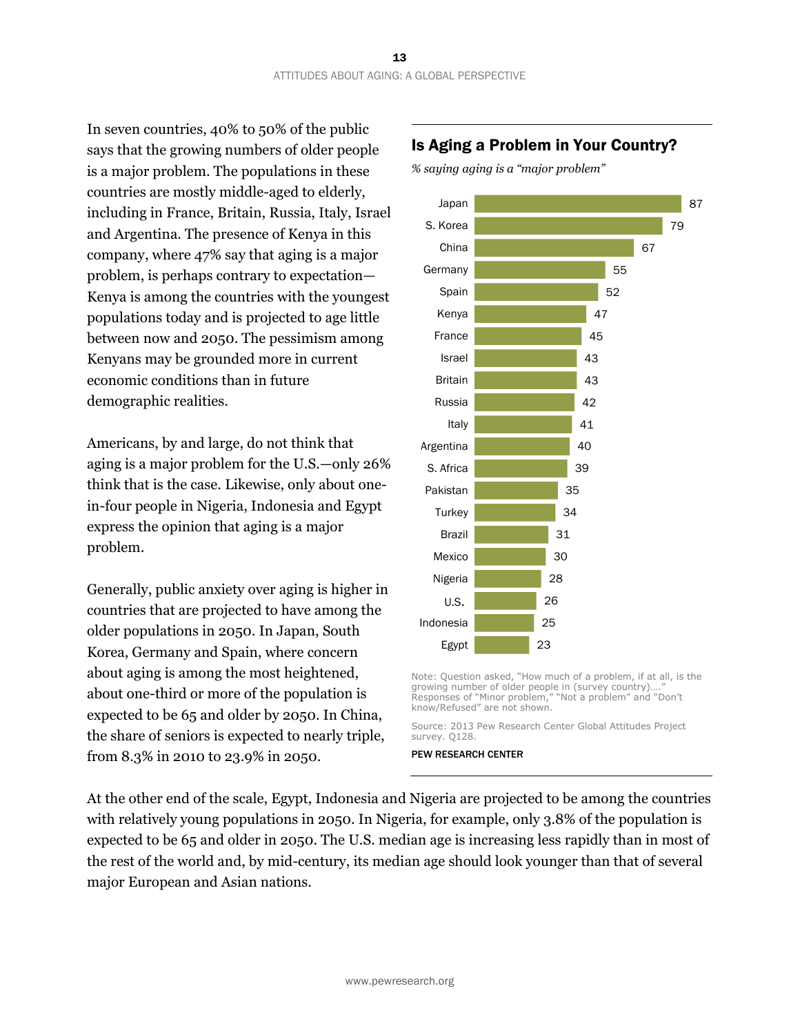In seven countries, 40% to 50% of the public says that the growing numbers of older people is a major problem. The populations in these countries are mostly middle-aged to elderly, including in France, Britain, Russia, Italy, Israel and Argentina. The presence of Kenya in this company, where 47% say that aging is a major problem, is perhaps contrary to expectation— Kenya is among the countries with the youngest populations today and is projected to age little between now and 2050. The pessimism among Kenyans may be grounded more in current economic conditions than in future demographic realities.

Americans, by and large, do not think that aging is a major problem for the U.S.—only 26% think that is the case. Likewise, only about onein-four people in Nigeria, Indonesia and Egypt express the opinion that aging is a major problem.

Generally, public anxiety over aging is higher in countries that are projected to have among the older populations in 2050. In Japan, South Korea, Germany and Spain, where concern about aging is among the most heightened, about one-third or more of the population is expected to be 65 and older by 2050. In China, the share of seniors is expected to nearly triple, from 8.3% in 2010 to 23.9% in 2050.

#### Is Aging a Problem in Your Country?

*% saying aging is a "major problem"* 



Note: Question asked, "How much of a problem, if at all, is the growing number of older people in (survey country). Responses of "Minor problem," "Not a problem" and "Don't know/Refused" are not shown.

Source: 2013 Pew Research Center Global Attitudes Project survey. Q128.

PEW RESEARCH CENTER

At the other end of the scale, Egypt, Indonesia and Nigeria are projected to be among the countries with relatively young populations in 2050. In Nigeria, for example, only 3.8% of the population is expected to be 65 and older in 2050. The U.S. median age is increasing less rapidly than in most of the rest of the world and, by mid-century, its median age should look younger than that of several major European and Asian nations.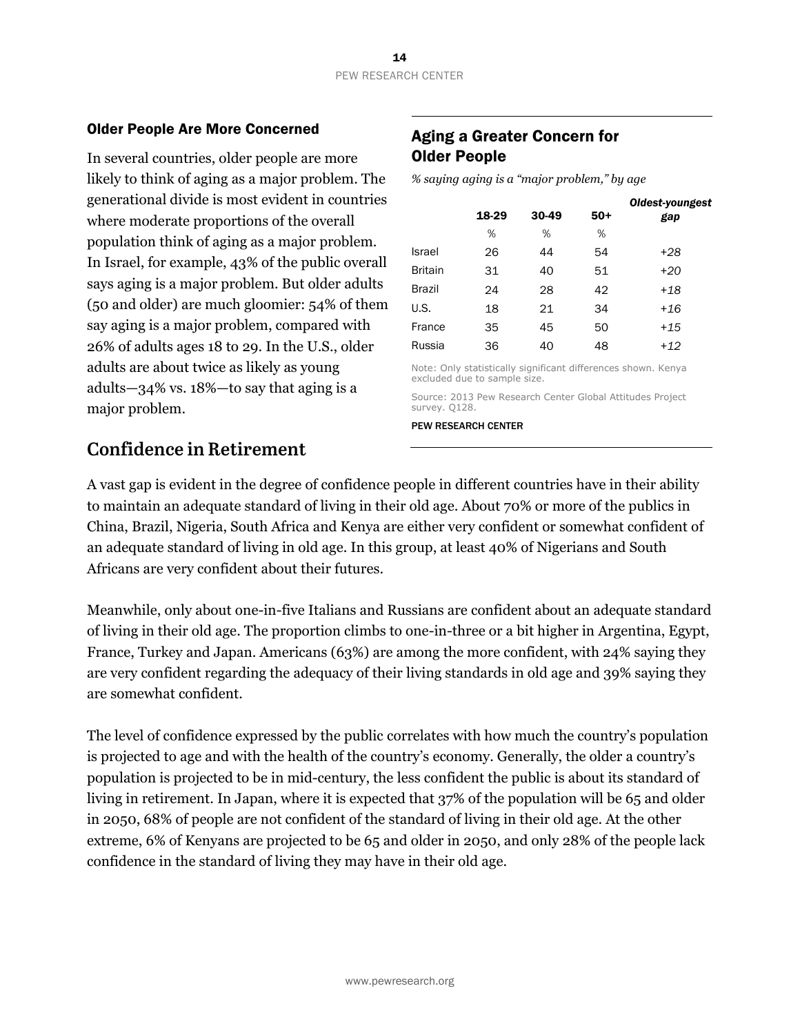#### Older People Are More Concerned

In several countries, older people are more likely to think of aging as a major problem. The generational divide is most evident in countries where moderate proportions of the overall population think of aging as a major problem. In Israel, for example, 43% of the public overall says aging is a major problem. But older adults (50 and older) are much gloomier: 54% of them say aging is a major problem, compared with 26% of adults ages 18 to 29. In the U.S., older adults are about twice as likely as young adults—34% vs. 18%—to say that aging is a major problem.

#### Aging a Greater Concern for Older People

*% saying aging is a "major problem," by age* 

|                | 18-29                        | 30-49 | $50+$ | Oldest-youngest<br>gap                                        |
|----------------|------------------------------|-------|-------|---------------------------------------------------------------|
|                | %                            | %     | %     |                                                               |
| <b>Israel</b>  | 26                           | 44    | 54    | +28                                                           |
| <b>Britain</b> | 31                           | 40    | 51    | $+20$                                                         |
| <b>Brazil</b>  | 24                           | 28    | 42    | +18                                                           |
| U.S.           | 18                           | 21    | 34    | +16                                                           |
| France         | 35                           | 45    | 50    | $+15$                                                         |
| Russia         | 36                           | 40    | 48    | $+12$                                                         |
|                | excluded due to sample size. |       |       | Note: Only statistically significant differences shown. Kenya |
| survey. Q128.  |                              |       |       | Source: 2013 Pew Research Center Global Attitudes Project     |

PEW RESEARCH CENTER

### **Confidence in Retirement**

A vast gap is evident in the degree of confidence people in different countries have in their ability to maintain an adequate standard of living in their old age. About 70% or more of the publics in China, Brazil, Nigeria, South Africa and Kenya are either very confident or somewhat confident of an adequate standard of living in old age. In this group, at least 40% of Nigerians and South Africans are very confident about their futures.

Meanwhile, only about one-in-five Italians and Russians are confident about an adequate standard of living in their old age. The proportion climbs to one-in-three or a bit higher in Argentina, Egypt, France, Turkey and Japan. Americans (63%) are among the more confident, with 24% saying they are very confident regarding the adequacy of their living standards in old age and 39% saying they are somewhat confident.

The level of confidence expressed by the public correlates with how much the country's population is projected to age and with the health of the country's economy. Generally, the older a country's population is projected to be in mid-century, the less confident the public is about its standard of living in retirement. In Japan, where it is expected that 37% of the population will be 65 and older in 2050, 68% of people are not confident of the standard of living in their old age. At the other extreme, 6% of Kenyans are projected to be 65 and older in 2050, and only 28% of the people lack confidence in the standard of living they may have in their old age.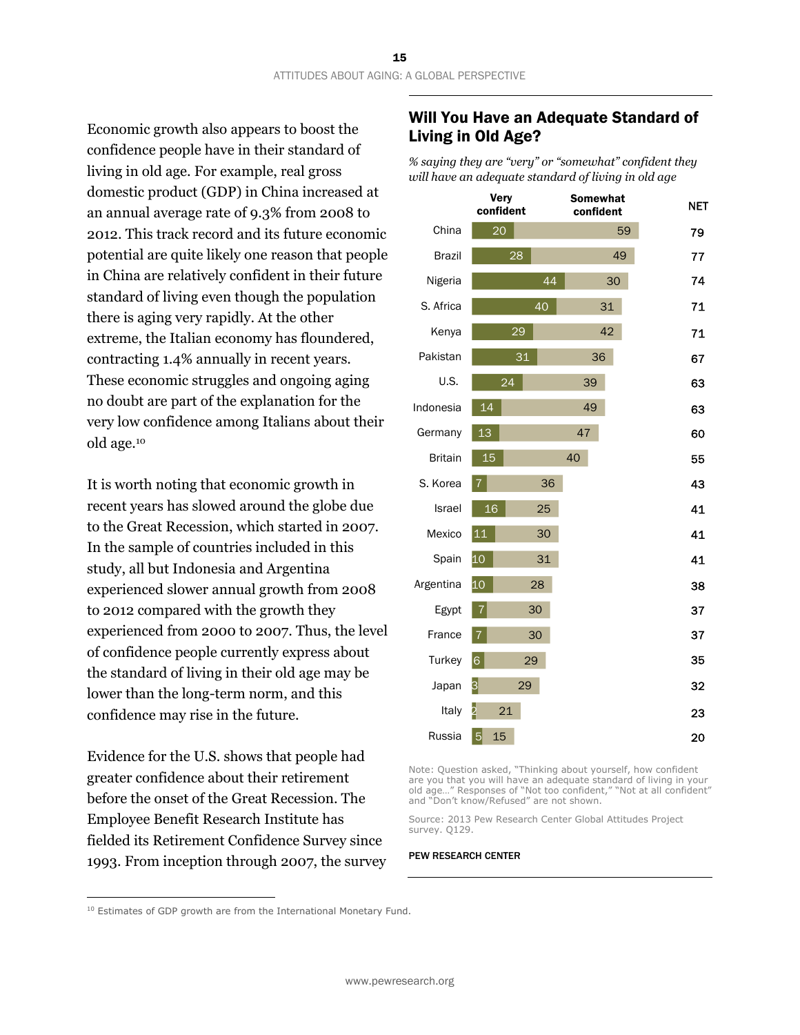Economic growth also appears to boost the confidence people have in their standard of living in old age. For example, real gross domestic product (GDP) in China increased at an annual average rate of 9.3% from 2008 to 2012. This track record and its future economic potential are quite likely one reason that people in China are relatively confident in their future standard of living even though the population there is aging very rapidly. At the other extreme, the Italian economy has floundered, contracting 1.4% annually in recent years. These economic struggles and ongoing aging no doubt are part of the explanation for the very low confidence among Italians about their old age.10

It is worth noting that economic growth in recent years has slowed around the globe due to the Great Recession, which started in 2007. In the sample of countries included in this study, all but Indonesia and Argentina experienced slower annual growth from 2008 to 2012 compared with the growth they experienced from 2000 to 2007. Thus, the level of confidence people currently express about the standard of living in their old age may be lower than the long-term norm, and this confidence may rise in the future.

Evidence for the U.S. shows that people had greater confidence about their retirement before the onset of the Great Recession. The Employee Benefit Research Institute has fielded its Retirement Confidence Survey since 1993. From inception through 2007, the survey

#### Will You Have an Adequate Standard of Living in Old Age?

*% saying they are "very" or "somewhat" confident they will have an adequate standard of living in old age* 



Note: Question asked, "Thinking about yourself, how confident are you that you will have an adequate standard of living in your old age…" Responses of "Not too confident," "Not at all confident" and "Don't know/Refused" are not shown.

Source: 2013 Pew Research Center Global Attitudes Project survey. Q129.

#### PEW RESEARCH CENTER

 $10$  Estimates of GDP growth are from the International Monetary Fund.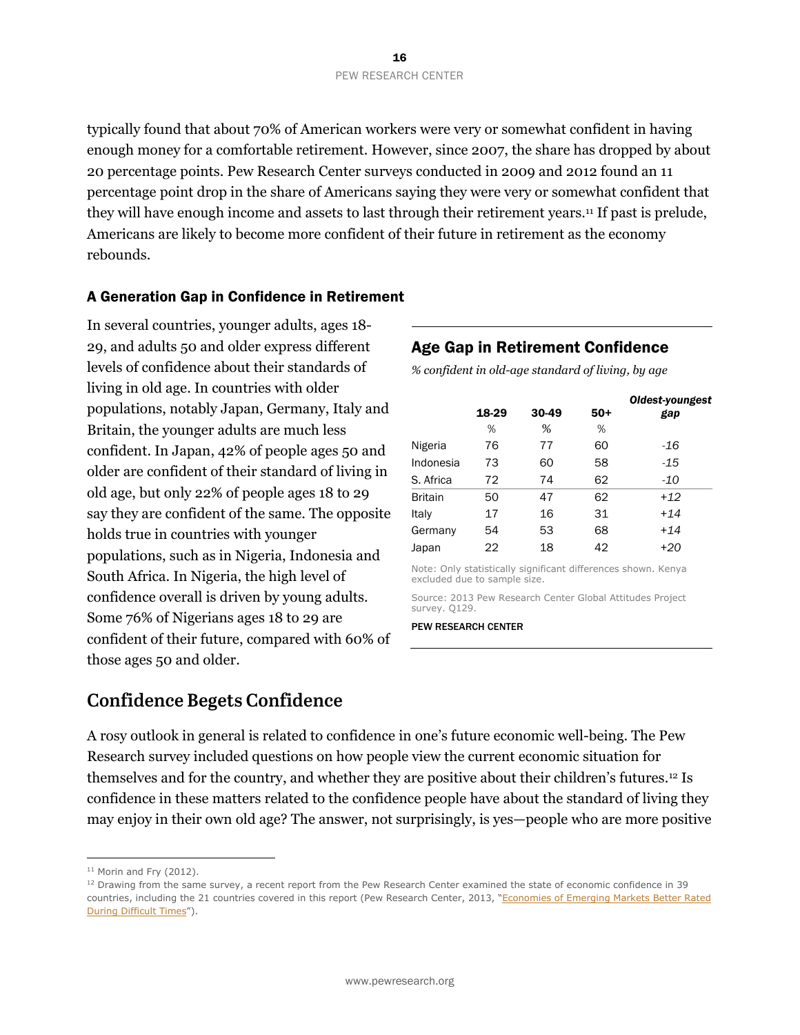typically found that about 70% of American workers were very or somewhat confident in having enough money for a comfortable retirement. However, since 2007, the share has dropped by about 20 percentage points. Pew Research Center surveys conducted in 2009 and 2012 found an 11 percentage point drop in the share of Americans saying they were very or somewhat confident that they will have enough income and assets to last through their retirement years.11 If past is prelude, Americans are likely to become more confident of their future in retirement as the economy rebounds.

#### A Generation Gap in Confidence in Retirement

In several countries, younger adults, ages 18- 29, and adults 50 and older express different levels of confidence about their standards of living in old age. In countries with older populations, notably Japan, Germany, Italy and Britain, the younger adults are much less confident. In Japan, 42% of people ages 50 and older are confident of their standard of living in old age, but only 22% of people ages 18 to 29 say they are confident of the same. The opposite holds true in countries with younger populations, such as in Nigeria, Indonesia and South Africa. In Nigeria, the high level of confidence overall is driven by young adults. Some 76% of Nigerians ages 18 to 29 are confident of their future, compared with 60% of those ages 50 and older.

#### Age Gap in Retirement Confidence

*% confident in old-age standard of living, by age* 

|           |       |       |       | Oldest-youngest |
|-----------|-------|-------|-------|-----------------|
|           | 18-29 | 30-49 | $50+$ | gap             |
|           | %     | %     | %     |                 |
| Nigeria   | 76    | 77    | 60    | -16             |
| Indonesia | 73    | 60    | 58    | $-15$           |
| S. Africa | 72    | 74    | 62    | -10             |
| Britain   | 50    | 47    | 62    | $+12$           |
| Italy     | 17    | 16    | 31    | $+14$           |
| Germany   | 54    | 53    | 68    | $+14$           |
| Japan     | 22    | 18    | 42    | $+20$           |
|           |       |       |       |                 |

Note: Only statistically significant differences shown. Kenya excluded due to sample size.

Source: 2013 Pew Research Center Global Attitudes Project survey. Q129.

#### PEW RESEARCH CENTER

### **Confidence Begets Confidence**

A rosy outlook in general is related to confidence in one's future economic well-being. The Pew Research survey included questions on how people view the current economic situation for themselves and for the country, and whether they are positive about their children's futures.12 Is confidence in these matters related to the confidence people have about the standard of living they may enjoy in their own old age? The answer, not surprisingly, is yes—people who are more positive

 $11$  Morin and Fry (2012).

 $12$  Drawing from the same survey, a recent report from the Pew Research Center examined the state of economic confidence in 39 countries, including the 21 countries covered in this report (Pew Research Center, 2013, "Economies of Emerging Markets Better Rated During Difficult Times").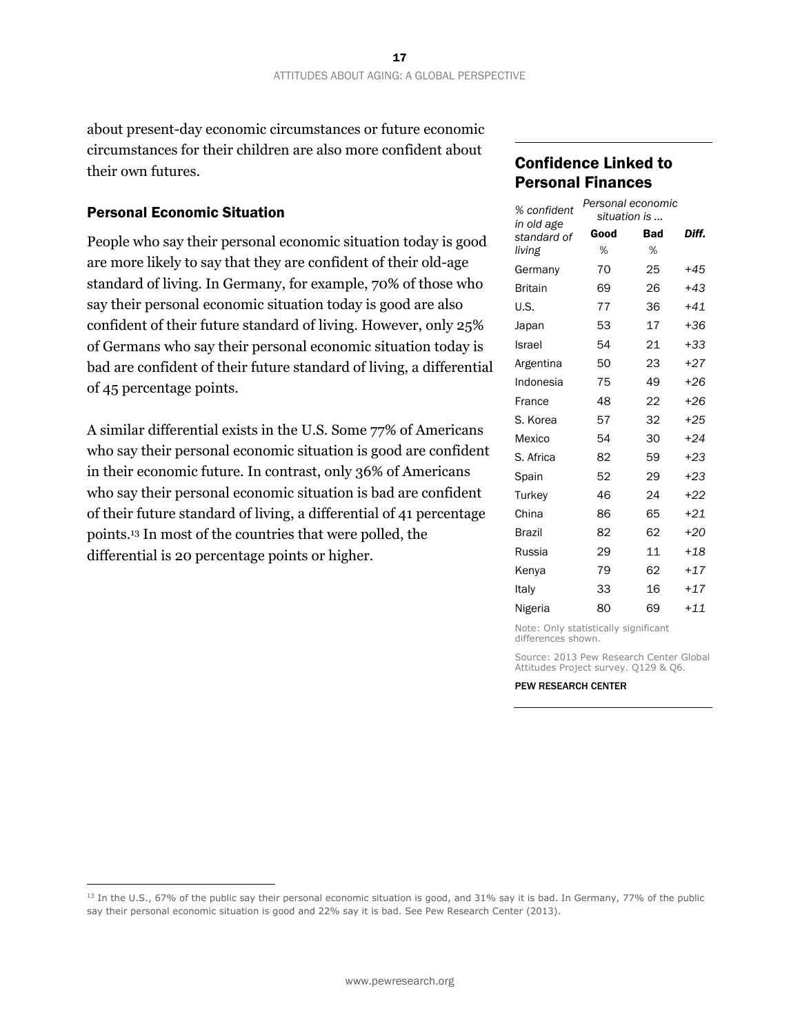about present-day economic circumstances or future economic circumstances for their children are also more confident about their own futures.

#### Personal Economic Situation

 $\overline{a}$ 

People who say their personal economic situation today is good are more likely to say that they are confident of their old-age standard of living. In Germany, for example, 70% of those who say their personal economic situation today is good are also confident of their future standard of living. However, only 25% of Germans who say their personal economic situation today is bad are confident of their future standard of living, a differential of 45 percentage points.

A similar differential exists in the U.S. Some 77% of Americans who say their personal economic situation is good are confident in their economic future. In contrast, only 36% of Americans who say their personal economic situation is bad are confident of their future standard of living, a differential of 41 percentage points.13 In most of the countries that were polled, the differential is 20 percentage points or higher.

#### Confidence Linked to Personal Finances

| % confident<br>in old age | Personal economic<br>situation is |     |       |
|---------------------------|-----------------------------------|-----|-------|
| standard of               | Good                              | Bad | Diff. |
| living                    | %                                 | %   |       |
| Germany                   | 70                                | 25  | $+45$ |
| <b>Britain</b>            | 69                                | 26  | $+43$ |
| U.S.                      | 77                                | 36  | $+41$ |
| Japan                     | 53                                | 17  | $+36$ |
| Israel                    | 54                                | 21  | +33   |
| Argentina                 | 50                                | 23  | $+27$ |
| Indonesia                 | 75                                | 49  | +26   |
| France                    | 48                                | 22  | $+26$ |
| S. Korea                  | 57                                | 32  | $+25$ |
| Mexico                    | 54                                | 30  | $+24$ |
| S. Africa                 | 82                                | 59  | $+23$ |
| Spain                     | 52                                | 29  | $+23$ |
| Turkey                    | 46                                | 24  | +22   |
| China                     | 86                                | 65  | $+21$ |
| <b>Brazil</b>             | 82                                | 62  | +20   |
| Russia                    | 29                                | 11  | $+18$ |
| Kenya                     | 79                                | 62  | $+17$ |
| Italy                     | 33                                | 16  | $+17$ |
| Nigeria                   | 80                                | 69  | $+11$ |

Note: Only statistically significant differences shown.

Source: 2013 Pew Research Center Global Attitudes Project survey. Q129 & Q6.

<sup>&</sup>lt;sup>13</sup> In the U.S., 67% of the public say their personal economic situation is good, and 31% say it is bad. In Germany, 77% of the public say their personal economic situation is good and 22% say it is bad. See Pew Research Center (2013).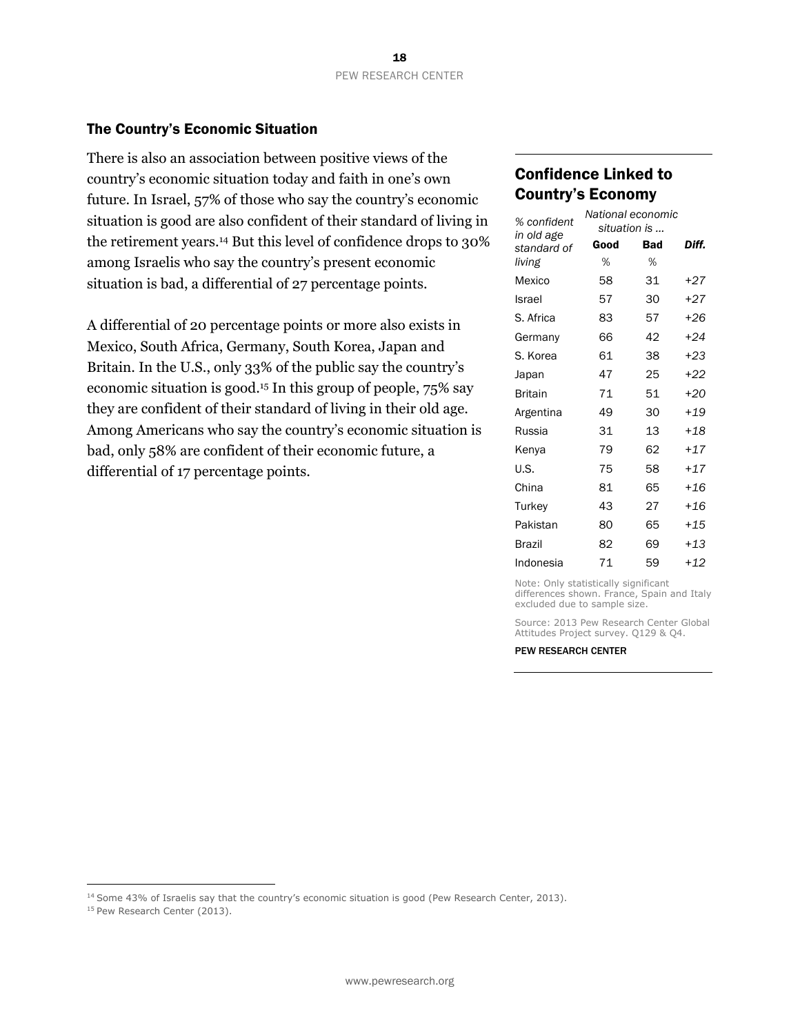#### The Country's Economic Situation

There is also an association between positive views of the country's economic situation today and faith in one's own future. In Israel, 57% of those who say the country's economic situation is good are also confident of their standard of living in the retirement years.14 But this level of confidence drops to 30% among Israelis who say the country's present economic situation is bad, a differential of 27 percentage points.

A differential of 20 percentage points or more also exists in Mexico, South Africa, Germany, South Korea, Japan and Britain. In the U.S., only 33% of the public say the country's economic situation is good.15 In this group of people, 75% say they are confident of their standard of living in their old age. Among Americans who say the country's economic situation is bad, only 58% are confident of their economic future, a differential of 17 percentage points.

#### Confidence Linked to Country's Economy

| % confident               | National economic<br>situation is |     |       |
|---------------------------|-----------------------------------|-----|-------|
| in old age<br>standard of | Good                              | Bad | Diff. |
| living                    | %                                 | ℅   |       |
| Mexico                    | 58                                | 31  | +27   |
| Israel                    | 57                                | 30  | $+27$ |
| S. Africa                 | 83                                | 57  | $+26$ |
| Germany                   | 66                                | 42  | $+24$ |
| S. Korea                  | 61                                | 38  | $+23$ |
| Japan                     | 47                                | 25  | $+22$ |
| <b>Britain</b>            | 71                                | 51  | $+20$ |
| Argentina                 | 49                                | 30  | $+19$ |
| Russia                    | 31                                | 13  | $+18$ |
| Kenya                     | 79                                | 62  | $+17$ |
| U.S.                      | 75                                | 58  | $+17$ |
| China                     | 81                                | 65  | $+16$ |
| Turkey                    | 43                                | 27  | $+16$ |
| Pakistan                  | 80                                | 65  | $+15$ |
| <b>Brazil</b>             | 82                                | 69  | $+13$ |
| Indonesia                 | 71                                | 59  | +12   |

Note: Only statistically significant differences shown. France, Spain and Italy excluded due to sample size.

Source: 2013 Pew Research Center Global Attitudes Project survey. Q129 & Q4.

#### PEW RESEARCH CENTER

<sup>14</sup> Some 43% of Israelis say that the country's economic situation is good (Pew Research Center, 2013). <sup>15</sup> Pew Research Center (2013).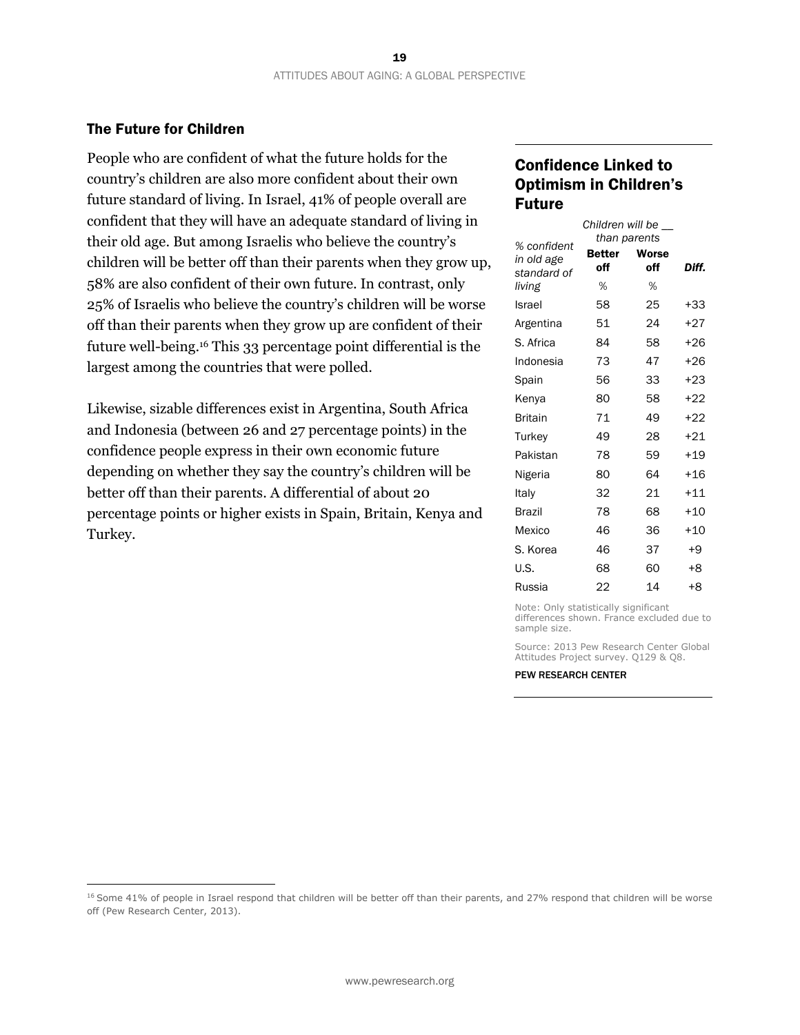#### The Future for Children

 $\overline{a}$ 

People who are confident of what the future holds for the country's children are also more confident about their own future standard of living. In Israel, 41% of people overall are confident that they will have an adequate standard of living in their old age. But among Israelis who believe the country's children will be better off than their parents when they grow up, 58% are also confident of their own future. In contrast, only 25% of Israelis who believe the country's children will be worse off than their parents when they grow up are confident of their future well-being.16 This 33 percentage point differential is the largest among the countries that were polled.

Likewise, sizable differences exist in Argentina, South Africa and Indonesia (between 26 and 27 percentage points) in the confidence people express in their own economic future depending on whether they say the country's children will be better off than their parents. A differential of about 20 percentage points or higher exists in Spain, Britain, Kenya and Turkey.

#### Confidence Linked to Optimism in Children's Future

|                           |                      | Children will be    |       |
|---------------------------|----------------------|---------------------|-------|
| % confident               |                      | than parents        |       |
| in old age<br>standard of | <b>Better</b><br>off | <b>Worse</b><br>off | Diff. |
| living                    | %                    | %                   |       |
| Israel                    | 58                   | 25                  | +33   |
| Argentina                 | 51                   | 24                  | $+27$ |
| S. Africa                 | 84                   | 58                  | $+26$ |
| Indonesia                 | 73                   | 47                  | $+26$ |
| Spain                     | 56                   | 33                  | $+23$ |
| Kenya                     | 80                   | 58                  | $+22$ |
| <b>Britain</b>            | 71                   | 49                  | +22   |
| Turkey                    | 49                   | 28                  | +21   |
| Pakistan                  | 78                   | 59                  | $+19$ |
| Nigeria                   | 80                   | 64                  | $+16$ |
| Italy                     | 32                   | 21                  | $+11$ |
| <b>Brazil</b>             | 78                   | 68                  | $+10$ |
| Mexico                    | 46                   | 36                  | $+10$ |
| S. Korea                  | 46                   | 37                  | $+9$  |
| U.S.                      | 68                   | 60                  | +8    |
| Russia                    | 22                   | 14                  | +8    |

Note: Only statistically significant differences shown. France excluded due to sample size.

Source: 2013 Pew Research Center Global Attitudes Project survey. Q129 & Q8.

<sup>&</sup>lt;sup>16</sup> Some 41% of people in Israel respond that children will be better off than their parents, and 27% respond that children will be worse off (Pew Research Center, 2013).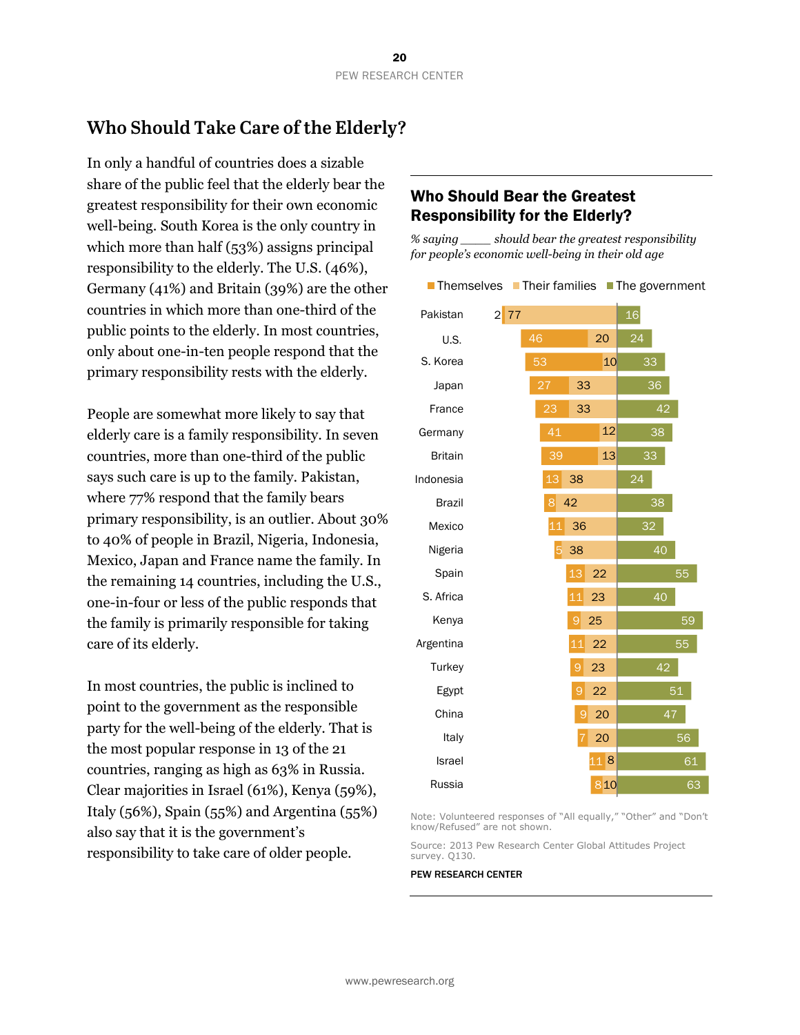### **Who Should Take Care of the Elderly?**

In only a handful of countries does a sizable share of the public feel that the elderly bear the greatest responsibility for their own economic well-being. South Korea is the only country in which more than half (53%) assigns principal responsibility to the elderly. The U.S. (46%), Germany (41%) and Britain (39%) are the other countries in which more than one-third of the public points to the elderly. In most countries, only about one-in-ten people respond that the primary responsibility rests with the elderly.

People are somewhat more likely to say that elderly care is a family responsibility. In seven countries, more than one-third of the public says such care is up to the family. Pakistan, where 77% respond that the family bears primary responsibility, is an outlier. About 30% to 40% of people in Brazil, Nigeria, Indonesia, Mexico, Japan and France name the family. In the remaining 14 countries, including the U.S., one-in-four or less of the public responds that the family is primarily responsible for taking care of its elderly.

In most countries, the public is inclined to point to the government as the responsible party for the well-being of the elderly. That is the most popular response in 13 of the 21 countries, ranging as high as 63% in Russia. Clear majorities in Israel (61%), Kenya (59%), Italy (56%), Spain (55%) and Argentina (55%) also say that it is the government's responsibility to take care of older people.

#### Who Should Bear the Greatest Responsibility for the Elderly?

*% saying \_\_\_\_ should bear the greatest responsibility for people's economic well-being in their old age* 

Themselves Their families The government

Note: Volunteered responses of "All equally," "Other" and "Don't know/Refused" are not shown.

Source: 2013 Pew Research Center Global Attitudes Project survey. Q130.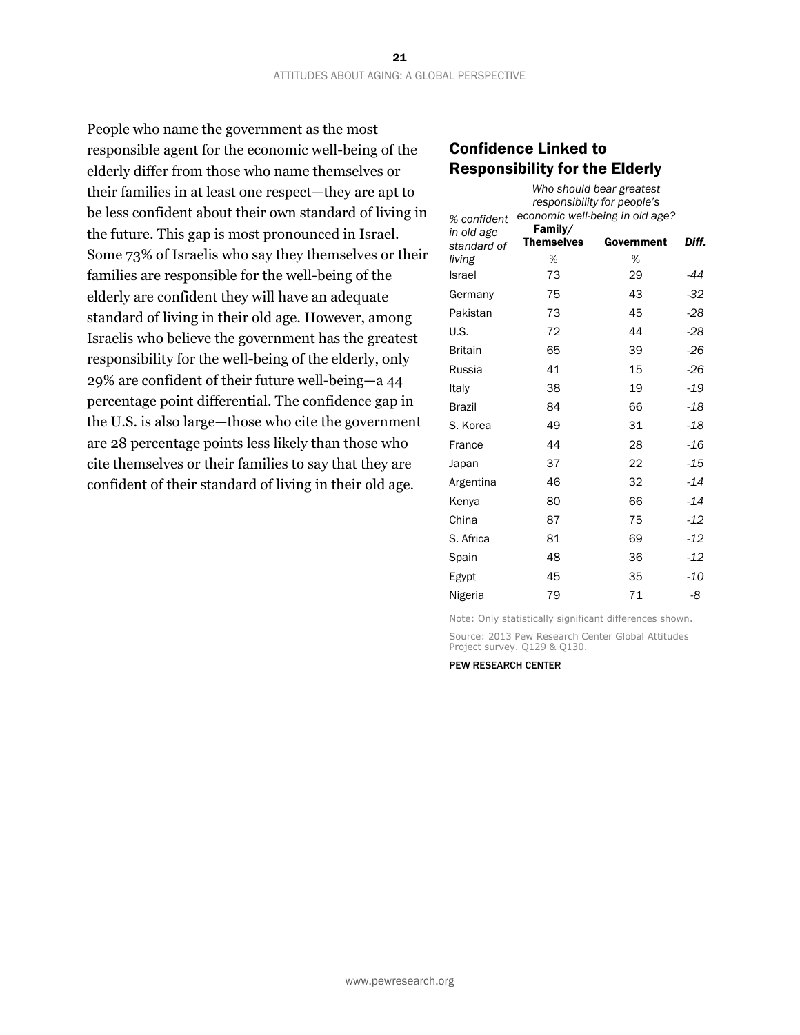People who name the government as the most responsible agent for the economic well-being of the elderly differ from those who name themselves or their families in at least one respect—they are apt to be less confident about their own standard of living in the future. This gap is most pronounced in Israel. Some 73% of Israelis who say they themselves or their families are responsible for the well-being of the elderly are confident they will have an adequate standard of living in their old age. However, among Israelis who believe the government has the greatest responsibility for the well-being of the elderly, only 29% are confident of their future well-being—a 44 percentage point differential. The confidence gap in the U.S. is also large—those who cite the government are 28 percentage points less likely than those who cite themselves or their families to say that they are confident of their standard of living in their old age.

#### Confidence Linked to Responsibility for the Elderly

| % confident               | Family/           | Who should bear greatest<br>responsibility for people's<br>economic well-being in old age? |       |
|---------------------------|-------------------|--------------------------------------------------------------------------------------------|-------|
| in old age<br>standard of | <b>Themselves</b> | Government                                                                                 | Diff. |
| living                    | %                 | %                                                                                          |       |
| Israel                    | 73                | 29                                                                                         | -44   |
| Germany                   | 75                | 43                                                                                         | $-32$ |
| Pakistan                  | 73                | 45                                                                                         | $-28$ |
| U.S.                      | 72                | 44                                                                                         | $-28$ |
| <b>Britain</b>            | 65                | 39                                                                                         | $-26$ |
| Russia                    | 41                | 15                                                                                         | $-26$ |
| Italy                     | 38                | 19                                                                                         | $-19$ |
| <b>Brazil</b>             | 84                | 66                                                                                         | $-18$ |
| S. Korea                  | 49                | 31                                                                                         | $-18$ |
| France                    | 44                | 28                                                                                         | $-16$ |
| Japan                     | 37                | 22                                                                                         | $-15$ |
| Argentina                 | 46                | 32                                                                                         | $-14$ |
| Kenya                     | 80                | 66                                                                                         | $-14$ |
| China                     | 87                | 75                                                                                         | $-12$ |
| S. Africa                 | 81                | 69                                                                                         | $-12$ |
| Spain                     | 48                | 36                                                                                         | $-12$ |
| Egypt                     | 45                | 35                                                                                         | $-10$ |
| Nigeria                   | 79                | 71                                                                                         | -8    |

Note: Only statistically significant differences shown.

Source: 2013 Pew Research Center Global Attitudes Project survey. Q129 & Q130.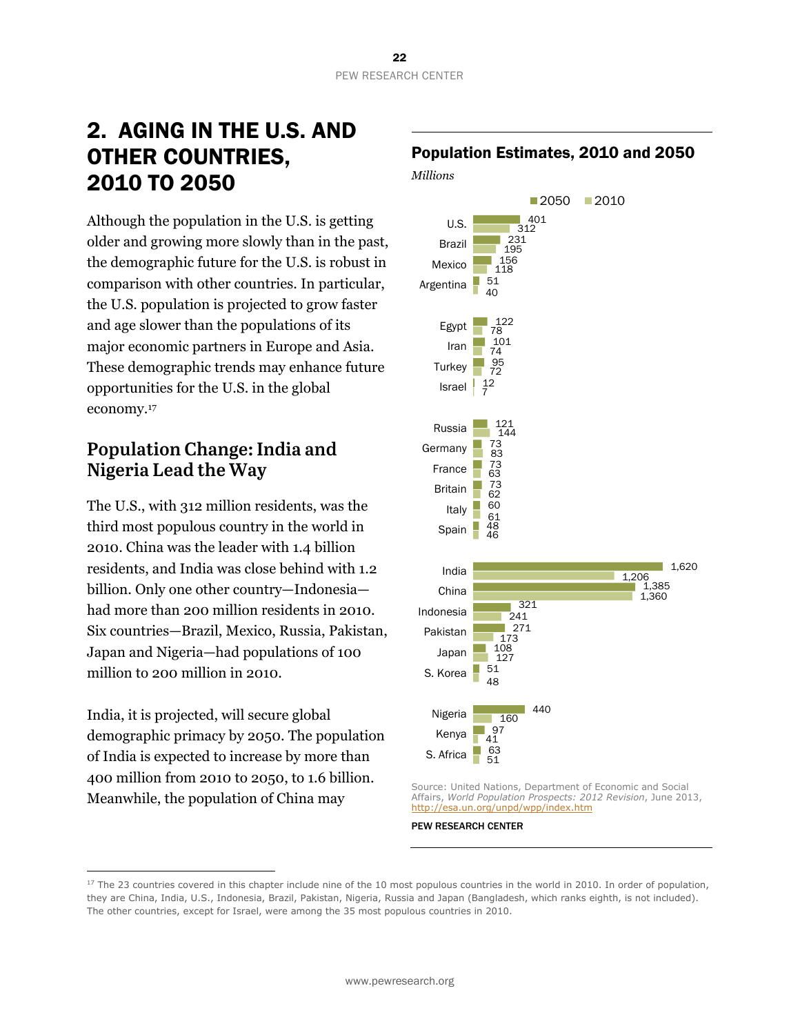# 2. AGING IN THE U.S. AND OTHER COUNTRIES, 2010 TO 2050

Although the population in the U.S. is getting older and growing more slowly than in the past, the demographic future for the U.S. is robust in comparison with other countries. In particular, the U.S. population is projected to grow faster and age slower than the populations of its major economic partners in Europe and Asia. These demographic trends may enhance future opportunities for the U.S. in the global economy.17

### **Population Change: India and Nigeria Lead the Way**

The U.S., with 312 million residents, was the third most populous country in the world in 2010. China was the leader with 1.4 billion residents, and India was close behind with 1.2 billion. Only one other country—Indonesia had more than 200 million residents in 2010. Six countries—Brazil, Mexico, Russia, Pakistan, Japan and Nigeria—had populations of 100 million to 200 million in 2010.

India, it is projected, will secure global demographic primacy by 2050. The population of India is expected to increase by more than 400 million from 2010 to 2050, to 1.6 billion. Meanwhile, the population of China may

 $\overline{a}$ 

#### Population Estimates, 2010 and 2050

*Millions* 



Source: United Nations, Department of Economic and Social Affairs, *World Population Prospects: 2012 Revision*, June 2013, http://esa.un.org/unpd/wpp/index.htm

<sup>&</sup>lt;sup>17</sup> The 23 countries covered in this chapter include nine of the 10 most populous countries in the world in 2010. In order of population, they are China, India, U.S., Indonesia, Brazil, Pakistan, Nigeria, Russia and Japan (Bangladesh, which ranks eighth, is not included). The other countries, except for Israel, were among the 35 most populous countries in 2010.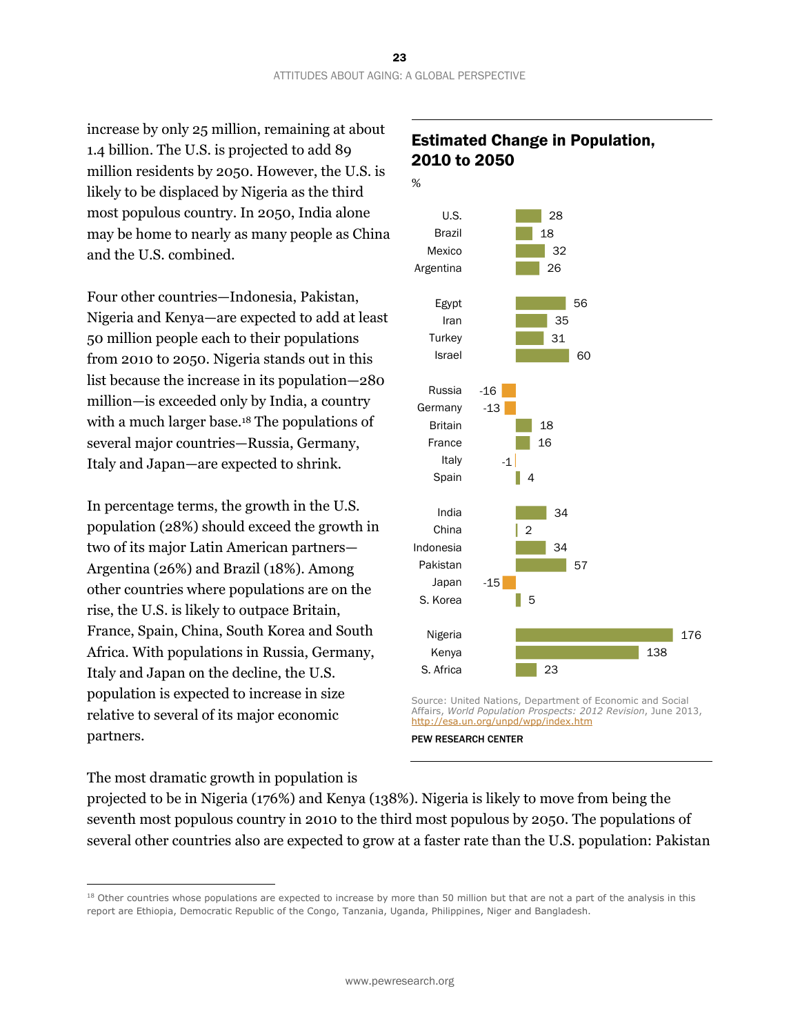increase by only 25 million, remaining at about 1.4 billion. The U.S. is projected to add 89 million residents by 2050. However, the U.S. is likely to be displaced by Nigeria as the third most populous country. In 2050, India alone may be home to nearly as many people as China and the U.S. combined.

Four other countries—Indonesia, Pakistan, Nigeria and Kenya—are expected to add at least 50 million people each to their populations from 2010 to 2050. Nigeria stands out in this list because the increase in its population—280 million—is exceeded only by India, a country with a much larger base.<sup>18</sup> The populations of several major countries—Russia, Germany, Italy and Japan—are expected to shrink.

In percentage terms, the growth in the U.S. population (28%) should exceed the growth in two of its major Latin American partners— Argentina (26%) and Brazil (18%). Among other countries where populations are on the rise, the U.S. is likely to outpace Britain, France, Spain, China, South Korea and South Africa. With populations in Russia, Germany, Italy and Japan on the decline, the U.S. population is expected to increase in size relative to several of its major economic partners.

### Estimated Change in Population, 2010 to 2050



Affairs, *World Population Prospects: 2012 Revision*, June 2013, http://esa.un.org/unpd/wpp/index.htm PEW RESEARCH CENTER

#### The most dramatic growth in population is

 $\overline{a}$ 

projected to be in Nigeria (176%) and Kenya (138%). Nigeria is likely to move from being the seventh most populous country in 2010 to the third most populous by 2050. The populations of several other countries also are expected to grow at a faster rate than the U.S. population: Pakistan

<sup>&</sup>lt;sup>18</sup> Other countries whose populations are expected to increase by more than 50 million but that are not a part of the analysis in this report are Ethiopia, Democratic Republic of the Congo, Tanzania, Uganda, Philippines, Niger and Bangladesh.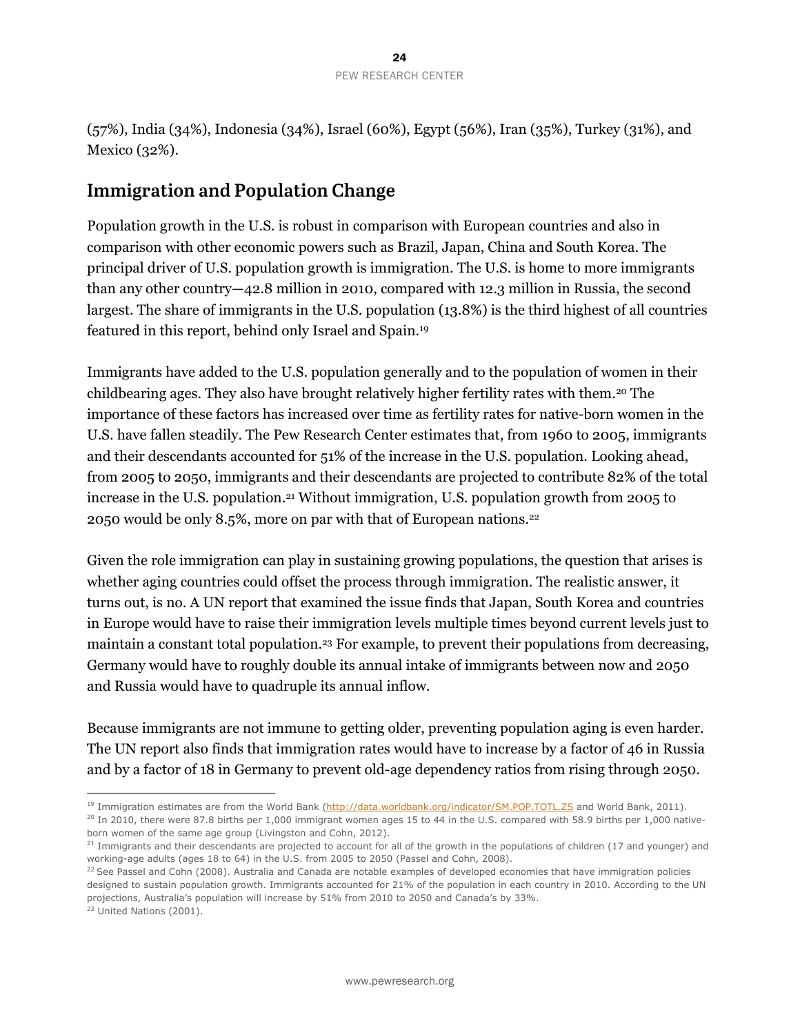(57%), India (34%), Indonesia (34%), Israel (60%), Egypt (56%), Iran (35%), Turkey (31%), and Mexico (32%).

### **Immigration and Population Change**

Population growth in the U.S. is robust in comparison with European countries and also in comparison with other economic powers such as Brazil, Japan, China and South Korea. The principal driver of U.S. population growth is immigration. The U.S. is home to more immigrants than any other country—42.8 million in 2010, compared with 12.3 million in Russia, the second largest. The share of immigrants in the U.S. population (13.8%) is the third highest of all countries featured in this report, behind only Israel and Spain.19

Immigrants have added to the U.S. population generally and to the population of women in their childbearing ages. They also have brought relatively higher fertility rates with them.20 The importance of these factors has increased over time as fertility rates for native-born women in the U.S. have fallen steadily. The Pew Research Center estimates that, from 1960 to 2005, immigrants and their descendants accounted for 51% of the increase in the U.S. population. Looking ahead, from 2005 to 2050, immigrants and their descendants are projected to contribute 82% of the total increase in the U.S. population.21 Without immigration, U.S. population growth from 2005 to 2050 would be only 8.5%, more on par with that of European nations.22

Given the role immigration can play in sustaining growing populations, the question that arises is whether aging countries could offset the process through immigration. The realistic answer, it turns out, is no. A UN report that examined the issue finds that Japan, South Korea and countries in Europe would have to raise their immigration levels multiple times beyond current levels just to maintain a constant total population.23 For example, to prevent their populations from decreasing, Germany would have to roughly double its annual intake of immigrants between now and 2050 and Russia would have to quadruple its annual inflow.

Because immigrants are not immune to getting older, preventing population aging is even harder. The UN report also finds that immigration rates would have to increase by a factor of 46 in Russia and by a factor of 18 in Germany to prevent old-age dependency ratios from rising through 2050.

<sup>23</sup> United Nations (2001).

<sup>&</sup>lt;sup>19</sup> Immigration estimates are from the World Bank (http://data.worldbank.org/indicator/SM.POP.TOTL.ZS and World Bank, 2011).

 $20$  In 2010, there were 87.8 births per 1,000 immigrant women ages 15 to 44 in the U.S. compared with 58.9 births per 1,000 nativeborn women of the same age group (Livingston and Cohn, 2012).

<sup>&</sup>lt;sup>21</sup> Immigrants and their descendants are projected to account for all of the growth in the populations of children (17 and younger) and working-age adults (ages 18 to 64) in the U.S. from 2005 to 2050 (Passel and Cohn, 2008).

<sup>&</sup>lt;sup>22</sup> See Passel and Cohn (2008). Australia and Canada are notable examples of developed economies that have immigration policies designed to sustain population growth. Immigrants accounted for 21% of the population in each country in 2010. According to the UN projections, Australia's population will increase by 51% from 2010 to 2050 and Canada's by 33%.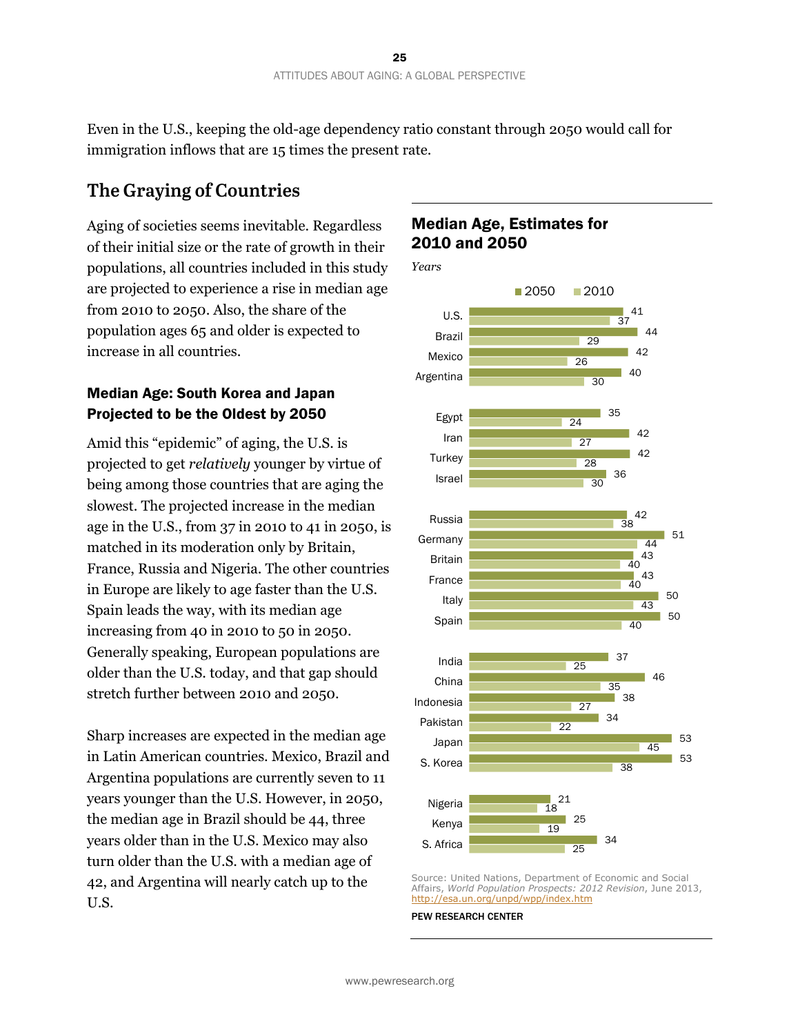Even in the U.S., keeping the old-age dependency ratio constant through 2050 would call for immigration inflows that are 15 times the present rate.

### **The Graying of Countries**

Aging of societies seems inevitable. Regardless of their initial size or the rate of growth in their populations, all countries included in this study are projected to experience a rise in median age from 2010 to 2050. Also, the share of the population ages 65 and older is expected to increase in all countries.

#### Median Age: South Korea and Japan Projected to be the Oldest by 2050

Amid this "epidemic" of aging, the U.S. is projected to get *relatively* younger by virtue of being among those countries that are aging the slowest. The projected increase in the median age in the U.S., from 37 in 2010 to 41 in 2050, is matched in its moderation only by Britain, France, Russia and Nigeria. The other countries in Europe are likely to age faster than the U.S. Spain leads the way, with its median age increasing from 40 in 2010 to 50 in 2050. Generally speaking, European populations are older than the U.S. today, and that gap should stretch further between 2010 and 2050.

Sharp increases are expected in the median age in Latin American countries. Mexico, Brazil and Argentina populations are currently seven to 11 years younger than the U.S. However, in 2050, the median age in Brazil should be 44, three years older than in the U.S. Mexico may also turn older than the U.S. with a median age of 42, and Argentina will nearly catch up to the U.S.

#### Median Age, Estimates for 2010 and 2050



Source: United Nations, Department of Economic and Social Affairs, *World Population Prospects: 2012 Revision*, June 2013, http://esa.un.org/unpd/wpp/index.htm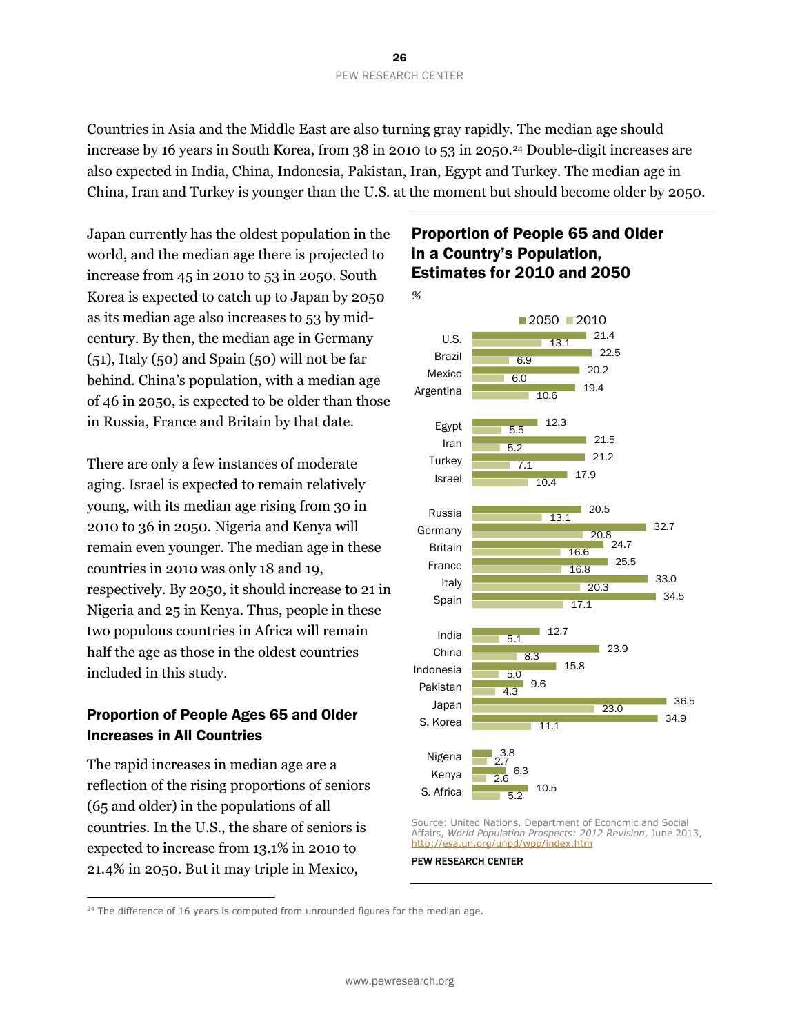Countries in Asia and the Middle East are also turning gray rapidly. The median age should increase by 16 years in South Korea, from 38 in 2010 to 53 in 2050.<sup>24</sup> Double-digit increases are also expected in India, China, Indonesia, Pakistan, Iran, Egypt and Turkey. The median age in China, Iran and Turkey is younger than the U.S. at the moment but should become older by 2050.

Japan currently has the oldest population in the world, and the median age there is projected to increase from 45 in 2010 to 53 in 2050. South Korea is expected to catch up to Japan by 2050 as its median age also increases to 53 by midcentury. By then, the median age in Germany (51), Italy (50) and Spain (50) will not be far behind. China's population, with a median age of 46 in 2050, is expected to be older than those in Russia, France and Britain by that date.

There are only a few instances of moderate aging. Israel is expected to remain relatively young, with its median age rising from 30 in 2010 to 36 in 2050. Nigeria and Kenya will remain even younger. The median age in these countries in 2010 was only 18 and 19, respectively. By 2050, it should increase to 21 in Nigeria and 25 in Kenya. Thus, people in these two populous countries in Africa will remain half the age as those in the oldest countries included in this study.

#### Proportion of People Ages 65 and Older Increases in All Countries

The rapid increases in median age are a reflection of the rising proportions of seniors (65 and older) in the populations of all countries. In the U.S., the share of seniors is expected to increase from 13.1% in 2010 to 21.4% in 2050. But it may triple in Mexico,

 $\overline{a}$ 

#### Proportion of People 65 and Older in a Country's Population, Estimates for 2010 and 2050



Source: United Nations, Department of Economic and Social Affairs, *World Population Prospects: 2012 Revision*, June 2013, http://esa.un.org/unpd/wpp/index.htm

 $24$  The difference of 16 years is computed from unrounded figures for the median age.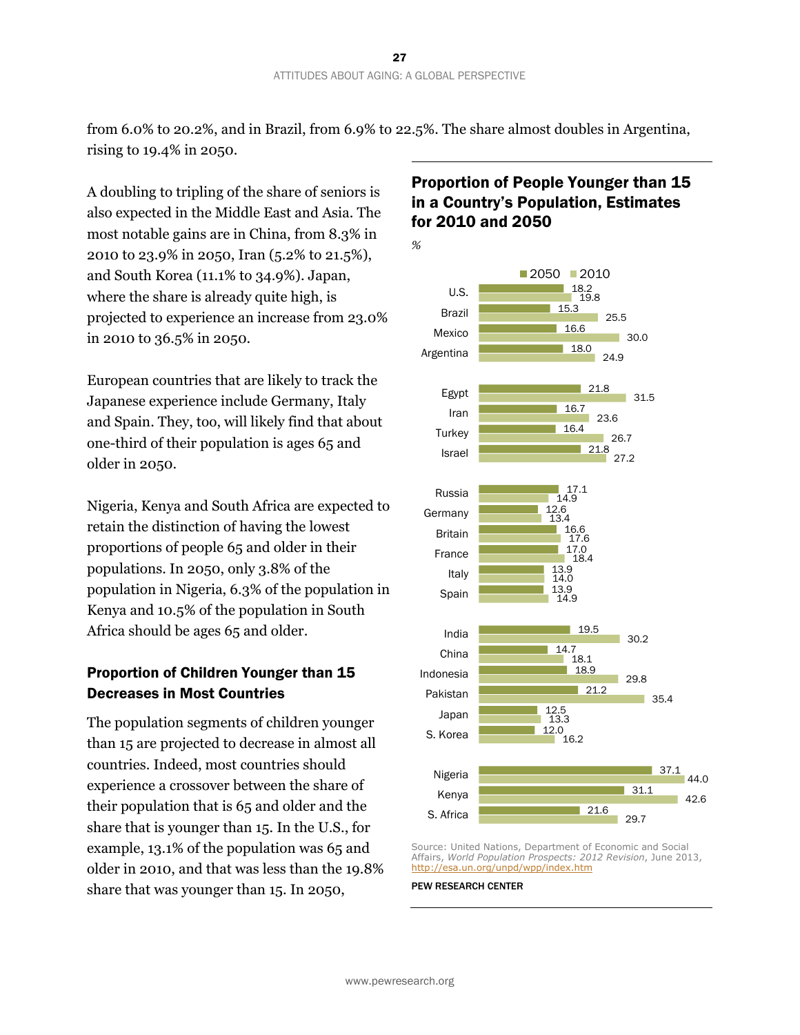from 6.0% to 20.2%, and in Brazil, from 6.9% to 22.5%. The share almost doubles in Argentina, rising to 19.4% in 2050.

A doubling to tripling of the share of seniors is also expected in the Middle East and Asia. The most notable gains are in China, from 8.3% in 2010 to 23.9% in 2050, Iran (5.2% to 21.5%), and South Korea (11.1% to 34.9%). Japan, where the share is already quite high, is projected to experience an increase from 23.0% in 2010 to 36.5% in 2050.

European countries that are likely to track the Japanese experience include Germany, Italy and Spain. They, too, will likely find that about one-third of their population is ages 65 and older in 2050.

Nigeria, Kenya and South Africa are expected to retain the distinction of having the lowest proportions of people 65 and older in their populations. In 2050, only 3.8% of the population in Nigeria, 6.3% of the population in Kenya and 10.5% of the population in South Africa should be ages 65 and older.

#### Proportion of Children Younger than 15 Decreases in Most Countries

The population segments of children younger than 15 are projected to decrease in almost all countries. Indeed, most countries should experience a crossover between the share of their population that is 65 and older and the share that is younger than 15. In the U.S., for example, 13.1% of the population was 65 and older in 2010, and that was less than the 19.8% share that was younger than 15. In 2050,

### Proportion of People Younger than 15 in a Country's Population, Estimates for 2010 and 2050



Source: United Nations, Department of Economic and Social Affairs, *World Population Prospects: 2012 Revision*, June 2013, http://esa.un.org/unpd/wpp/index.htm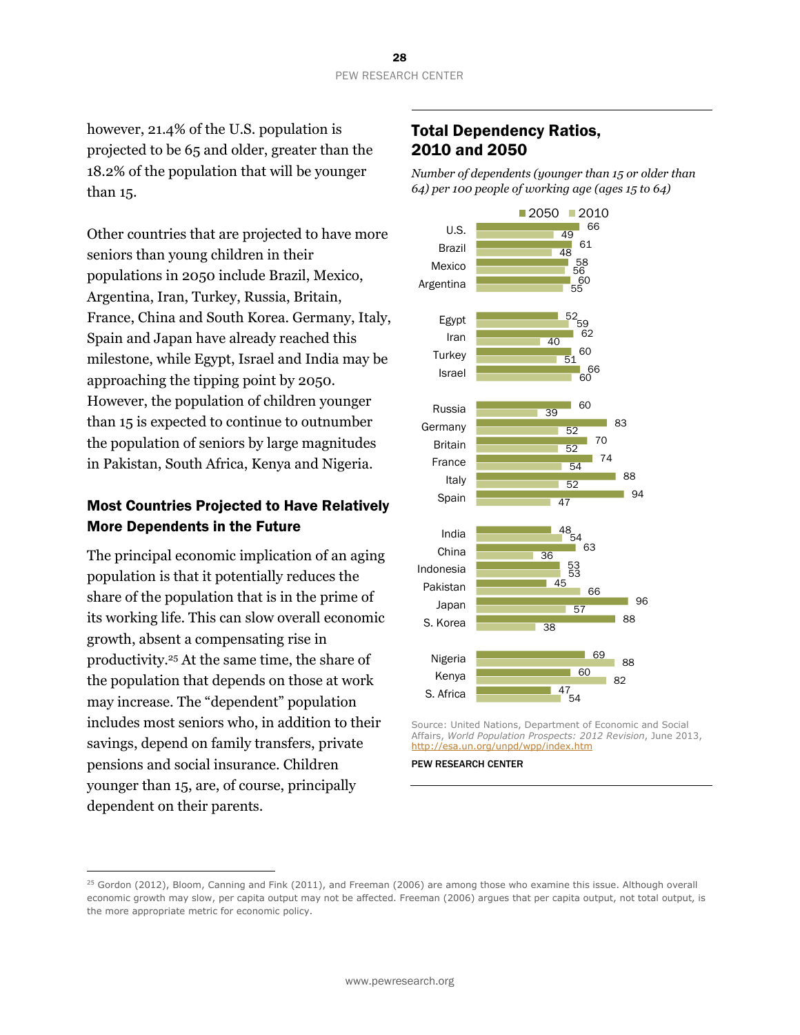however, 21.4% of the U.S. population is projected to be 65 and older, greater than the 18.2% of the population that will be younger than 15.

Other countries that are projected to have more seniors than young children in their populations in 2050 include Brazil, Mexico, Argentina, Iran, Turkey, Russia, Britain, France, China and South Korea. Germany, Italy, Spain and Japan have already reached this milestone, while Egypt, Israel and India may be approaching the tipping point by 2050. However, the population of children younger than 15 is expected to continue to outnumber the population of seniors by large magnitudes in Pakistan, South Africa, Kenya and Nigeria.

#### Most Countries Projected to Have Relatively More Dependents in the Future

The principal economic implication of an aging population is that it potentially reduces the share of the population that is in the prime of its working life. This can slow overall economic growth, absent a compensating rise in productivity.25 At the same time, the share of the population that depends on those at work may increase. The "dependent" population includes most seniors who, in addition to their savings, depend on family transfers, private pensions and social insurance. Children younger than 15, are, of course, principally dependent on their parents.

 $\overline{a}$ 

#### Total Dependency Ratios, 2010 and 2050

*Number of dependents (younger than 15 or older than 64) per 100 people of working age (ages 15 to 64)* 



Source: United Nations, Department of Economic and Social Affairs, *World Population Prospects: 2012 Revision*, June 2013, http://esa.un.org/unpd/wpp/index.htm

<sup>&</sup>lt;sup>25</sup> Gordon (2012), Bloom, Canning and Fink (2011), and Freeman (2006) are among those who examine this issue. Although overall economic growth may slow, per capita output may not be affected. Freeman (2006) argues that per capita output, not total output, is the more appropriate metric for economic policy.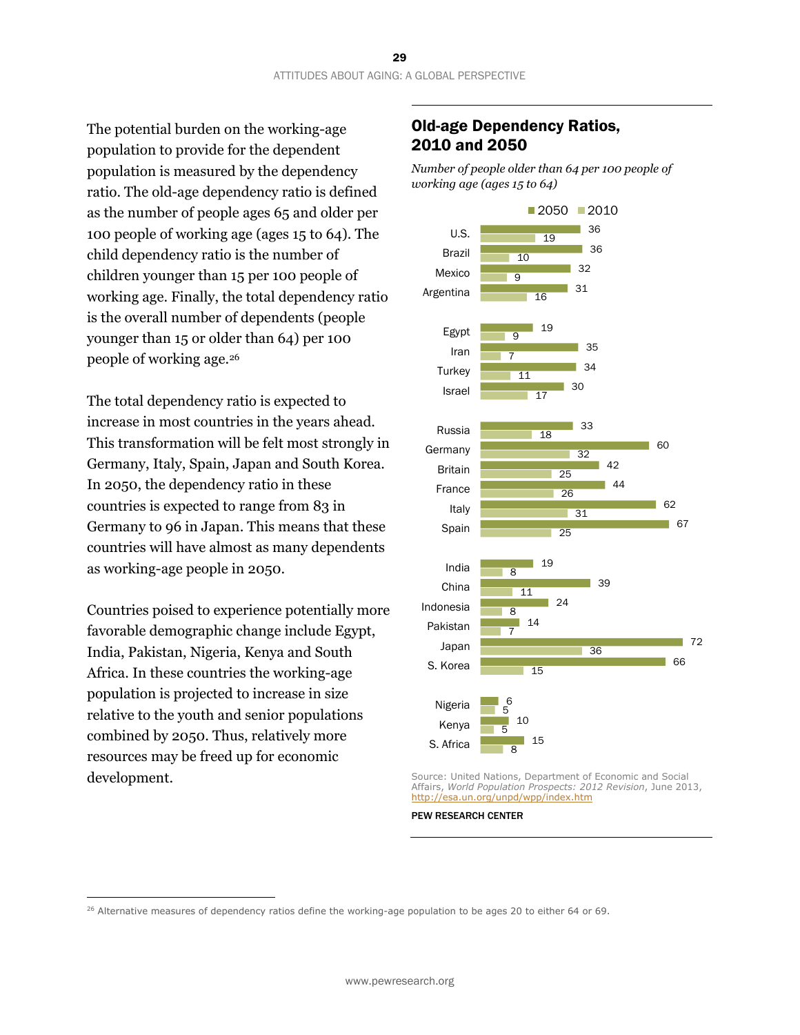The potential burden on the working-age population to provide for the dependent population is measured by the dependency ratio. The old-age dependency ratio is defined as the number of people ages 65 and older per 100 people of working age (ages 15 to 64). The child dependency ratio is the number of children younger than 15 per 100 people of working age. Finally, the total dependency ratio is the overall number of dependents (people younger than 15 or older than 64) per 100 people of working age.26

The total dependency ratio is expected to increase in most countries in the years ahead. This transformation will be felt most strongly in Germany, Italy, Spain, Japan and South Korea. In 2050, the dependency ratio in these countries is expected to range from 83 in Germany to 96 in Japan. This means that these countries will have almost as many dependents as working-age people in 2050.

Countries poised to experience potentially more favorable demographic change include Egypt, India, Pakistan, Nigeria, Kenya and South Africa. In these countries the working-age population is projected to increase in size relative to the youth and senior populations combined by 2050. Thus, relatively more resources may be freed up for economic development.

 $\overline{a}$ 

#### Old-age Dependency Ratios, 2010 and 2050

*Number of people older than 64 per 100 people of working age (ages 15 to 64)*



Source: United Nations, Department of Economic and Social Affairs, *World Population Prospects: 2012 Revision*, June 2013, http://esa.un.org/unpd/wpp/index.htm

 $26$  Alternative measures of dependency ratios define the working-age population to be ages 20 to either 64 or 69.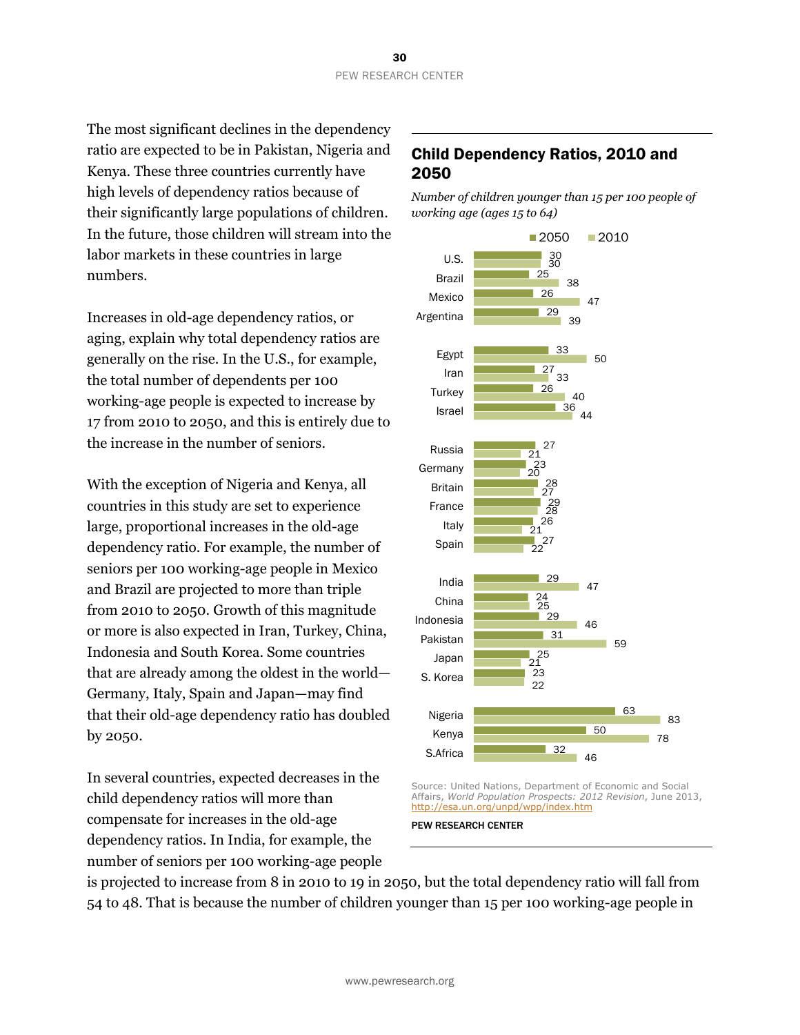The most significant declines in the dependency ratio are expected to be in Pakistan, Nigeria and Kenya. These three countries currently have high levels of dependency ratios because of their significantly large populations of children. In the future, those children will stream into the labor markets in these countries in large numbers.

Increases in old-age dependency ratios, or aging, explain why total dependency ratios are generally on the rise. In the U.S., for example, the total number of dependents per 100 working-age people is expected to increase by 17 from 2010 to 2050, and this is entirely due to the increase in the number of seniors.

With the exception of Nigeria and Kenya, all countries in this study are set to experience large, proportional increases in the old-age dependency ratio. For example, the number of seniors per 100 working-age people in Mexico and Brazil are projected to more than triple from 2010 to 2050. Growth of this magnitude or more is also expected in Iran, Turkey, China, Indonesia and South Korea. Some countries that are already among the oldest in the world— Germany, Italy, Spain and Japan—may find that their old-age dependency ratio has doubled by 2050.

In several countries, expected decreases in the child dependency ratios will more than compensate for increases in the old-age dependency ratios. In India, for example, the number of seniors per 100 working-age people

### Child Dependency Ratios, 2010 and 2050

*Number of children younger than 15 per 100 people of working age (ages 15 to 64)*



Source: United Nations, Department of Economic and Social Affairs, *World Population Prospects: 2012 Revision*, June 2013, http://esa.un.org/unpd/wpp/index.htm

PEW RESEARCH CENTER

is projected to increase from 8 in 2010 to 19 in 2050, but the total dependency ratio will fall from 54 to 48. That is because the number of children younger than 15 per 100 working-age people in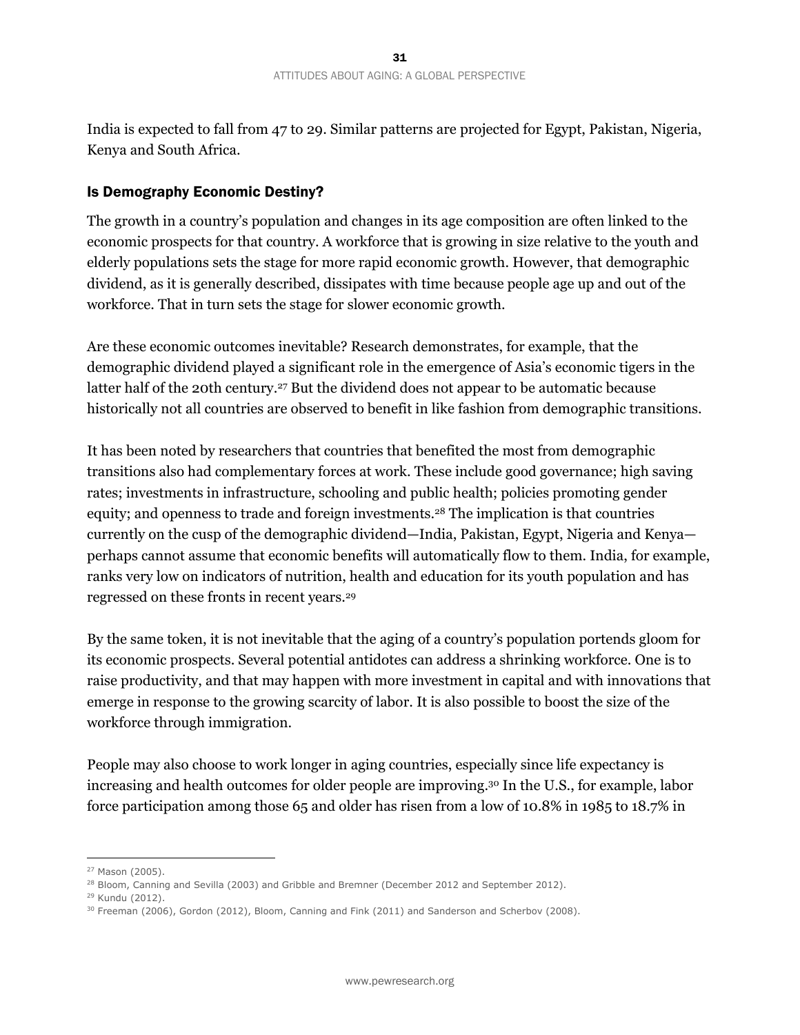India is expected to fall from 47 to 29. Similar patterns are projected for Egypt, Pakistan, Nigeria, Kenya and South Africa.

#### Is Demography Economic Destiny?

The growth in a country's population and changes in its age composition are often linked to the economic prospects for that country. A workforce that is growing in size relative to the youth and elderly populations sets the stage for more rapid economic growth. However, that demographic dividend, as it is generally described, dissipates with time because people age up and out of the workforce. That in turn sets the stage for slower economic growth.

Are these economic outcomes inevitable? Research demonstrates, for example, that the demographic dividend played a significant role in the emergence of Asia's economic tigers in the latter half of the 20th century.<sup>27</sup> But the dividend does not appear to be automatic because historically not all countries are observed to benefit in like fashion from demographic transitions.

It has been noted by researchers that countries that benefited the most from demographic transitions also had complementary forces at work. These include good governance; high saving rates; investments in infrastructure, schooling and public health; policies promoting gender equity; and openness to trade and foreign investments.28 The implication is that countries currently on the cusp of the demographic dividend—India, Pakistan, Egypt, Nigeria and Kenya perhaps cannot assume that economic benefits will automatically flow to them. India, for example, ranks very low on indicators of nutrition, health and education for its youth population and has regressed on these fronts in recent years.29

By the same token, it is not inevitable that the aging of a country's population portends gloom for its economic prospects. Several potential antidotes can address a shrinking workforce. One is to raise productivity, and that may happen with more investment in capital and with innovations that emerge in response to the growing scarcity of labor. It is also possible to boost the size of the workforce through immigration.

People may also choose to work longer in aging countries, especially since life expectancy is increasing and health outcomes for older people are improving.30 In the U.S., for example, labor force participation among those 65 and older has risen from a low of 10.8% in 1985 to 18.7% in

<sup>27</sup> Mason (2005).

<sup>&</sup>lt;sup>28</sup> Bloom, Canning and Sevilla (2003) and Gribble and Bremner (December 2012 and September 2012).

<sup>29</sup> Kundu (2012).

<sup>&</sup>lt;sup>30</sup> Freeman (2006), Gordon (2012), Bloom, Canning and Fink (2011) and Sanderson and Scherbov (2008).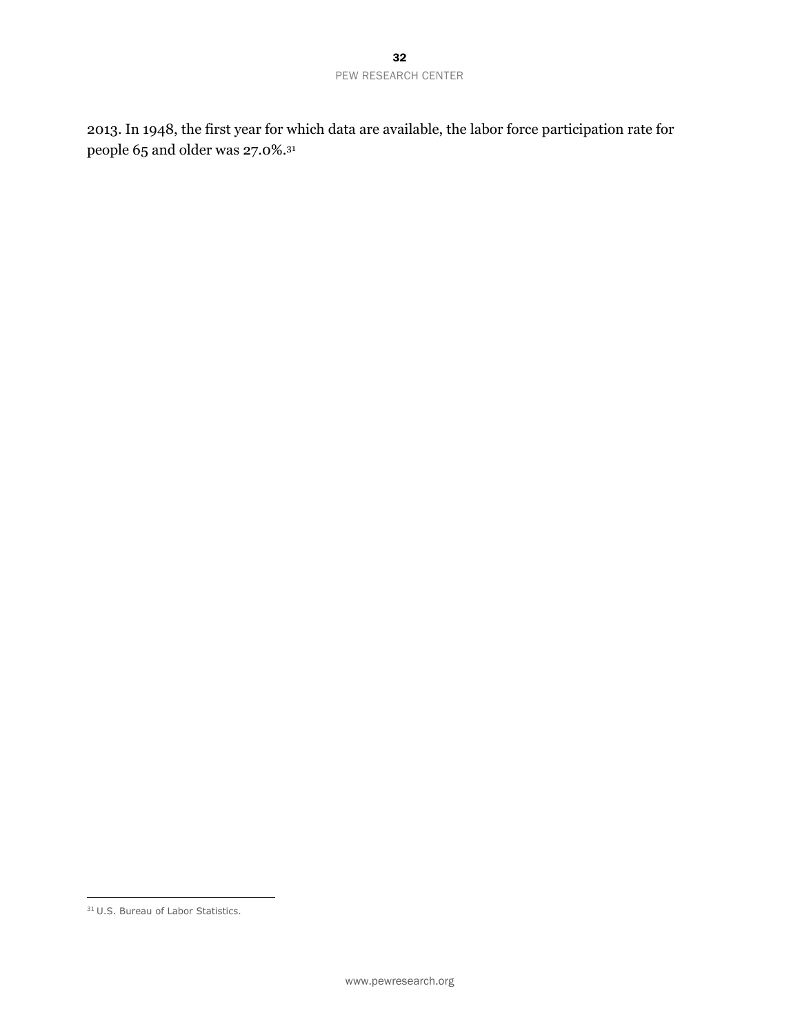2013. In 1948, the first year for which data are available, the labor force participation rate for people 65 and older was 27.0%.31

 $\overline{a}$ <sup>31</sup> U.S. Bureau of Labor Statistics.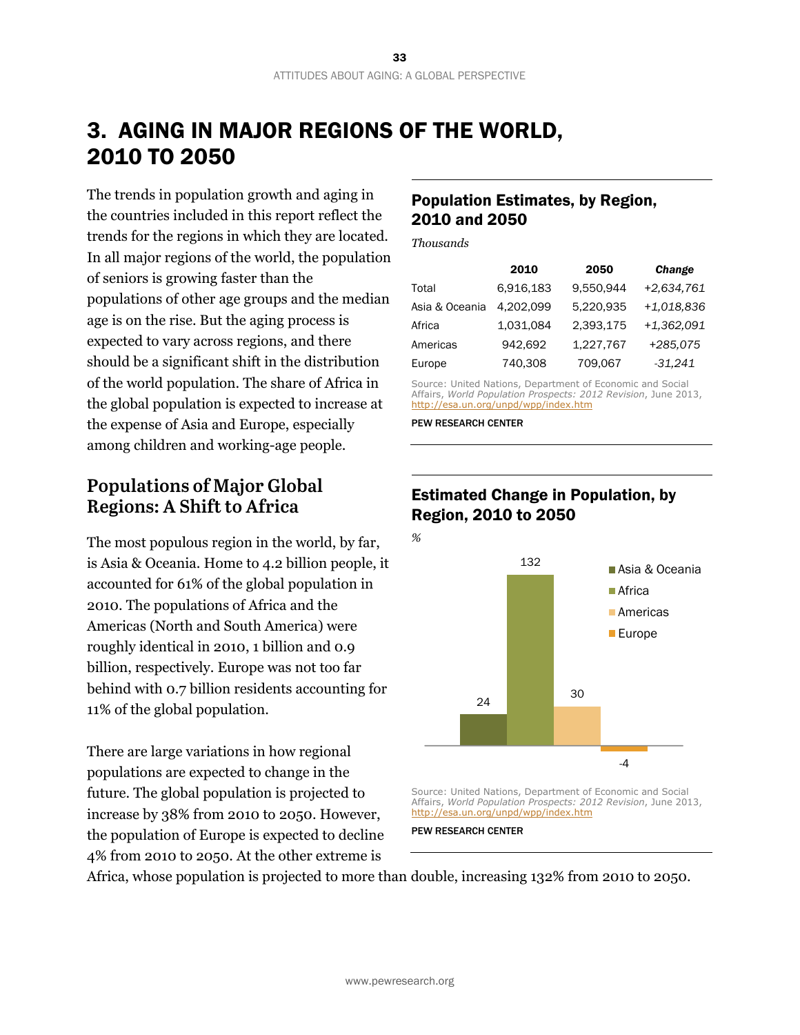# 3. AGING IN MAJOR REGIONS OF THE WORLD, 2010 TO 2050

The trends in population growth and aging in the countries included in this report reflect the trends for the regions in which they are located. In all major regions of the world, the population of seniors is growing faster than the populations of other age groups and the median age is on the rise. But the aging process is expected to vary across regions, and there should be a significant shift in the distribution of the world population. The share of Africa in the global population is expected to increase at the expense of Asia and Europe, especially among children and working-age people.

### **Populations of Major Global Regions: A Shift to Africa**

The most populous region in the world, by far, is Asia & Oceania. Home to 4.2 billion people, it accounted for 61% of the global population in 2010. The populations of Africa and the Americas (North and South America) were roughly identical in 2010, 1 billion and 0.9 billion, respectively. Europe was not too far behind with 0.7 billion residents accounting for 11% of the global population.

There are large variations in how regional populations are expected to change in the future. The global population is projected to increase by 38% from 2010 to 2050. However, the population of Europe is expected to decline 4% from 2010 to 2050. At the other extreme is

#### Population Estimates, by Region, 2010 and 2050

*Thousands*

|                | 2010      | 2050      | Change       |
|----------------|-----------|-----------|--------------|
| Total          | 6,916,183 | 9,550,944 | +2,634,761   |
| Asia & Oceania | 4,202,099 | 5,220,935 | $+1,018,836$ |
| Africa         | 1.031.084 | 2.393.175 | $+1,362,091$ |
| Americas       | 942.692   | 1,227,767 | +285,075     |
| Europe         | 740,308   | 709,067   | $-31,241$    |

Source: United Nations, Department of Economic and Social Affairs, *World Population Prospects: 2012 Revision*, June 2013, http://esa.un.org/unpd/wpp/index.htm

PEW RESEARCH CENTER

### Estimated Change in Population, by Region, 2010 to 2050



Source: United Nations, Department of Economic and Social Affairs, *World Population Prospects: 2012 Revision*, June 2013, http://esa.un.org/unpd/wpp/index.htm

PEW RESEARCH CENTER

Africa, whose population is projected to more than double, increasing 132% from 2010 to 2050.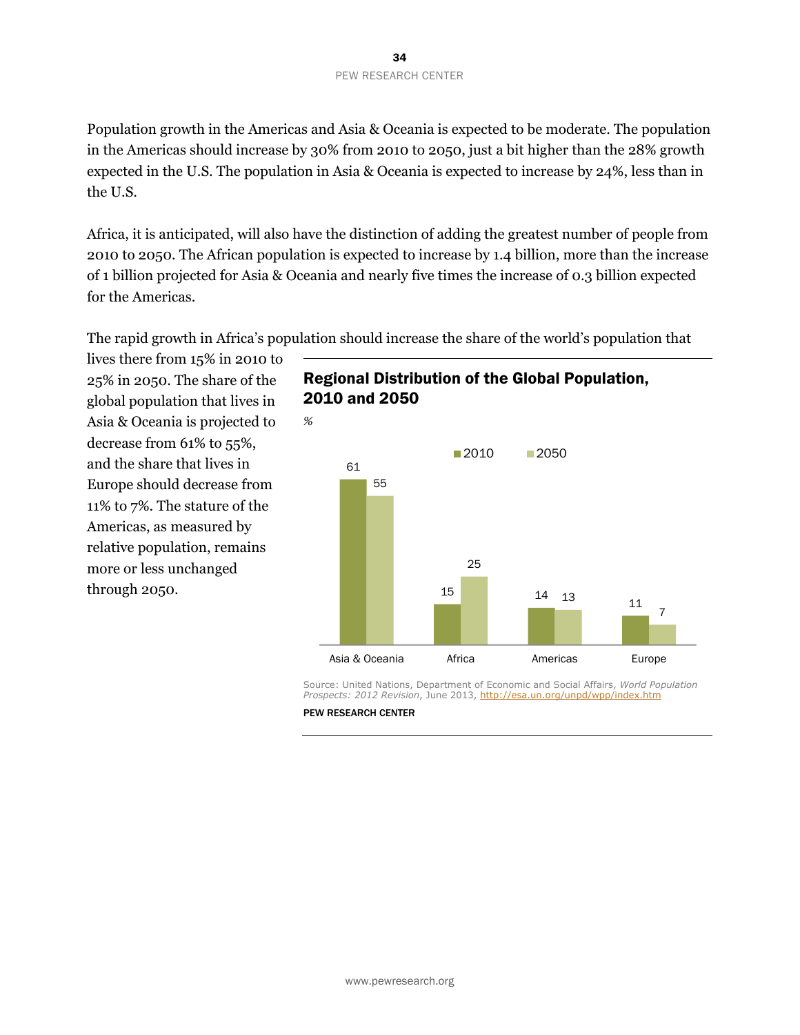Population growth in the Americas and Asia & Oceania is expected to be moderate. The population in the Americas should increase by 30% from 2010 to 2050, just a bit higher than the 28% growth expected in the U.S. The population in Asia & Oceania is expected to increase by 24%, less than in the U.S.

Africa, it is anticipated, will also have the distinction of adding the greatest number of people from 2010 to 2050. The African population is expected to increase by 1.4 billion, more than the increase of 1 billion projected for Asia & Oceania and nearly five times the increase of 0.3 billion expected for the Americas.

The rapid growth in Africa's population should increase the share of the world's population that

lives there from 15% in 2010 to 25% in 2050. The share of the global population that lives in Asia & Oceania is projected to decrease from 61% to 55%, and the share that lives in Europe should decrease from 11% to 7%. The stature of the Americas, as measured by relative population, remains more or less unchanged through 2050.





Source: United Nations, Department of Economic and Social Affairs, *World Population Prospects: 2012 Revision*, June 2013, http://esa.un.org/unpd/wpp/index.htm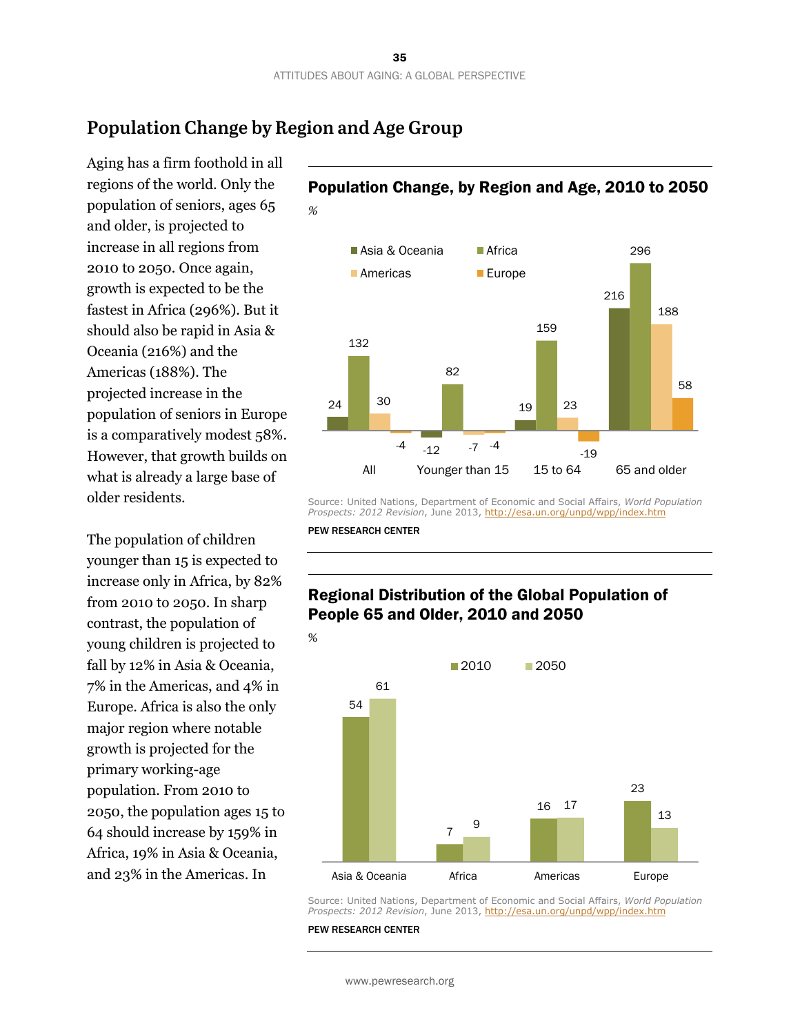### **Population Change by Region and Age Group**

Aging has a firm foothold in all regions of the world. Only the population of seniors, ages 65 and older, is projected to increase in all regions from 2010 to 2050. Once again, growth is expected to be the fastest in Africa (296%). But it should also be rapid in Asia & Oceania (216%) and the Americas (188%). The projected increase in the population of seniors in Europe is a comparatively modest 58%. However, that growth builds on what is already a large base of older residents.

The population of children younger than 15 is expected to increase only in Africa, by 82% from 2010 to 2050. In sharp contrast, the population of young children is projected to fall by 12% in Asia & Oceania, 7% in the Americas, and 4% in Europe. Africa is also the only major region where notable growth is projected for the primary working-age population. From 2010 to 2050, the population ages 15 to 64 should increase by 159% in Africa, 19% in Asia & Oceania, and 23% in the Americas. In

#### Population Change, by Region and Age, 2010 to 2050



Source: United Nations, Department of Economic and Social Affairs, *World Population Prospects: 2012 Revision*, June 2013, http://esa.un.org/unpd/wpp/index.htm

PEW RESEARCH CENTER

#### Regional Distribution of the Global Population of People 65 and Older, 2010 and 2050



Source: United Nations, Department of Economic and Social Affairs, *World Population Prospects: 2012 Revision*, June 2013, http://esa.un.org/unpd/wpp/index.htm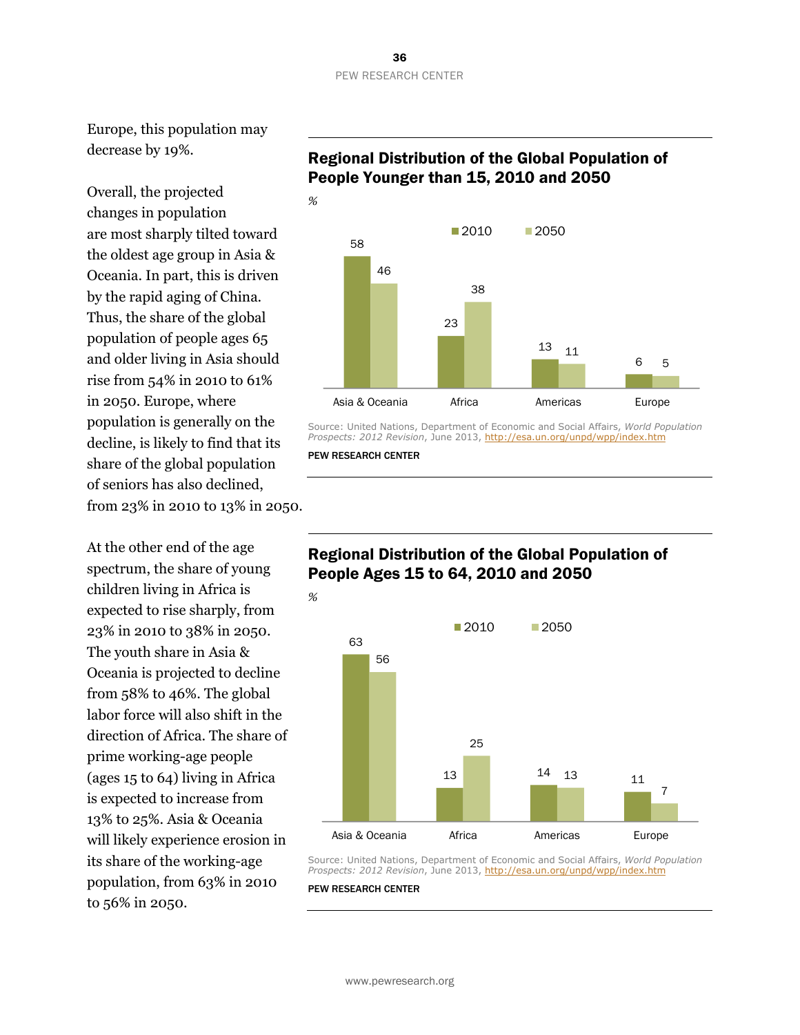#### 36 PEW RESEARCH CENTER

Europe, this population may decrease by 19%.

Overall, the projected changes in population are most sharply tilted toward the oldest age group in Asia & Oceania. In part, this is driven by the rapid aging of China. Thus, the share of the global population of people ages 65 and older living in Asia should rise from 54% in 2010 to 61% in 2050. Europe, where population is generally on the decline, is likely to find that its share of the global population of seniors has also declined, from 23% in 2010 to 13% in 2050.

At the other end of the age spectrum, the share of young children living in Africa is expected to rise sharply, from 23% in 2010 to 38% in 2050. The youth share in Asia & Oceania is projected to decline from 58% to 46%. The global labor force will also shift in the direction of Africa. The share of prime working-age people (ages 15 to 64) living in Africa is expected to increase from 13% to 25%. Asia & Oceania will likely experience erosion in its share of the working-age population, from 63% in 2010 to 56% in 2050.

#### Regional Distribution of the Global Population of People Younger than 15, 2010 and 2050



Source: United Nations, Department of Economic and Social Affairs, *World Population Prospects: 2012 Revision*, June 2013, http://esa.un.org/unpd/wpp/index.htm

PEW RESEARCH CENTER

#### Regional Distribution of the Global Population of People Ages 15 to 64, 2010 and 2050



Source: United Nations, Department of Economic and Social Affairs, *World Population Prospects: 2012 Revision*, June 2013, http://esa.un.org/unpd/wpp/index.htm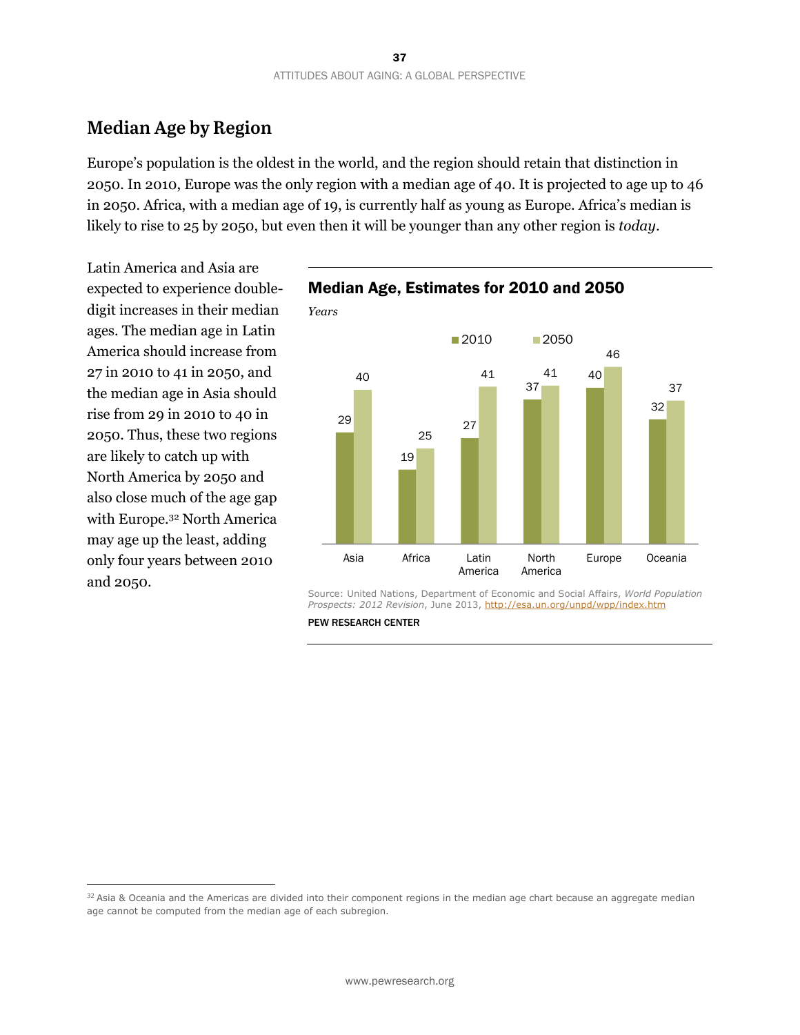### **Median Age by Region**

Europe's population is the oldest in the world, and the region should retain that distinction in 2050. In 2010, Europe was the only region with a median age of 40. It is projected to age up to 46 in 2050. Africa, with a median age of 19, is currently half as young as Europe. Africa's median is likely to rise to 25 by 2050, but even then it will be younger than any other region is *today*.

Latin America and Asia are expected to experience doubledigit increases in their median ages. The median age in Latin America should increase from 27 in 2010 to 41 in 2050, and the median age in Asia should rise from 29 in 2010 to 40 in 2050. Thus, these two regions are likely to catch up with North America by 2050 and also close much of the age gap with Europe.32 North America may age up the least, adding only four years between 2010 and 2050.

 $\overline{a}$ 



Source: United Nations, Department of Economic and Social Affairs, *World Population Prospects: 2012 Revision*, June 2013, http://esa.un.org/unpd/wpp/index.htm

PEW RESEARCH CENTER

 $32$  Asia & Oceania and the Americas are divided into their component regions in the median age chart because an aggregate median age cannot be computed from the median age of each subregion.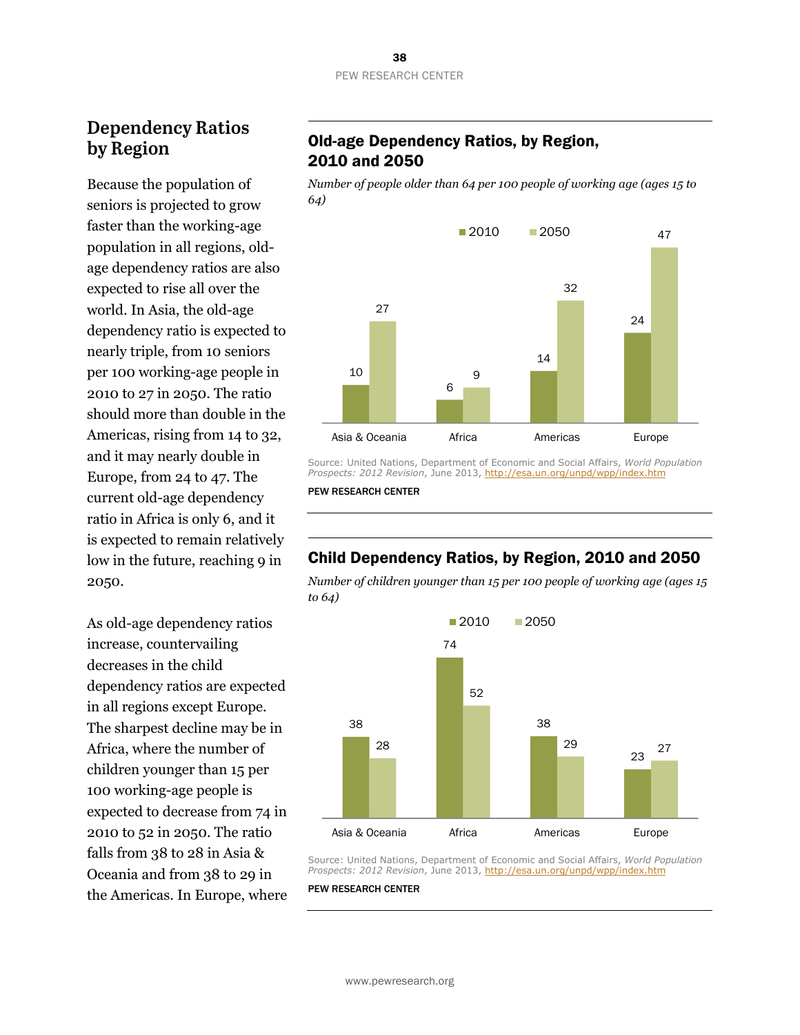### **Dependency Ratios by Region**

Because the population of seniors is projected to grow faster than the working-age population in all regions, oldage dependency ratios are also expected to rise all over the world. In Asia, the old-age dependency ratio is expected to nearly triple, from 10 seniors per 100 working-age people in 2010 to 27 in 2050. The ratio should more than double in the Americas, rising from 14 to 32, and it may nearly double in Europe, from 24 to 47. The current old-age dependency ratio in Africa is only 6, and it is expected to remain relatively low in the future, reaching 9 in 2050.

As old-age dependency ratios increase, countervailing decreases in the child dependency ratios are expected in all regions except Europe. The sharpest decline may be in Africa, where the number of children younger than 15 per 100 working-age people is expected to decrease from 74 in 2010 to 52 in 2050. The ratio falls from 38 to 28 in Asia & Oceania and from 38 to 29 in the Americas. In Europe, where

#### Old-age Dependency Ratios, by Region, 2010 and 2050

*Number of people older than 64 per 100 people of working age (ages 15 to 64)*



Source: United Nations, Department of Economic and Social Affairs, *World Population Prospects: 2012 Revision*, June 2013, http://esa.un.org/unpd/wpp/index.htm

PEW RESEARCH CENTER

#### Child Dependency Ratios, by Region, 2010 and 2050

*Number of children younger than 15 per 100 people of working age (ages 15 to 64)*



Source: United Nations, Department of Economic and Social Affairs, *World Population Prospects: 2012 Revision*, June 2013, http://esa.un.org/unpd/wpp/index.htm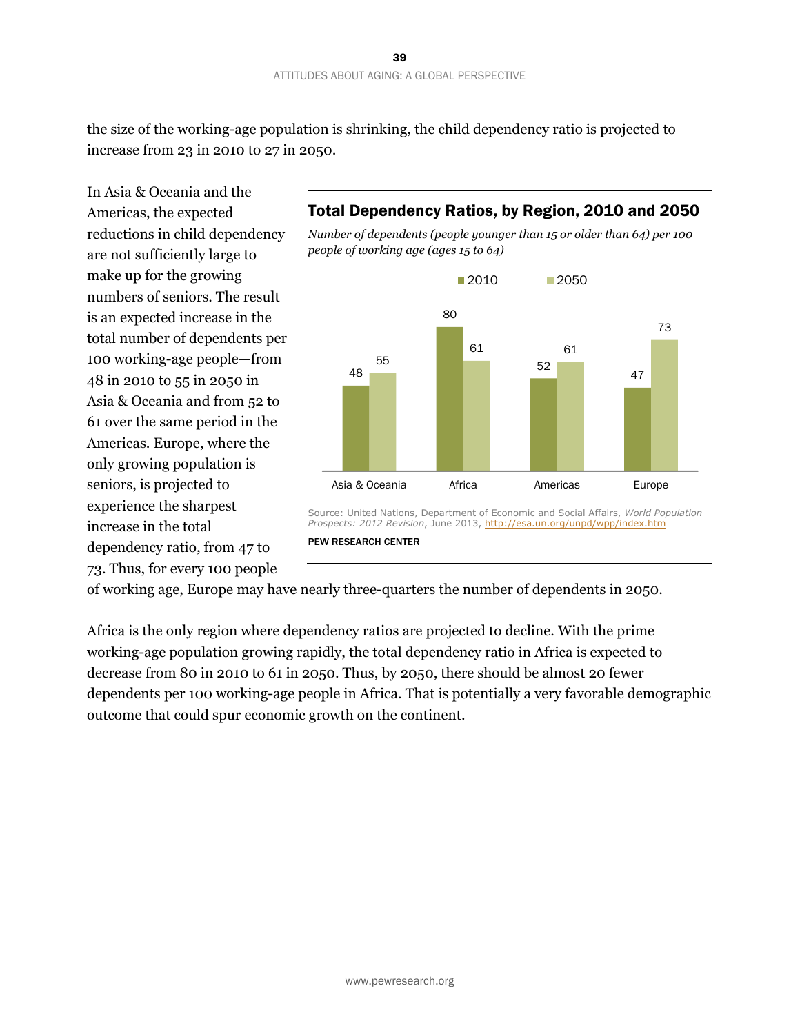the size of the working-age population is shrinking, the child dependency ratio is projected to increase from 23 in 2010 to 27 in 2050.

In Asia & Oceania and the Americas, the expected reductions in child dependency are not sufficiently large to make up for the growing numbers of seniors. The result is an expected increase in the total number of dependents per 100 working-age people—from 48 in 2010 to 55 in 2050 in Asia & Oceania and from 52 to 61 over the same period in the Americas. Europe, where the only growing population is seniors, is projected to experience the sharpest increase in the total dependency ratio, from 47 to 73. Thus, for every 100 people

### Total Dependency Ratios, by Region, 2010 and 2050





PEW RESEARCH CENTER

of working age, Europe may have nearly three-quarters the number of dependents in 2050.

Africa is the only region where dependency ratios are projected to decline. With the prime working-age population growing rapidly, the total dependency ratio in Africa is expected to decrease from 80 in 2010 to 61 in 2050. Thus, by 2050, there should be almost 20 fewer dependents per 100 working-age people in Africa. That is potentially a very favorable demographic outcome that could spur economic growth on the continent.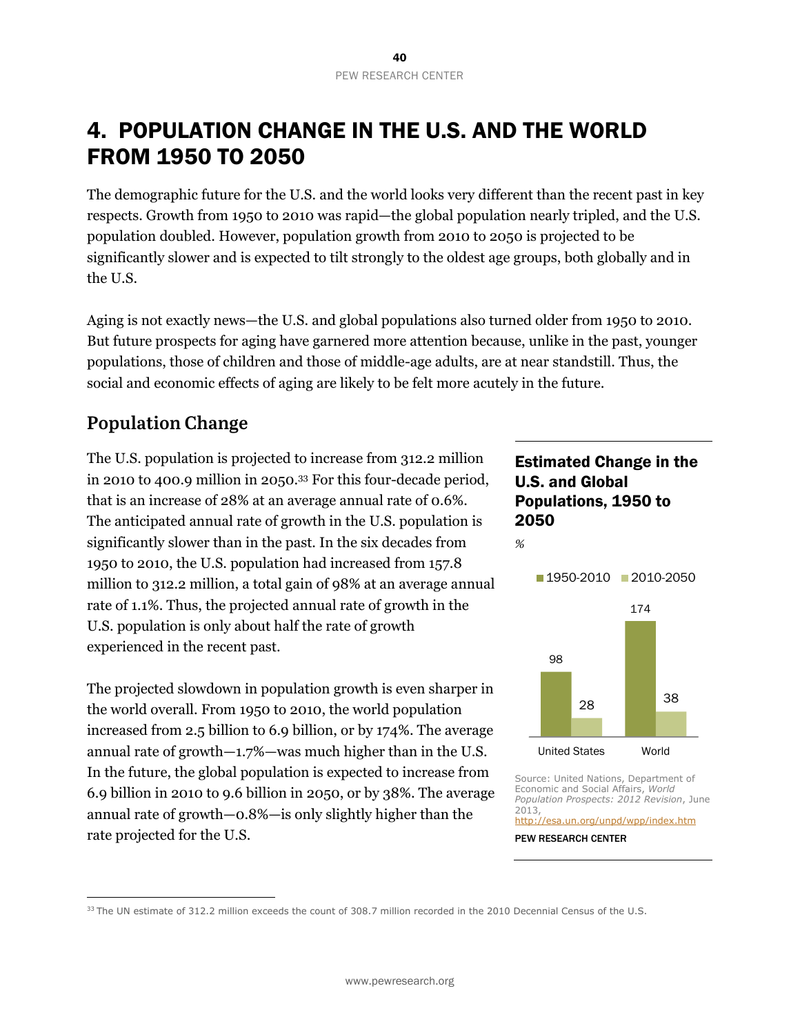# 4. POPULATION CHANGE IN THE U.S. AND THE WORLD FROM 1950 TO 2050

The demographic future for the U.S. and the world looks very different than the recent past in key respects. Growth from 1950 to 2010 was rapid—the global population nearly tripled, and the U.S. population doubled. However, population growth from 2010 to 2050 is projected to be significantly slower and is expected to tilt strongly to the oldest age groups, both globally and in the U.S.

Aging is not exactly news—the U.S. and global populations also turned older from 1950 to 2010. But future prospects for aging have garnered more attention because, unlike in the past, younger populations, those of children and those of middle-age adults, are at near standstill. Thus, the social and economic effects of aging are likely to be felt more acutely in the future.

# **Population Change**

 $\overline{a}$ 

The U.S. population is projected to increase from 312.2 million in 2010 to 400.9 million in 2050.33 For this four-decade period, that is an increase of 28% at an average annual rate of 0.6%. The anticipated annual rate of growth in the U.S. population is significantly slower than in the past. In the six decades from 1950 to 2010, the U.S. population had increased from 157.8 million to 312.2 million, a total gain of 98% at an average annual rate of 1.1%. Thus, the projected annual rate of growth in the U.S. population is only about half the rate of growth experienced in the recent past.

The projected slowdown in population growth is even sharper in the world overall. From 1950 to 2010, the world population increased from 2.5 billion to 6.9 billion, or by 174%. The average annual rate of growth—1.7%—was much higher than in the U.S. In the future, the global population is expected to increase from 6.9 billion in 2010 to 9.6 billion in 2050, or by 38%. The average annual rate of growth—0.8%—is only slightly higher than the rate projected for the U.S.

#### Estimated Change in the U.S. and Global Populations, 1950 to 2050

*%* 



Source: United Nations, Department of Economic and Social Affairs, *World Population Prospects: 2012 Revision*, June 2013, http://esa.un.org/unpd/wpp/index.htm

<sup>&</sup>lt;sup>33</sup> The UN estimate of 312.2 million exceeds the count of 308.7 million recorded in the 2010 Decennial Census of the U.S.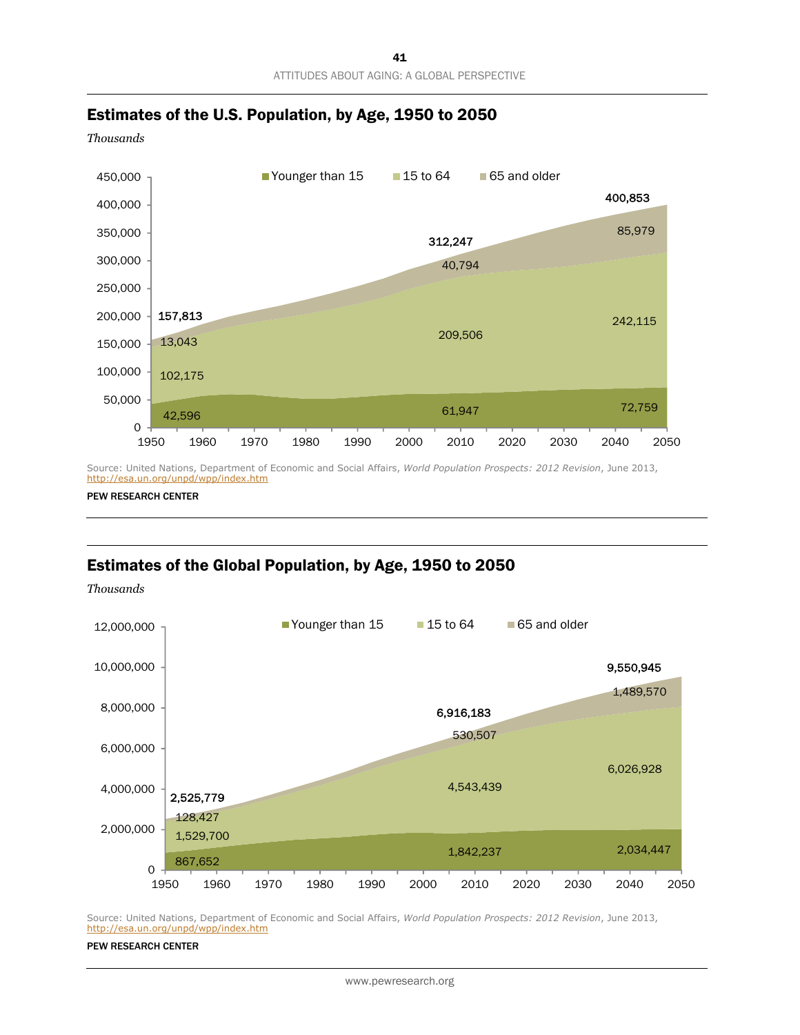

#### Estimates of the U.S. Population, by Age, 1950 to 2050

*Thousands* 

Source: United Nations, Department of Economic and Social Affairs, *World Population Prospects: 2012 Revision*, June 2013, http://esa.un.org/unpd/wpp/index.htm

PEW RESEARCH CENTER

#### Estimates of the Global Population, by Age, 1950 to 2050

*Thousands* 



Source: United Nations, Department of Economic and Social Affairs, *World Population Prospects: 2012 Revision*, June 2013, http://esa.un.org/unpd/wpp/index.htm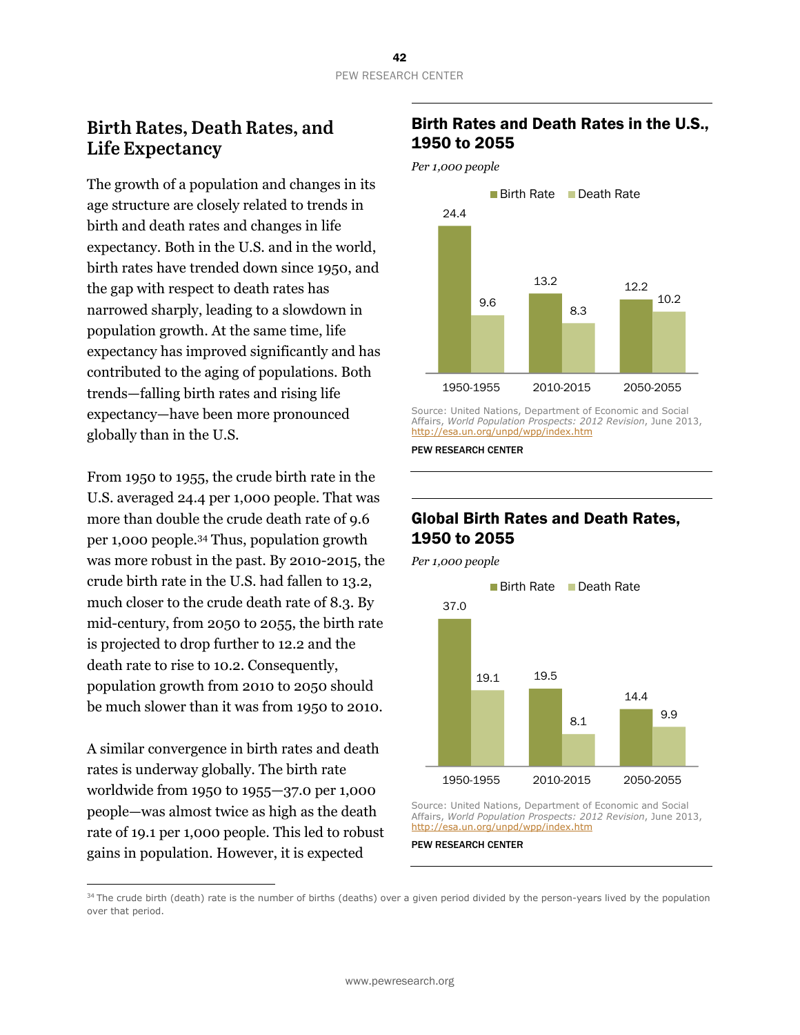### **Birth Rates, Death Rates, and Life Expectancy**

The growth of a population and changes in its age structure are closely related to trends in birth and death rates and changes in life expectancy. Both in the U.S. and in the world, birth rates have trended down since 1950, and the gap with respect to death rates has narrowed sharply, leading to a slowdown in population growth. At the same time, life expectancy has improved significantly and has contributed to the aging of populations. Both trends—falling birth rates and rising life expectancy—have been more pronounced globally than in the U.S.

From 1950 to 1955, the crude birth rate in the U.S. averaged 24.4 per 1,000 people. That was more than double the crude death rate of 9.6 per 1,000 people.34 Thus, population growth was more robust in the past. By 2010-2015, the crude birth rate in the U.S. had fallen to 13.2, much closer to the crude death rate of 8.3. By mid-century, from 2050 to 2055, the birth rate is projected to drop further to 12.2 and the death rate to rise to 10.2. Consequently, population growth from 2010 to 2050 should be much slower than it was from 1950 to 2010.

A similar convergence in birth rates and death rates is underway globally. The birth rate worldwide from 1950 to 1955—37.0 per 1,000 people—was almost twice as high as the death rate of 19.1 per 1,000 people. This led to robust gains in population. However, it is expected

 $\overline{a}$ 

#### Birth Rates and Death Rates in the U.S., 1950 to 2055

*Per 1,000 people* 



Source: United Nations, Department of Economic and Social Affairs, *World Population Prospects: 2012 Revision*, June 2013, http://esa.un.org/unpd/wpp/index.htm

PEW RESEARCH CENTER

#### Global Birth Rates and Death Rates, 1950 to 2055

*Per 1,000 people* 



Source: United Nations, Department of Economic and Social Affairs, *World Population Prospects: 2012 Revision*, June 2013, http://esa.un.org/unpd/wpp/index.htm

PEW RESEARCH CENTER

<sup>34</sup> The crude birth (death) rate is the number of births (deaths) over a given period divided by the person-years lived by the population over that period.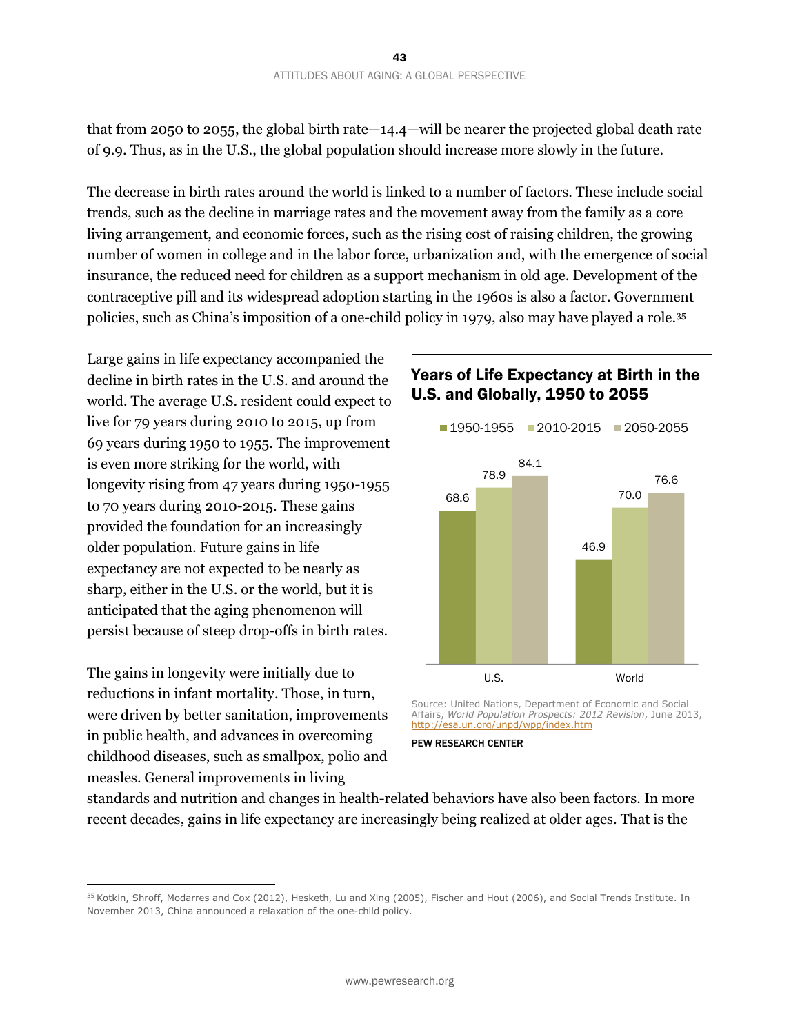that from 2050 to 2055, the global birth rate—14.4—will be nearer the projected global death rate of 9.9. Thus, as in the U.S., the global population should increase more slowly in the future.

The decrease in birth rates around the world is linked to a number of factors. These include social trends, such as the decline in marriage rates and the movement away from the family as a core living arrangement, and economic forces, such as the rising cost of raising children, the growing number of women in college and in the labor force, urbanization and, with the emergence of social insurance, the reduced need for children as a support mechanism in old age. Development of the contraceptive pill and its widespread adoption starting in the 1960s is also a factor. Government policies, such as China's imposition of a one-child policy in 1979, also may have played a role.35

Large gains in life expectancy accompanied the decline in birth rates in the U.S. and around the world. The average U.S. resident could expect to live for 79 years during 2010 to 2015, up from 69 years during 1950 to 1955. The improvement is even more striking for the world, with longevity rising from 47 years during 1950-1955 to 70 years during 2010-2015. These gains provided the foundation for an increasingly older population. Future gains in life expectancy are not expected to be nearly as sharp, either in the U.S. or the world, but it is anticipated that the aging phenomenon will persist because of steep drop-offs in birth rates.

The gains in longevity were initially due to reductions in infant mortality. Those, in turn, were driven by better sanitation, improvements in public health, and advances in overcoming childhood diseases, such as smallpox, polio and measles. General improvements in living

 $\overline{a}$ 

#### Years of Life Expectancy at Birth in the U.S. and Globally, 1950 to 2055



Source: United Nations, Department of Economic and Social Affairs, *World Population Prospects: 2012 Revision*, June 2013, http://esa.un.org/unpd/wpp/index.htm

PEW RESEARCH CENTER

standards and nutrition and changes in health-related behaviors have also been factors. In more recent decades, gains in life expectancy are increasingly being realized at older ages. That is the

<sup>&</sup>lt;sup>35</sup> Kotkin, Shroff, Modarres and Cox (2012), Hesketh, Lu and Xing (2005), Fischer and Hout (2006), and Social Trends Institute. In November 2013, China announced a relaxation of the one-child policy.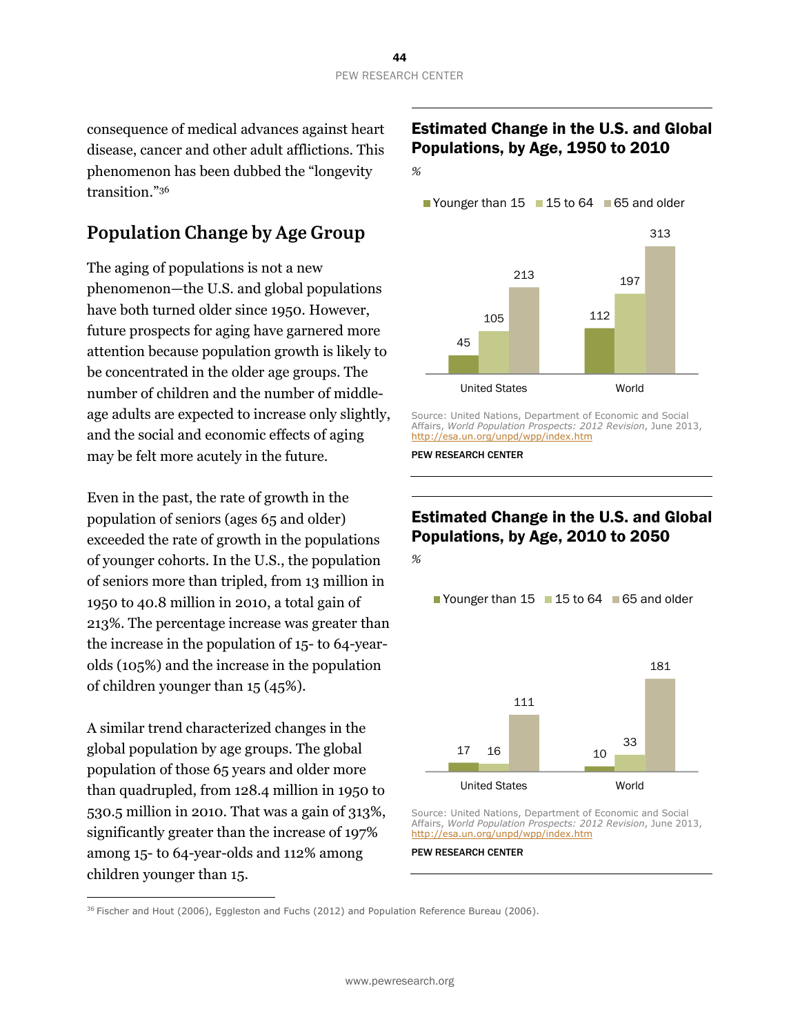consequence of medical advances against heart disease, cancer and other adult afflictions. This phenomenon has been dubbed the "longevity transition."36

# **Population Change by Age Group**

The aging of populations is not a new phenomenon—the U.S. and global populations have both turned older since 1950. However, future prospects for aging have garnered more attention because population growth is likely to be concentrated in the older age groups. The number of children and the number of middleage adults are expected to increase only slightly, and the social and economic effects of aging may be felt more acutely in the future.

Even in the past, the rate of growth in the population of seniors (ages 65 and older) exceeded the rate of growth in the populations of younger cohorts. In the U.S., the population of seniors more than tripled, from 13 million in 1950 to 40.8 million in 2010, a total gain of 213%. The percentage increase was greater than the increase in the population of 15- to 64-yearolds (105%) and the increase in the population of children younger than 15 (45%).

A similar trend characterized changes in the global population by age groups. The global population of those 65 years and older more than quadrupled, from 128.4 million in 1950 to 530.5 million in 2010. That was a gain of 313%, significantly greater than the increase of 197% among 15- to 64-year-olds and 112% among children younger than 15.

 $\overline{a}$ 

### Estimated Change in the U.S. and Global Populations, by Age, 1950 to 2010



Younger than  $15 \square 15$  to  $64 \square 65$  and older



Source: United Nations, Department of Economic and Social Affairs, *World Population Prospects: 2012 Revision*, June 2013, http://esa.un.org/unpd/wpp/index.htm

PEW RESEARCH CENTER

# Estimated Change in the U.S. and Global Populations, by Age, 2010 to 2050

*%*

Younger than  $15 \equiv 15$  to 64  $\equiv 65$  and older



Source: United Nations, Department of Economic and Social Affairs, *World Population Prospects: 2012 Revision*, June 2013, http://esa.un.org/unpd/wpp/index.htm

PEW RESEARCH CENTER

 $36$  Fischer and Hout (2006), Eggleston and Fuchs (2012) and Population Reference Bureau (2006).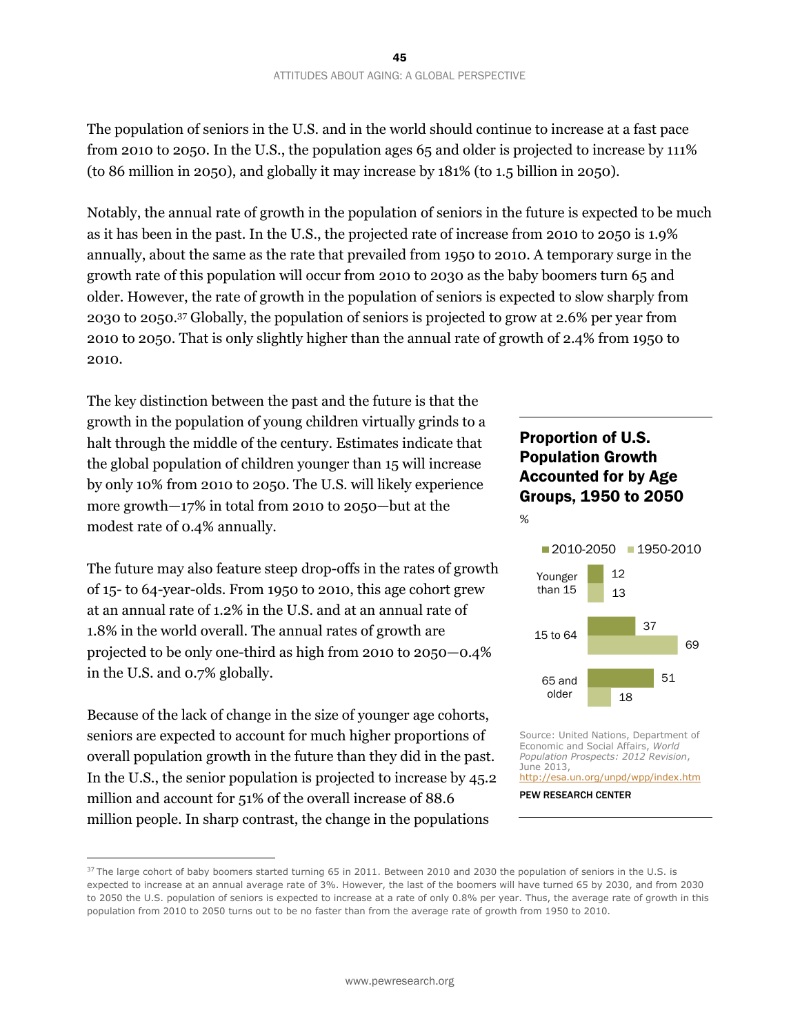The population of seniors in the U.S. and in the world should continue to increase at a fast pace from 2010 to 2050. In the U.S., the population ages 65 and older is projected to increase by 111% (to 86 million in 2050), and globally it may increase by 181% (to 1.5 billion in 2050).

Notably, the annual rate of growth in the population of seniors in the future is expected to be much as it has been in the past. In the U.S., the projected rate of increase from 2010 to 2050 is 1.9% annually, about the same as the rate that prevailed from 1950 to 2010. A temporary surge in the growth rate of this population will occur from 2010 to 2030 as the baby boomers turn 65 and older. However, the rate of growth in the population of seniors is expected to slow sharply from 2030 to 2050.37 Globally, the population of seniors is projected to grow at 2.6% per year from 2010 to 2050. That is only slightly higher than the annual rate of growth of 2.4% from 1950 to 2010.

The key distinction between the past and the future is that the growth in the population of young children virtually grinds to a halt through the middle of the century. Estimates indicate that the global population of children younger than 15 will increase by only 10% from 2010 to 2050. The U.S. will likely experience more growth—17% in total from 2010 to 2050—but at the modest rate of 0.4% annually.

The future may also feature steep drop-offs in the rates of growth of 15- to 64-year-olds. From 1950 to 2010, this age cohort grew at an annual rate of 1.2% in the U.S. and at an annual rate of 1.8% in the world overall. The annual rates of growth are projected to be only one-third as high from 2010 to 2050—0.4% in the U.S. and 0.7% globally.

Because of the lack of change in the size of younger age cohorts, seniors are expected to account for much higher proportions of overall population growth in the future than they did in the past. In the U.S., the senior population is projected to increase by 45.2 million and account for 51% of the overall increase of 88.6 million people. In sharp contrast, the change in the populations

 $\overline{a}$ 

### Proportion of U.S. Population Growth Accounted for by Age Groups, 1950 to 2050





Source: United Nations, Department of Economic and Social Affairs, *World Population Prospects: 2012 Revision*, June 2013, http://esa.un.org/unpd/wpp/index.htm



<sup>&</sup>lt;sup>37</sup> The large cohort of baby boomers started turning 65 in 2011. Between 2010 and 2030 the population of seniors in the U.S. is expected to increase at an annual average rate of 3%. However, the last of the boomers will have turned 65 by 2030, and from 2030 to 2050 the U.S. population of seniors is expected to increase at a rate of only 0.8% per year. Thus, the average rate of growth in this population from 2010 to 2050 turns out to be no faster than from the average rate of growth from 1950 to 2010.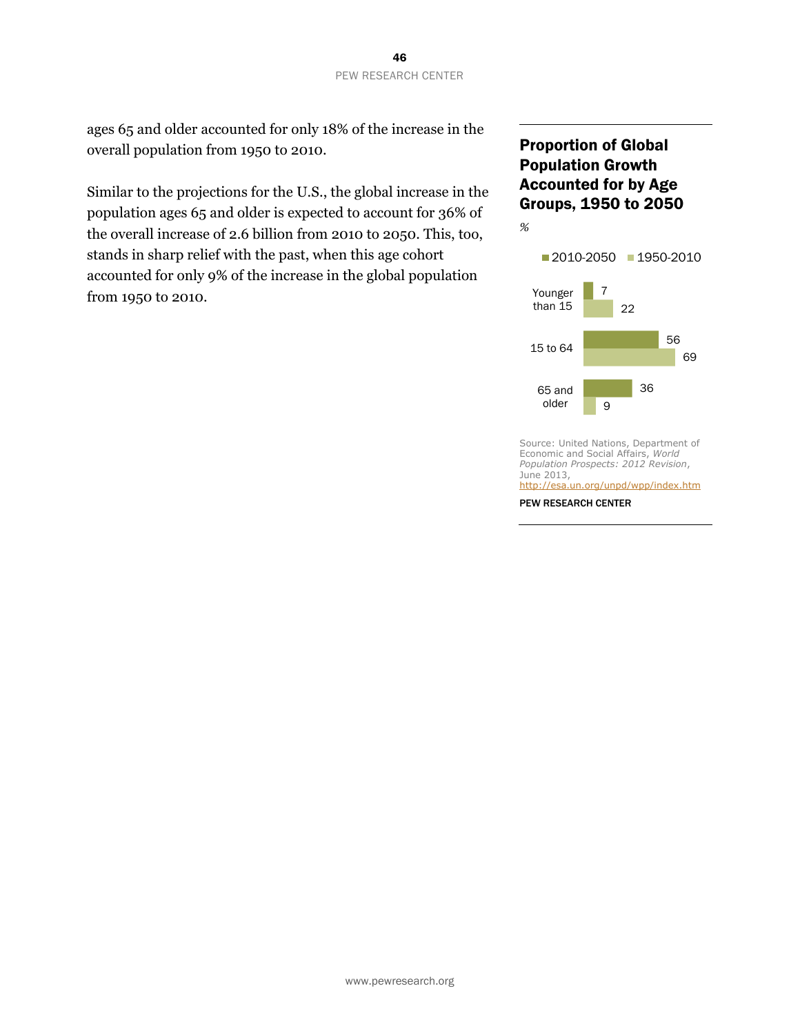ages 65 and older accounted for only 18% of the increase in the overall population from 1950 to 2010.

Similar to the projections for the U.S., the global increase in the population ages 65 and older is expected to account for 36% of the overall increase of 2.6 billion from 2010 to 2050. This, too, stands in sharp relief with the past, when this age cohort accounted for only 9% of the increase in the global population from 1950 to 2010.

#### Proportion of Global Population Growth Accounted for by Age Groups, 1950 to 2050



Source: United Nations, Department of Economic and Social Affairs, *World Population Prospects: 2012 Revision*, June 2013, http://esa.un.org/unpd/wpp/index.htm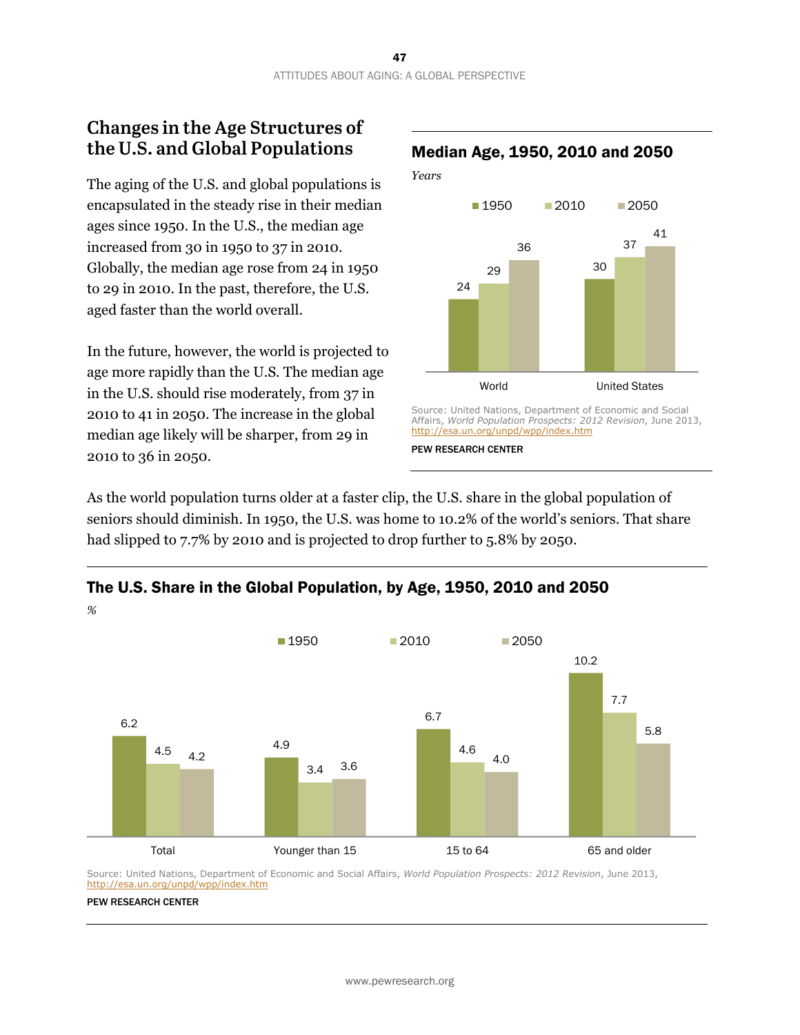### **Changes in the Age Structures of the U.S. and Global Populations**

The aging of the U.S. and global populations is encapsulated in the steady rise in their median ages since 1950. In the U.S., the median age increased from 30 in 1950 to 37 in 2010. Globally, the median age rose from 24 in 1950 to 29 in 2010. In the past, therefore, the U.S. aged faster than the world overall.

In the future, however, the world is projected to age more rapidly than the U.S. The median age in the U.S. should rise moderately, from 37 in 2010 to 41 in 2050. The increase in the global median age likely will be sharper, from 29 in 2010 to 36 in 2050.



As the world population turns older at a faster clip, the U.S. share in the global population of seniors should diminish. In 1950, the U.S. was home to 10.2% of the world's seniors. That share had slipped to 7.7% by 2010 and is projected to drop further to 5.8% by 2050.



The U.S. Share in the Global Population, by Age, 1950, 2010 and 2050

Source: United Nations, Department of Economic and Social Affairs, *World Population Prospects: 2012 Revision*, June 2013, http://esa.un.org/unpd/wpp/index.htm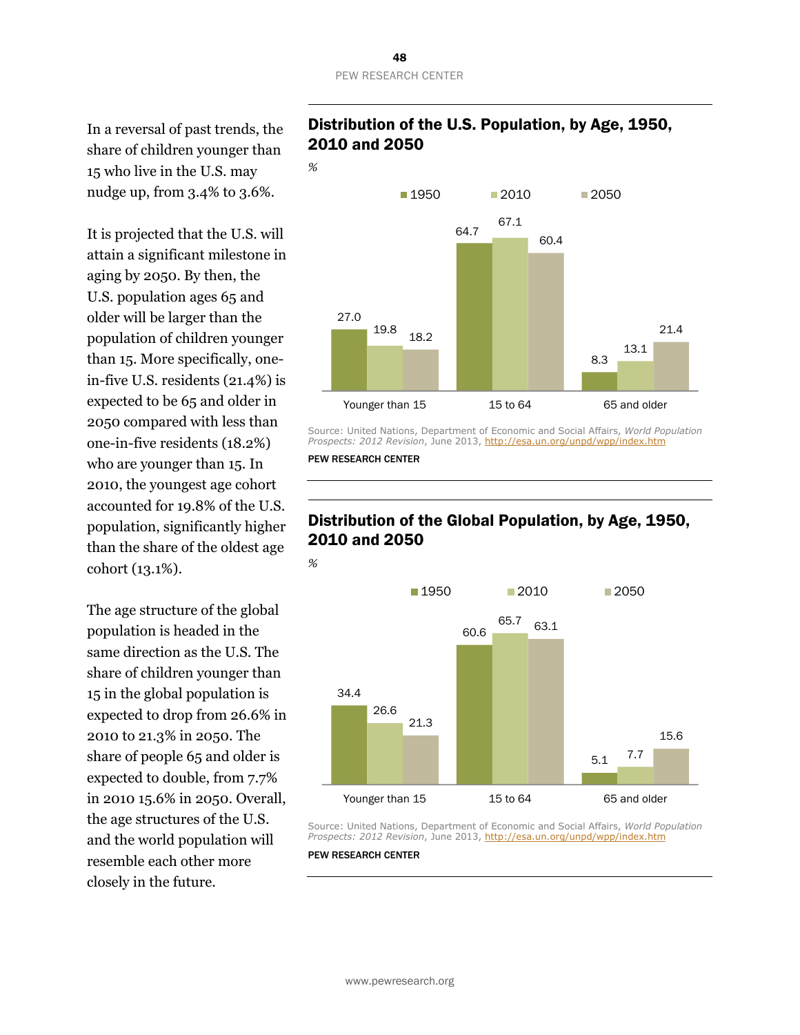In a reversal of past trends, the share of children younger than 15 who live in the U.S. may nudge up, from 3.4% to 3.6%.

It is projected that the U.S. will attain a significant milestone in aging by 2050. By then, the U.S. population ages 65 and older will be larger than the population of children younger than 15. More specifically, onein-five U.S. residents (21.4%) is expected to be 65 and older in 2050 compared with less than one-in-five residents (18.2%) who are younger than 15. In 2010, the youngest age cohort accounted for 19.8% of the U.S. population, significantly higher than the share of the oldest age cohort (13.1%).

The age structure of the global population is headed in the same direction as the U.S. The share of children younger than 15 in the global population is expected to drop from 26.6% in 2010 to 21.3% in 2050. The share of people 65 and older is expected to double, from 7.7% in 2010 15.6% in 2050. Overall, the age structures of the U.S. and the world population will resemble each other more closely in the future.

#### Distribution of the U.S. Population, by Age, 1950, 2010 and 2050



Source: United Nations, Department of Economic and Social Affairs, *World Population Prospects: 2012 Revision*, June 2013, http://esa.un.org/unpd/wpp/index.htm

PEW RESEARCH CENTER



#### Distribution of the Global Population, by Age, 1950, 2010 and 2050

Source: United Nations, Department of Economic and Social Affairs, *World Population Prospects: 2012 Revision*, June 2013, http://esa.un.org/unpd/wpp/index.htm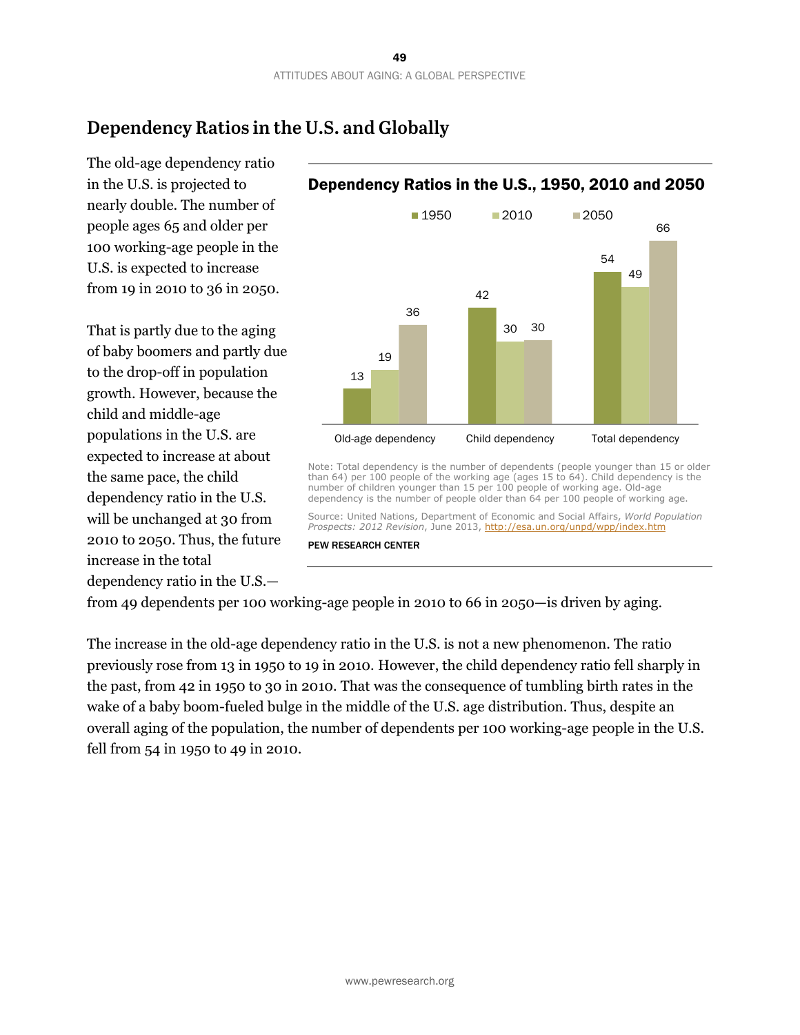# **Dependency Ratios in the U.S. and Globally**

The old-age dependency ratio in the U.S. is projected to nearly double. The number of people ages 65 and older per 100 working-age people in the U.S. is expected to increase from 19 in 2010 to 36 in 2050.

That is partly due to the aging of baby boomers and partly due to the drop-off in population growth. However, because the child and middle-age populations in the U.S. are expected to increase at about the same pace, the child dependency ratio in the U.S. will be unchanged at 30 from 2010 to 2050. Thus, the future increase in the total dependency ratio in the U.S.—



*Prospects: 2012 Revision*, June 2013, http://esa.un.org/unpd/wpp/index.htm

#### Dependency Ratios in the U.S., 1950, 2010 and 2050

from 49 dependents per 100 working-age people in 2010 to 66 in 2050—is driven by aging.

PEW RESEARCH CENTER

The increase in the old-age dependency ratio in the U.S. is not a new phenomenon. The ratio previously rose from 13 in 1950 to 19 in 2010. However, the child dependency ratio fell sharply in the past, from 42 in 1950 to 30 in 2010. That was the consequence of tumbling birth rates in the wake of a baby boom-fueled bulge in the middle of the U.S. age distribution. Thus, despite an overall aging of the population, the number of dependents per 100 working-age people in the U.S. fell from 54 in 1950 to 49 in 2010.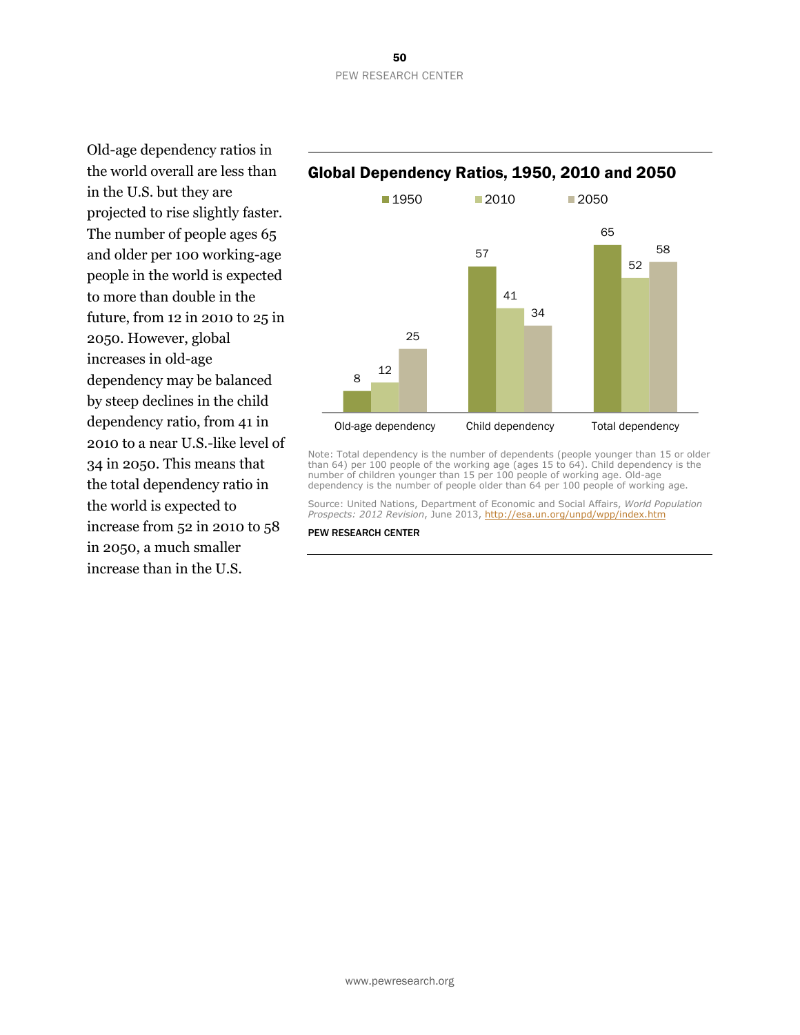Old-age dependency ratios in the world overall are less than in the U.S. but they are projected to rise slightly faster. The number of people ages 65 and older per 100 working-age people in the world is expected to more than double in the future, from 12 in 2010 to 25 in 2050. However, global increases in old-age dependency may be balanced by steep declines in the child dependency ratio, from 41 in 2010 to a near U.S.-like level of 34 in 2050. This means that the total dependency ratio in the world is expected to increase from 52 in 2010 to 58 in 2050, a much smaller increase than in the U.S.

#### Global Dependency Ratios, 1950, 2010 and 2050



Note: Total dependency is the number of dependents (people younger than 15 or older than 64) per 100 people of the working age (ages 15 to 64). Child dependency is the number of children younger than 15 per 100 people of working age. Old-age dependency is the number of people older than 64 per 100 people of working age.

Source: United Nations, Department of Economic and Social Affairs, *World Population Prospects: 2012 Revision*, June 2013, http://esa.un.org/unpd/wpp/index.htm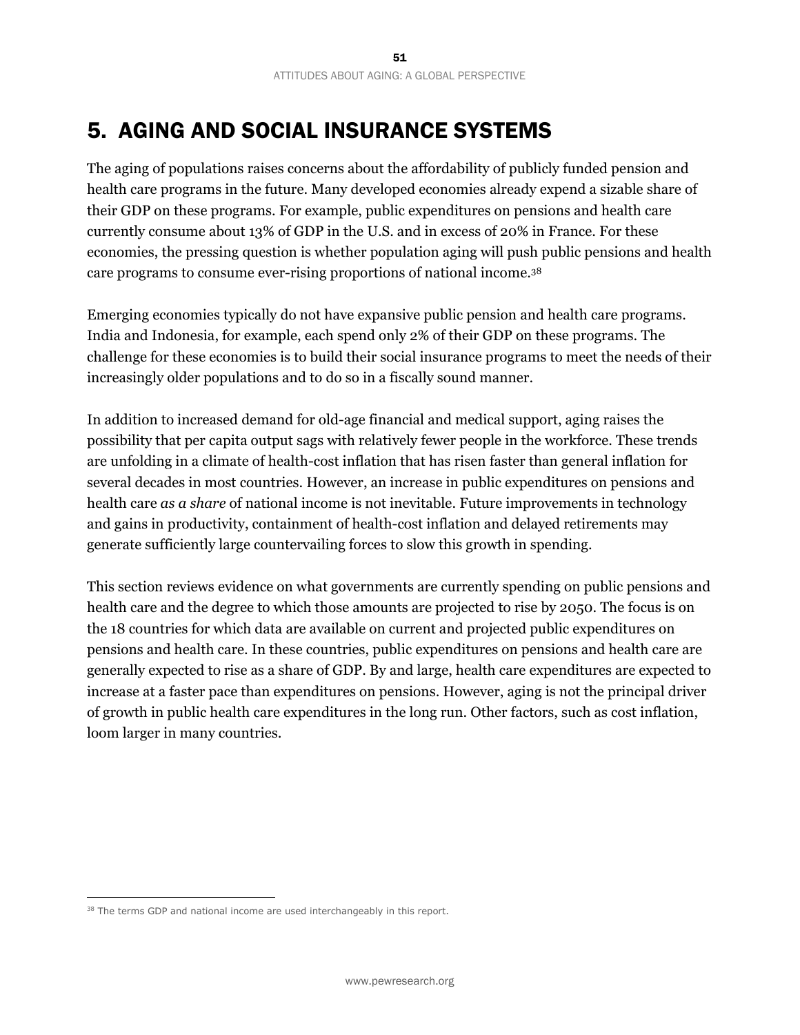# 5. AGING AND SOCIAL INSURANCE SYSTEMS

The aging of populations raises concerns about the affordability of publicly funded pension and health care programs in the future. Many developed economies already expend a sizable share of their GDP on these programs. For example, public expenditures on pensions and health care currently consume about 13% of GDP in the U.S. and in excess of 20% in France. For these economies, the pressing question is whether population aging will push public pensions and health care programs to consume ever-rising proportions of national income.38

Emerging economies typically do not have expansive public pension and health care programs. India and Indonesia, for example, each spend only 2% of their GDP on these programs. The challenge for these economies is to build their social insurance programs to meet the needs of their increasingly older populations and to do so in a fiscally sound manner.

In addition to increased demand for old-age financial and medical support, aging raises the possibility that per capita output sags with relatively fewer people in the workforce. These trends are unfolding in a climate of health-cost inflation that has risen faster than general inflation for several decades in most countries. However, an increase in public expenditures on pensions and health care *as a share* of national income is not inevitable. Future improvements in technology and gains in productivity, containment of health-cost inflation and delayed retirements may generate sufficiently large countervailing forces to slow this growth in spending.

This section reviews evidence on what governments are currently spending on public pensions and health care and the degree to which those amounts are projected to rise by 2050. The focus is on the 18 countries for which data are available on current and projected public expenditures on pensions and health care. In these countries, public expenditures on pensions and health care are generally expected to rise as a share of GDP. By and large, health care expenditures are expected to increase at a faster pace than expenditures on pensions. However, aging is not the principal driver of growth in public health care expenditures in the long run. Other factors, such as cost inflation, loom larger in many countries.

<sup>&</sup>lt;sup>38</sup> The terms GDP and national income are used interchangeably in this report.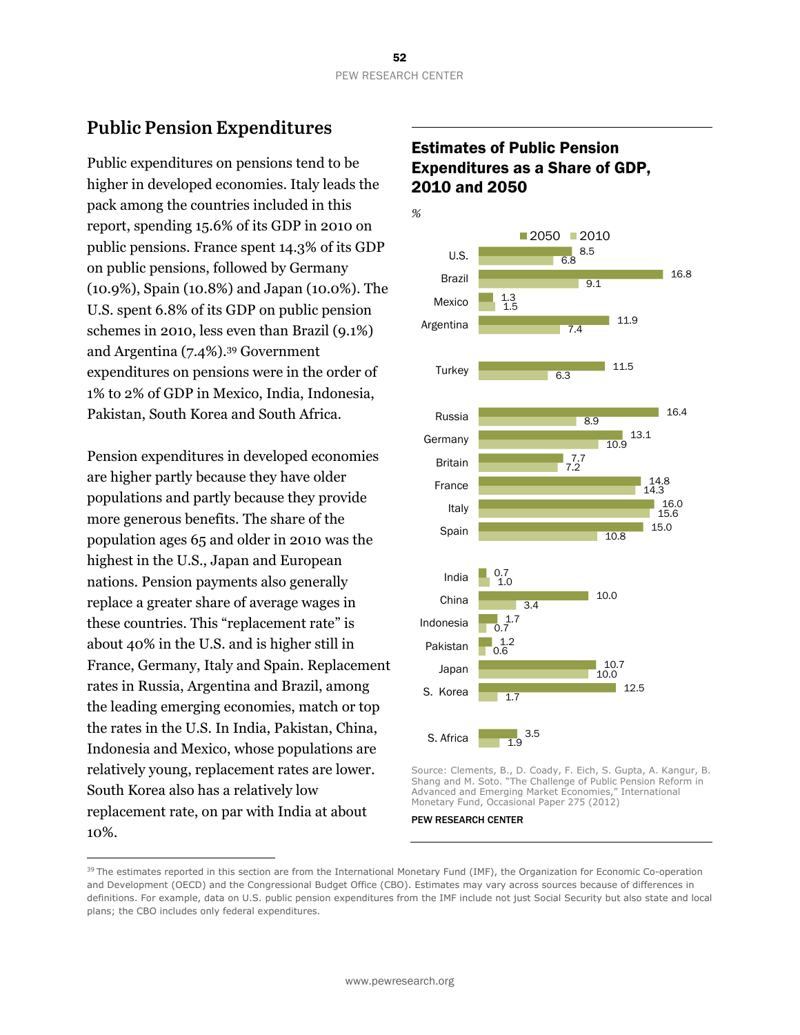# **Public Pension Expenditures**

Public expenditures on pensions tend to be higher in developed economies. Italy leads the pack among the countries included in this report, spending 15.6% of its GDP in 2010 on public pensions. France spent 14.3% of its GDP on public pensions, followed by Germany (10.9%), Spain (10.8%) and Japan (10.0%). The U.S. spent 6.8% of its GDP on public pension schemes in 2010, less even than Brazil (9.1%) and Argentina (7.4%).39 Government expenditures on pensions were in the order of 1% to 2% of GDP in Mexico, India, Indonesia, Pakistan, South Korea and South Africa.

Pension expenditures in developed economies are higher partly because they have older populations and partly because they provide more generous benefits. The share of the population ages 65 and older in 2010 was the highest in the U.S., Japan and European nations. Pension payments also generally replace a greater share of average wages in these countries. This "replacement rate" is about 40% in the U.S. and is higher still in France, Germany, Italy and Spain. Replacement rates in Russia, Argentina and Brazil, among the leading emerging economies, match or top the rates in the U.S. In India, Pakistan, China, Indonesia and Mexico, whose populations are relatively young, replacement rates are lower. South Korea also has a relatively low replacement rate, on par with India at about 10%.

 $\overline{a}$ 

#### Estimates of Public Pension Expenditures as a Share of GDP, 2010 and 2050



Source: Clements, B., D. Coady, F. Eich, S. Gupta, A. Kangur, B. Shang and M. Soto. "The Challenge of Public Pension Reform in Advanced and Emerging Market Economies," International Monetary Fund, Occasional Paper 275 (2012)

<sup>&</sup>lt;sup>39</sup> The estimates reported in this section are from the International Monetary Fund (IMF), the Organization for Economic Co-operation and Development (OECD) and the Congressional Budget Office (CBO). Estimates may vary across sources because of differences in definitions. For example, data on U.S. public pension expenditures from the IMF include not just Social Security but also state and local plans; the CBO includes only federal expenditures.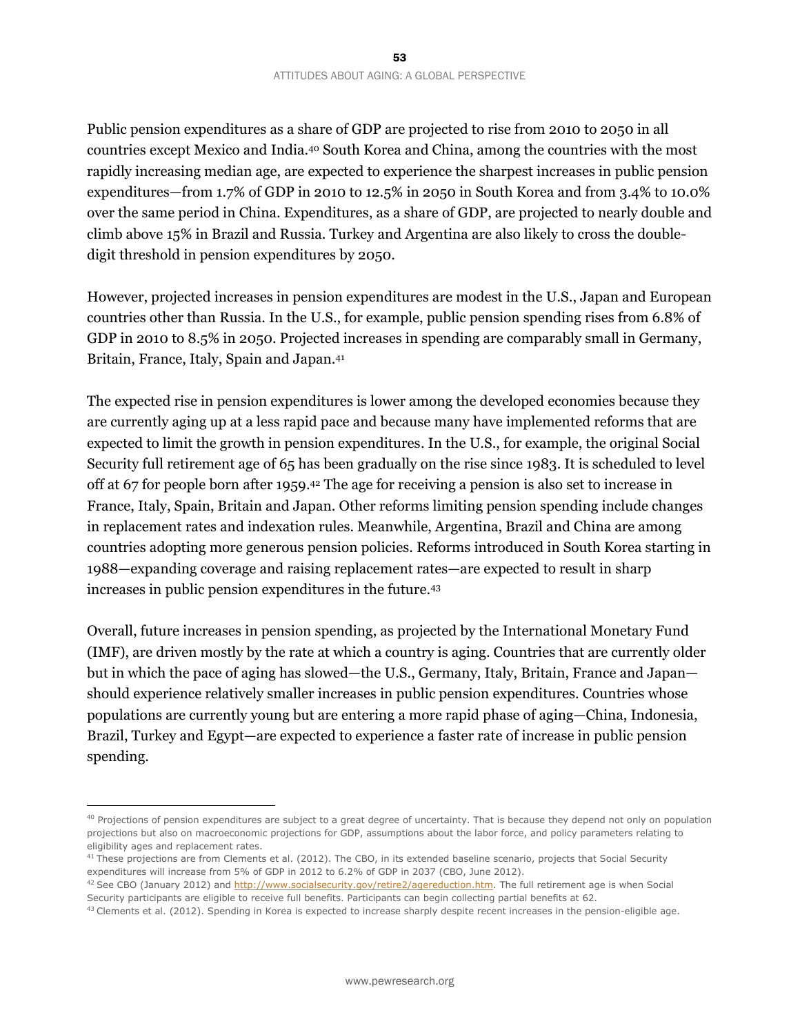Public pension expenditures as a share of GDP are projected to rise from 2010 to 2050 in all countries except Mexico and India.40 South Korea and China, among the countries with the most rapidly increasing median age, are expected to experience the sharpest increases in public pension expenditures—from 1.7% of GDP in 2010 to 12.5% in 2050 in South Korea and from 3.4% to 10.0% over the same period in China. Expenditures, as a share of GDP, are projected to nearly double and climb above 15% in Brazil and Russia. Turkey and Argentina are also likely to cross the doubledigit threshold in pension expenditures by 2050.

However, projected increases in pension expenditures are modest in the U.S., Japan and European countries other than Russia. In the U.S., for example, public pension spending rises from 6.8% of GDP in 2010 to 8.5% in 2050. Projected increases in spending are comparably small in Germany, Britain, France, Italy, Spain and Japan.41

The expected rise in pension expenditures is lower among the developed economies because they are currently aging up at a less rapid pace and because many have implemented reforms that are expected to limit the growth in pension expenditures. In the U.S., for example, the original Social Security full retirement age of 65 has been gradually on the rise since 1983. It is scheduled to level off at 67 for people born after 1959.42 The age for receiving a pension is also set to increase in France, Italy, Spain, Britain and Japan. Other reforms limiting pension spending include changes in replacement rates and indexation rules. Meanwhile, Argentina, Brazil and China are among countries adopting more generous pension policies. Reforms introduced in South Korea starting in 1988—expanding coverage and raising replacement rates—are expected to result in sharp increases in public pension expenditures in the future.43

Overall, future increases in pension spending, as projected by the International Monetary Fund (IMF), are driven mostly by the rate at which a country is aging. Countries that are currently older but in which the pace of aging has slowed—the U.S., Germany, Italy, Britain, France and Japan should experience relatively smaller increases in public pension expenditures. Countries whose populations are currently young but are entering a more rapid phase of aging—China, Indonesia, Brazil, Turkey and Egypt—are expected to experience a faster rate of increase in public pension spending.

<sup>&</sup>lt;sup>40</sup> Projections of pension expenditures are subject to a great degree of uncertainty. That is because they depend not only on population projections but also on macroeconomic projections for GDP, assumptions about the labor force, and policy parameters relating to eligibility ages and replacement rates.

 $41$  These projections are from Clements et al. (2012). The CBO, in its extended baseline scenario, projects that Social Security expenditures will increase from 5% of GDP in 2012 to 6.2% of GDP in 2037 (CBO, June 2012).

<sup>&</sup>lt;sup>42</sup> See CBO (January 2012) and http://www.socialsecurity.gov/retire2/agereduction.htm</u>. The full retirement age is when Social Security participants are eligible to receive full benefits. Participants can begin collecting partial benefits at 62.<br><sup>43</sup> Clements et al. (2012). Spending in Korea is expected to increase sharply despite recent increases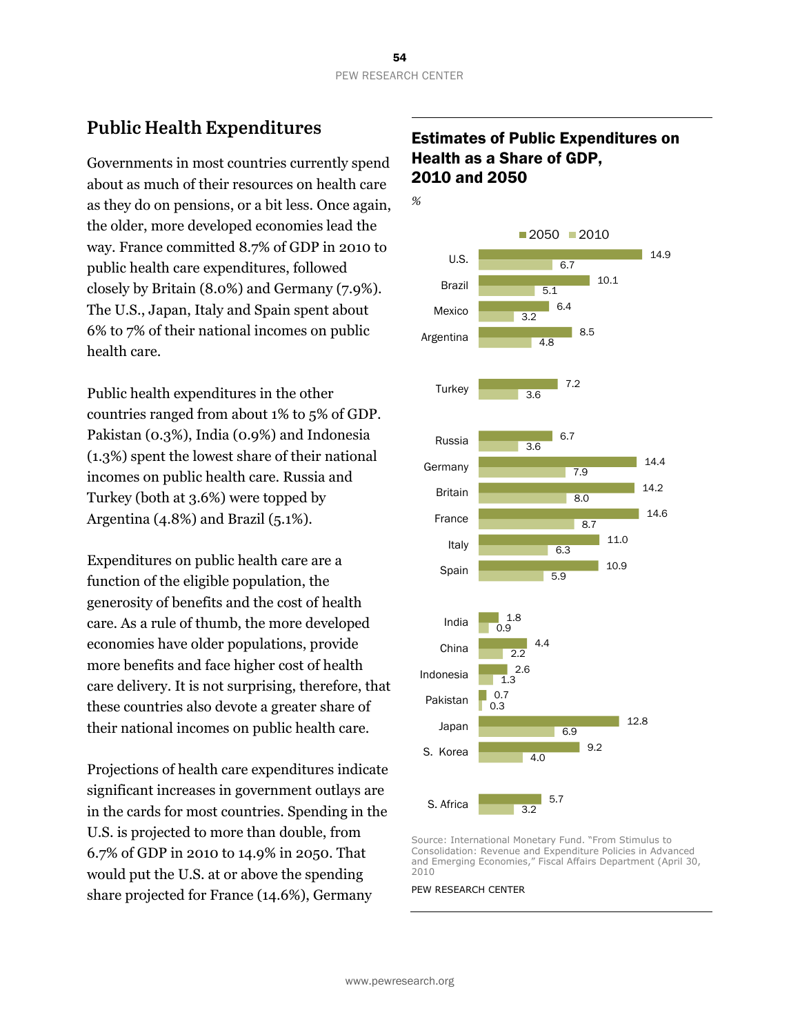## **Public Health Expenditures**

Governments in most countries currently spend about as much of their resources on health care as they do on pensions, or a bit less. Once again, the older, more developed economies lead the way. France committed 8.7% of GDP in 2010 to public health care expenditures, followed closely by Britain (8.0%) and Germany (7.9%). The U.S., Japan, Italy and Spain spent about 6% to 7% of their national incomes on public health care.

Public health expenditures in the other countries ranged from about 1% to 5% of GDP. Pakistan (0.3%), India (0.9%) and Indonesia (1.3%) spent the lowest share of their national incomes on public health care. Russia and Turkey (both at 3.6%) were topped by Argentina (4.8%) and Brazil (5.1%).

Expenditures on public health care are a function of the eligible population, the generosity of benefits and the cost of health care. As a rule of thumb, the more developed economies have older populations, provide more benefits and face higher cost of health care delivery. It is not surprising, therefore, that these countries also devote a greater share of their national incomes on public health care.

Projections of health care expenditures indicate significant increases in government outlays are in the cards for most countries. Spending in the U.S. is projected to more than double, from 6.7% of GDP in 2010 to 14.9% in 2050. That would put the U.S. at or above the spending share projected for France (14.6%), Germany

#### Estimates of Public Expenditures on Health as a Share of GDP, 2010 and 2050



Source: International Monetary Fund. "From Stimulus to Consolidation: Revenue and Expenditure Policies in Advanced and Emerging Economies," Fiscal Affairs Department (April 30, 2010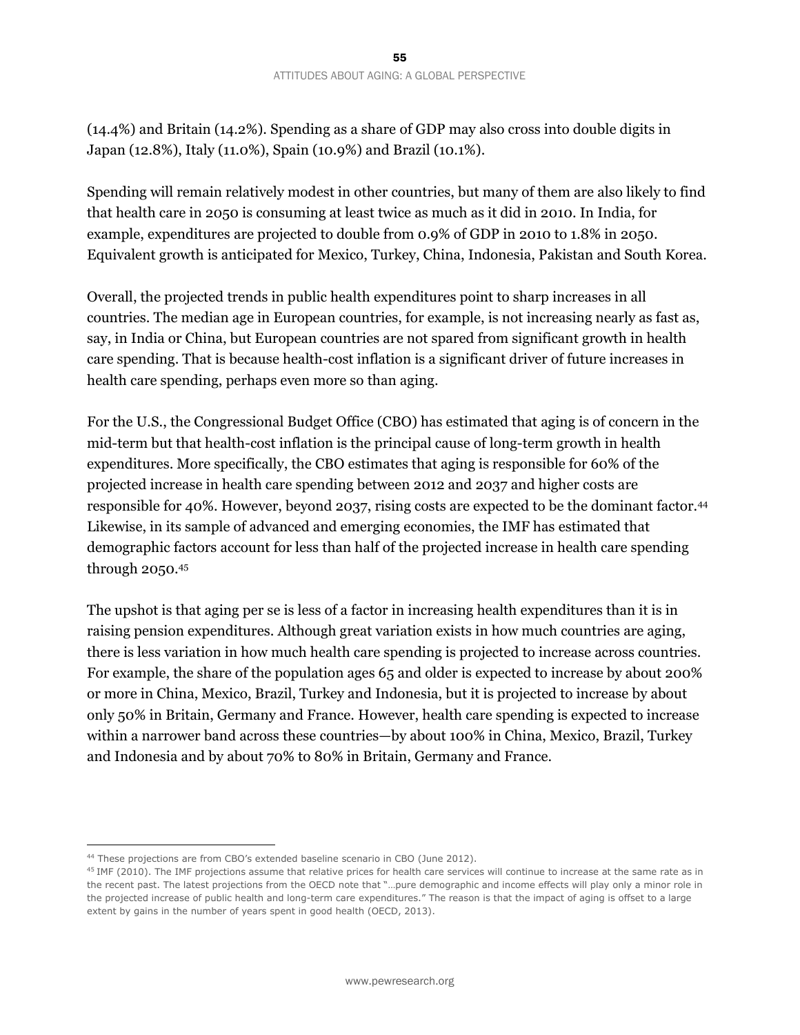(14.4%) and Britain (14.2%). Spending as a share of GDP may also cross into double digits in Japan (12.8%), Italy (11.0%), Spain (10.9%) and Brazil (10.1%).

Spending will remain relatively modest in other countries, but many of them are also likely to find that health care in 2050 is consuming at least twice as much as it did in 2010. In India, for example, expenditures are projected to double from 0.9% of GDP in 2010 to 1.8% in 2050. Equivalent growth is anticipated for Mexico, Turkey, China, Indonesia, Pakistan and South Korea.

Overall, the projected trends in public health expenditures point to sharp increases in all countries. The median age in European countries, for example, is not increasing nearly as fast as, say, in India or China, but European countries are not spared from significant growth in health care spending. That is because health-cost inflation is a significant driver of future increases in health care spending, perhaps even more so than aging.

For the U.S., the Congressional Budget Office (CBO) has estimated that aging is of concern in the mid-term but that health-cost inflation is the principal cause of long-term growth in health expenditures. More specifically, the CBO estimates that aging is responsible for 60% of the projected increase in health care spending between 2012 and 2037 and higher costs are responsible for 40%. However, beyond 2037, rising costs are expected to be the dominant factor.44 Likewise, in its sample of advanced and emerging economies, the IMF has estimated that demographic factors account for less than half of the projected increase in health care spending through 2050.45

The upshot is that aging per se is less of a factor in increasing health expenditures than it is in raising pension expenditures. Although great variation exists in how much countries are aging, there is less variation in how much health care spending is projected to increase across countries. For example, the share of the population ages 65 and older is expected to increase by about 200% or more in China, Mexico, Brazil, Turkey and Indonesia, but it is projected to increase by about only 50% in Britain, Germany and France. However, health care spending is expected to increase within a narrower band across these countries—by about 100% in China, Mexico, Brazil, Turkey and Indonesia and by about 70% to 80% in Britain, Germany and France.

<sup>&</sup>lt;sup>44</sup> These projections are from CBO's extended baseline scenario in CBO (June 2012).<br><sup>45</sup> IMF (2010). The IMF projections assume that relative prices for health care services will continue to increase at the same rate as the recent past. The latest projections from the OECD note that "…pure demographic and income effects will play only a minor role in the projected increase of public health and long-term care expenditures." The reason is that the impact of aging is offset to a large extent by gains in the number of years spent in good health (OECD, 2013).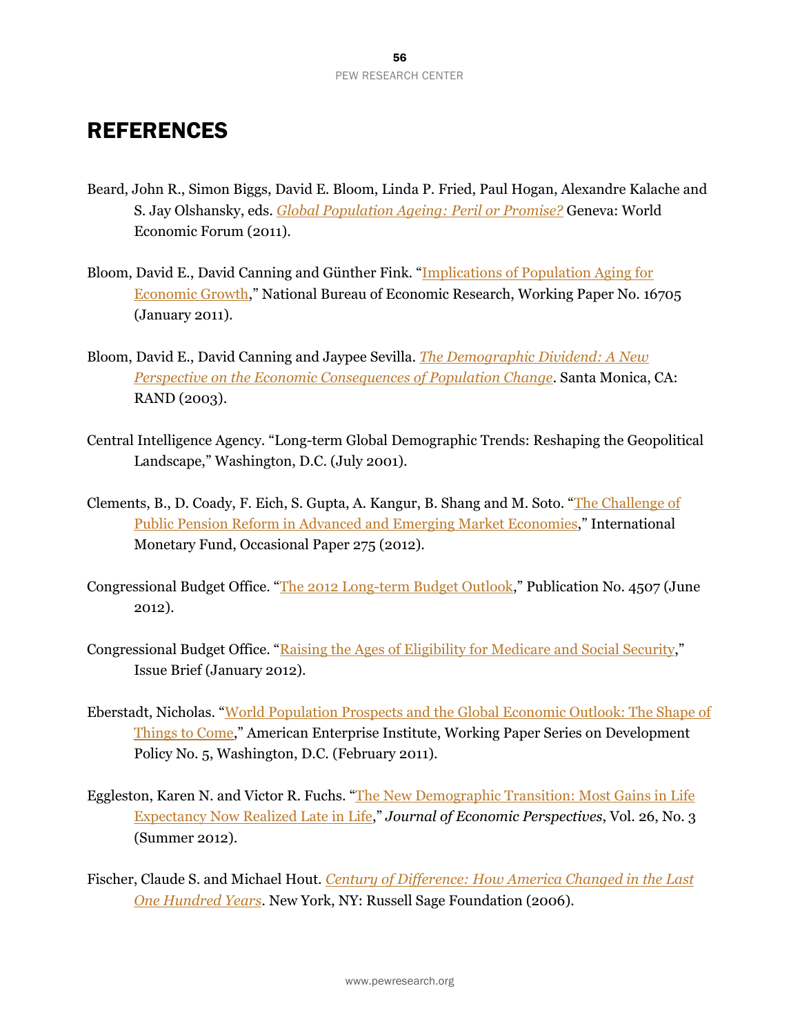# **REFERENCES**

- Beard, John R., Simon Biggs, David E. Bloom, Linda P. Fried, Paul Hogan, Alexandre Kalache and S. Jay Olshansky, eds. *Global Population Ageing: Peril or Promise?* Geneva: World Economic Forum (2011).
- Bloom, David E., David Canning and Günther Fink. "Implications of Population Aging for Economic Growth," National Bureau of Economic Research, Working Paper No. 16705 (January 2011).
- Bloom, David E., David Canning and Jaypee Sevilla. *The Demographic Dividend: A New Perspective on the Economic Consequences of Population Change*. Santa Monica, CA: RAND (2003).
- Central Intelligence Agency. "Long-term Global Demographic Trends: Reshaping the Geopolitical Landscape," Washington, D.C. (July 2001).
- Clements, B., D. Coady, F. Eich, S. Gupta, A. Kangur, B. Shang and M. Soto. "The Challenge of Public Pension Reform in Advanced and Emerging Market Economies," International Monetary Fund, Occasional Paper 275 (2012).
- Congressional Budget Office. "The 2012 Long-term Budget Outlook," Publication No. 4507 (June 2012).
- Congressional Budget Office. "Raising the Ages of Eligibility for Medicare and Social Security," Issue Brief (January 2012).
- Eberstadt, Nicholas. "World Population Prospects and the Global Economic Outlook: The Shape of Things to Come," American Enterprise Institute, Working Paper Series on Development Policy No. 5, Washington, D.C. (February 2011).
- Eggleston, Karen N. and Victor R. Fuchs. "The New Demographic Transition: Most Gains in Life Expectancy Now Realized Late in Life," *Journal of Economic Perspectives*, Vol. 26, No. 3 (Summer 2012).
- Fischer, Claude S. and Michael Hout. *Century of Difference: How America Changed in the Last One Hundred Years*. New York, NY: Russell Sage Foundation (2006).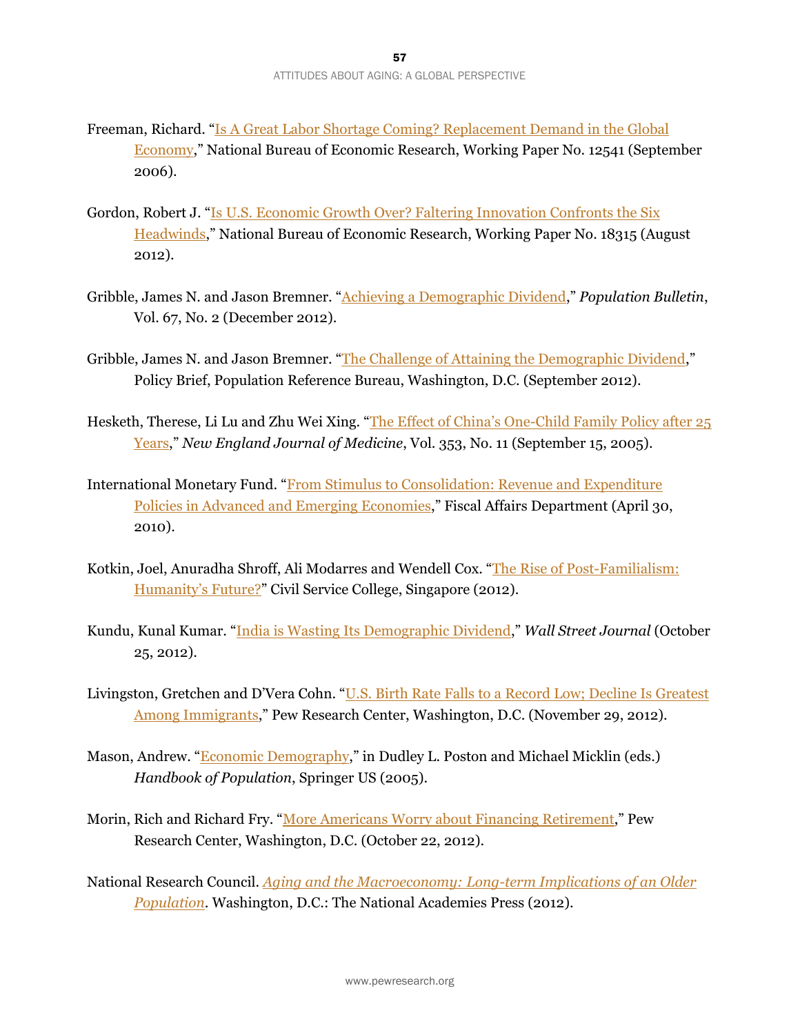- Freeman, Richard. "Is A Great Labor Shortage Coming? Replacement Demand in the Global Economy," National Bureau of Economic Research, Working Paper No. 12541 (September 2006).
- Gordon, Robert J. "Is U.S. Economic Growth Over? Faltering Innovation Confronts the Six Headwinds," National Bureau of Economic Research, Working Paper No. 18315 (August 2012).
- Gribble, James N. and Jason Bremner. "Achieving a Demographic Dividend," *Population Bulletin*, Vol. 67, No. 2 (December 2012).
- Gribble, James N. and Jason Bremner. "The Challenge of Attaining the Demographic Dividend," Policy Brief, Population Reference Bureau, Washington, D.C. (September 2012).
- Hesketh, Therese, Li Lu and Zhu Wei Xing. "The Effect of China's One-Child Family Policy after 25 Years," *New England Journal of Medicine*, Vol. 353, No. 11 (September 15, 2005).
- International Monetary Fund. "From Stimulus to Consolidation: Revenue and Expenditure Policies in Advanced and Emerging Economies," Fiscal Affairs Department (April 30, 2010).
- Kotkin, Joel, Anuradha Shroff, Ali Modarres and Wendell Cox. "The Rise of Post-Familialism: Humanity's Future?" Civil Service College, Singapore (2012).
- Kundu, Kunal Kumar. "India is Wasting Its Demographic Dividend," *Wall Street Journal* (October 25, 2012).
- Livingston, Gretchen and D'Vera Cohn. "U.S. Birth Rate Falls to a Record Low; Decline Is Greatest Among Immigrants," Pew Research Center, Washington, D.C. (November 29, 2012).
- Mason, Andrew. "Economic Demography," in Dudley L. Poston and Michael Micklin (eds.) *Handbook of Population*, Springer US (2005).
- Morin, Rich and Richard Fry. "More Americans Worry about Financing Retirement," Pew Research Center, Washington, D.C. (October 22, 2012).
- National Research Council. *Aging and the Macroeconomy: Long-term Implications of an Older Population*. Washington, D.C.: The National Academies Press (2012).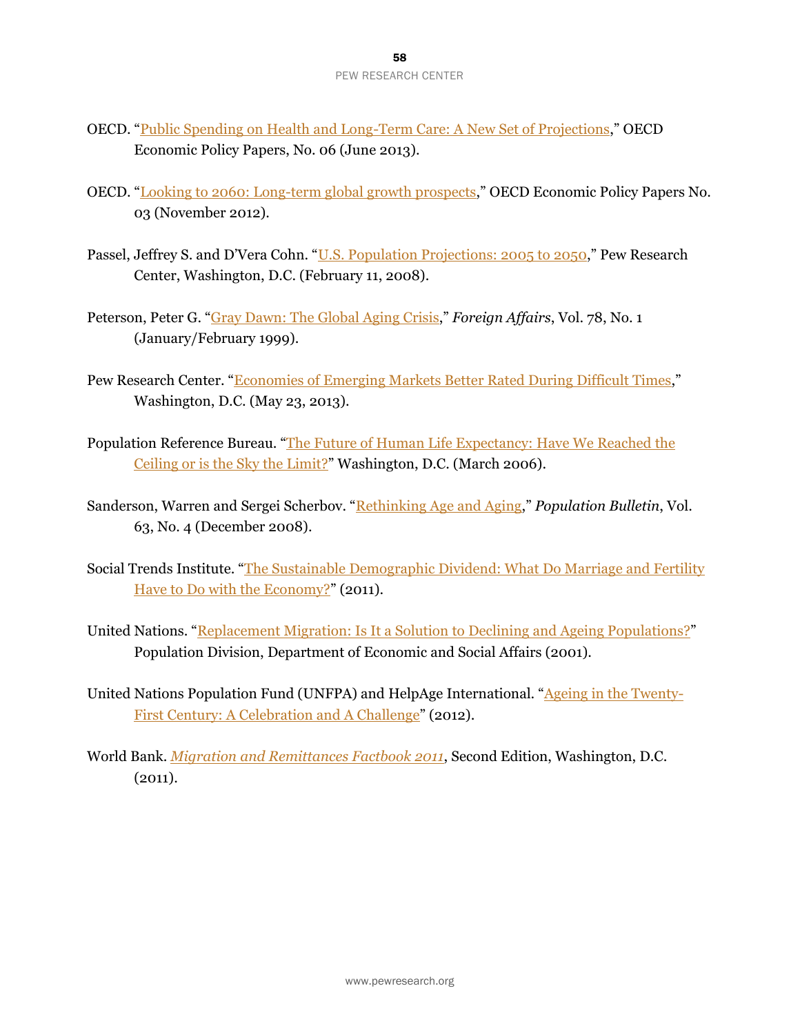- OECD. "Public Spending on Health and Long-Term Care: A New Set of Projections," OECD Economic Policy Papers, No. 06 (June 2013).
- OECD. "Looking to 2060: Long-term global growth prospects," OECD Economic Policy Papers No. 03 (November 2012).
- Passel, Jeffrey S. and D'Vera Cohn. "U.S. Population Projections: 2005 to 2050," Pew Research Center, Washington, D.C. (February 11, 2008).
- Peterson, Peter G. "Gray Dawn: The Global Aging Crisis," *Foreign Affairs*, Vol. 78, No. 1 (January/February 1999).
- Pew Research Center. "Economies of Emerging Markets Better Rated During Difficult Times," Washington, D.C. (May 23, 2013).
- Population Reference Bureau. "The Future of Human Life Expectancy: Have We Reached the Ceiling or is the Sky the Limit?" Washington, D.C. (March 2006).
- Sanderson, Warren and Sergei Scherbov. "Rethinking Age and Aging," *Population Bulletin*, Vol. 63, No. 4 (December 2008).
- Social Trends Institute. "The Sustainable Demographic Dividend: What Do Marriage and Fertility Have to Do with the Economy?" (2011).
- United Nations. "Replacement Migration: Is It a Solution to Declining and Ageing Populations?" Population Division, Department of Economic and Social Affairs (2001).
- United Nations Population Fund (UNFPA) and HelpAge International. "Ageing in the Twenty-First Century: A Celebration and A Challenge" (2012).
- World Bank. *Migration and Remittances Factbook 2011*, Second Edition, Washington, D.C.  $(2011).$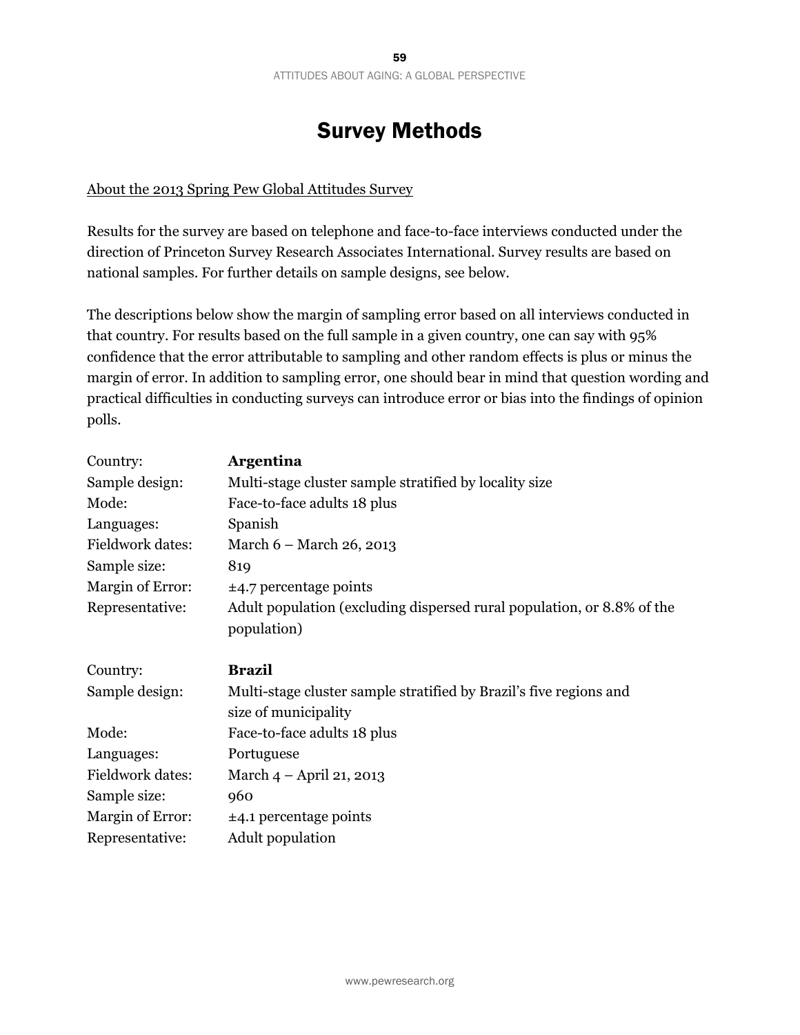# Survey Methods

#### About the 2013 Spring Pew Global Attitudes Survey

Results for the survey are based on telephone and face-to-face interviews conducted under the direction of Princeton Survey Research Associates International. Survey results are based on national samples. For further details on sample designs, see below.

The descriptions below show the margin of sampling error based on all interviews conducted in that country. For results based on the full sample in a given country, one can say with 95% confidence that the error attributable to sampling and other random effects is plus or minus the margin of error. In addition to sampling error, one should bear in mind that question wording and practical difficulties in conducting surveys can introduce error or bias into the findings of opinion polls.

| Country:         | <b>Argentina</b>                                                       |
|------------------|------------------------------------------------------------------------|
| Sample design:   | Multi-stage cluster sample stratified by locality size                 |
| Mode:            | Face-to-face adults 18 plus                                            |
| Languages:       | Spanish                                                                |
| Fieldwork dates: | March 6 - March 26, 2013                                               |
| Sample size:     | 819                                                                    |
| Margin of Error: | $\pm$ 4.7 percentage points                                            |
| Representative:  | Adult population (excluding dispersed rural population, or 8.8% of the |
|                  | population)                                                            |
| Country:         | <b>Brazil</b>                                                          |
| Sample design:   | Multi-stage cluster sample stratified by Brazil's five regions and     |
|                  | size of municipality                                                   |
| Mode:            | Face-to-face adults 18 plus                                            |
| Languages:       | Portuguese                                                             |
| Fieldwork dates: | March 4 – April 21, 2013                                               |
| Sample size:     | 960                                                                    |
| Margin of Error: | $±4.1$ percentage points                                               |
| Representative:  | Adult population                                                       |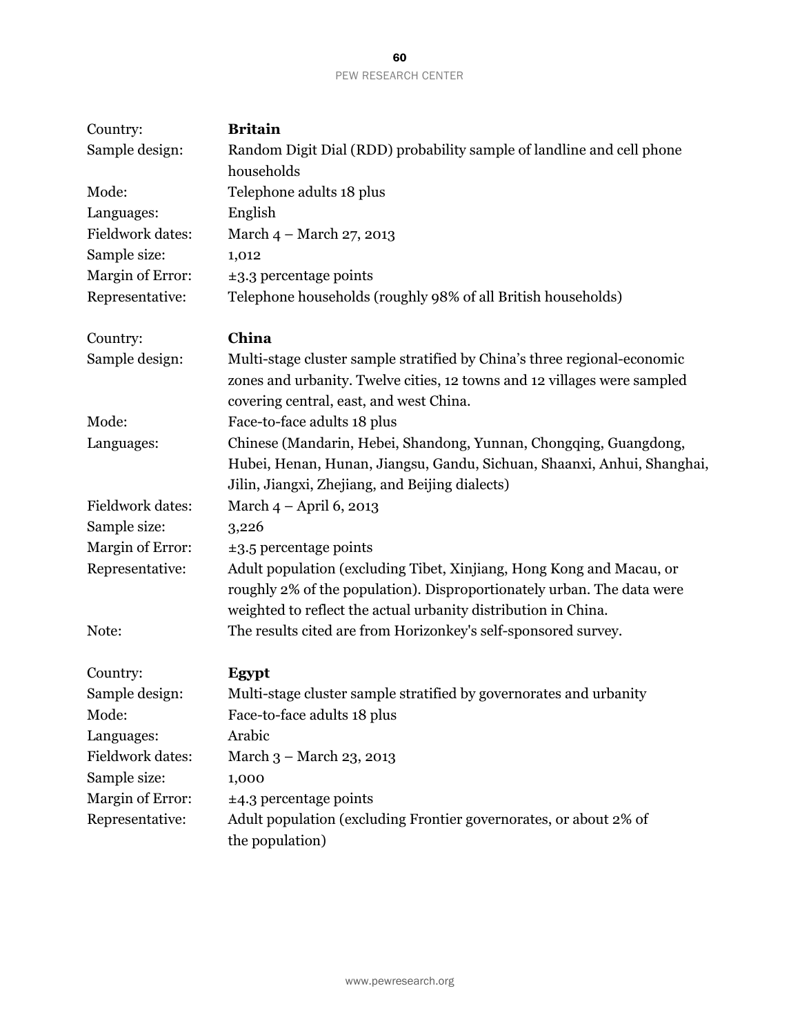| Country:         | <b>Britain</b>                                                                                                                                                                                                   |
|------------------|------------------------------------------------------------------------------------------------------------------------------------------------------------------------------------------------------------------|
| Sample design:   | Random Digit Dial (RDD) probability sample of landline and cell phone<br>households                                                                                                                              |
| Mode:            | Telephone adults 18 plus                                                                                                                                                                                         |
| Languages:       | English                                                                                                                                                                                                          |
| Fieldwork dates: | March 4 - March 27, 2013                                                                                                                                                                                         |
| Sample size:     | 1,012                                                                                                                                                                                                            |
| Margin of Error: | $\pm$ 3.3 percentage points                                                                                                                                                                                      |
| Representative:  | Telephone households (roughly 98% of all British households)                                                                                                                                                     |
| Country:         | China                                                                                                                                                                                                            |
| Sample design:   | Multi-stage cluster sample stratified by China's three regional-economic<br>zones and urbanity. Twelve cities, 12 towns and 12 villages were sampled<br>covering central, east, and west China.                  |
| Mode:            | Face-to-face adults 18 plus                                                                                                                                                                                      |
| Languages:       | Chinese (Mandarin, Hebei, Shandong, Yunnan, Chongqing, Guangdong,<br>Hubei, Henan, Hunan, Jiangsu, Gandu, Sichuan, Shaanxi, Anhui, Shanghai,<br>Jilin, Jiangxi, Zhejiang, and Beijing dialects)                  |
| Fieldwork dates: | March $4 -$ April 6, 2013                                                                                                                                                                                        |
| Sample size:     | 3,226                                                                                                                                                                                                            |
| Margin of Error: | $\pm$ 3.5 percentage points                                                                                                                                                                                      |
| Representative:  | Adult population (excluding Tibet, Xinjiang, Hong Kong and Macau, or<br>roughly 2% of the population). Disproportionately urban. The data were<br>weighted to reflect the actual urbanity distribution in China. |
| Note:            | The results cited are from Horizonkey's self-sponsored survey.                                                                                                                                                   |
| Country:         | Egypt                                                                                                                                                                                                            |
| Sample design:   | Multi-stage cluster sample stratified by governorates and urbanity                                                                                                                                               |
| Mode:            | Face-to-face adults 18 plus                                                                                                                                                                                      |
| Languages:       | Arabic                                                                                                                                                                                                           |
| Fieldwork dates: | March 3 - March 23, 2013                                                                                                                                                                                         |
| Sample size:     | 1,000                                                                                                                                                                                                            |
| Margin of Error: | $\pm$ 4.3 percentage points                                                                                                                                                                                      |
| Representative:  | Adult population (excluding Frontier governorates, or about 2% of<br>the population)                                                                                                                             |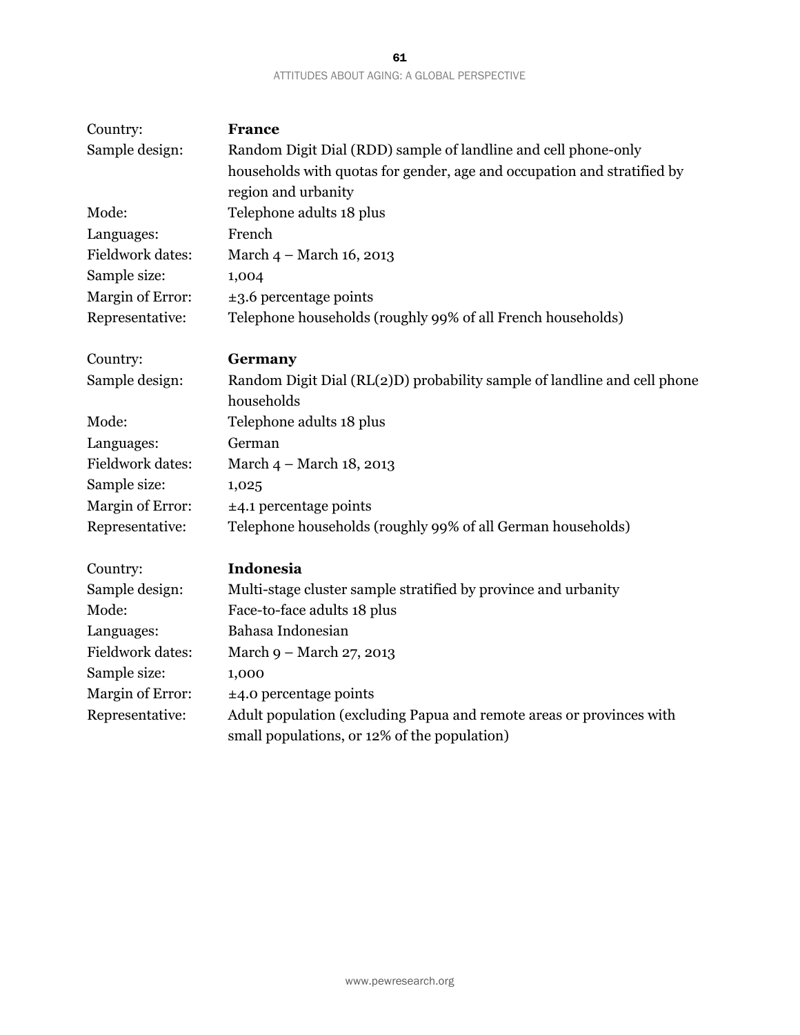|                                             | -61 |  |
|---------------------------------------------|-----|--|
| ATTITUDES ABOUT AGING: A GLOBAL PERSPECTIVE |     |  |

| Country:         | <b>France</b>                                                                                                        |
|------------------|----------------------------------------------------------------------------------------------------------------------|
| Sample design:   | Random Digit Dial (RDD) sample of landline and cell phone-only                                                       |
|                  | households with quotas for gender, age and occupation and stratified by                                              |
|                  | region and urbanity                                                                                                  |
| Mode:            | Telephone adults 18 plus                                                                                             |
| Languages:       | French                                                                                                               |
| Fieldwork dates: | March 4 - March 16, 2013                                                                                             |
| Sample size:     | 1,004                                                                                                                |
| Margin of Error: | $\pm$ 3.6 percentage points                                                                                          |
| Representative:  | Telephone households (roughly 99% of all French households)                                                          |
| Country:         | Germany                                                                                                              |
| Sample design:   | Random Digit Dial (RL(2)D) probability sample of landline and cell phone                                             |
|                  | households                                                                                                           |
| Mode:            | Telephone adults 18 plus                                                                                             |
| Languages:       | German                                                                                                               |
| Fieldwork dates: | March 4 – March 18, 2013                                                                                             |
| Sample size:     | 1,025                                                                                                                |
| Margin of Error: | $±4.1$ percentage points                                                                                             |
| Representative:  | Telephone households (roughly 99% of all German households)                                                          |
| Country:         | Indonesia                                                                                                            |
| Sample design:   | Multi-stage cluster sample stratified by province and urbanity                                                       |
| Mode:            | Face-to-face adults 18 plus                                                                                          |
| Languages:       | Bahasa Indonesian                                                                                                    |
| Fieldwork dates: | March 9 - March 27, 2013                                                                                             |
| Sample size:     | 1,000                                                                                                                |
| Margin of Error: | $±4.0$ percentage points                                                                                             |
| Representative:  | Adult population (excluding Papua and remote areas or provinces with<br>small populations, or 12% of the population) |
|                  |                                                                                                                      |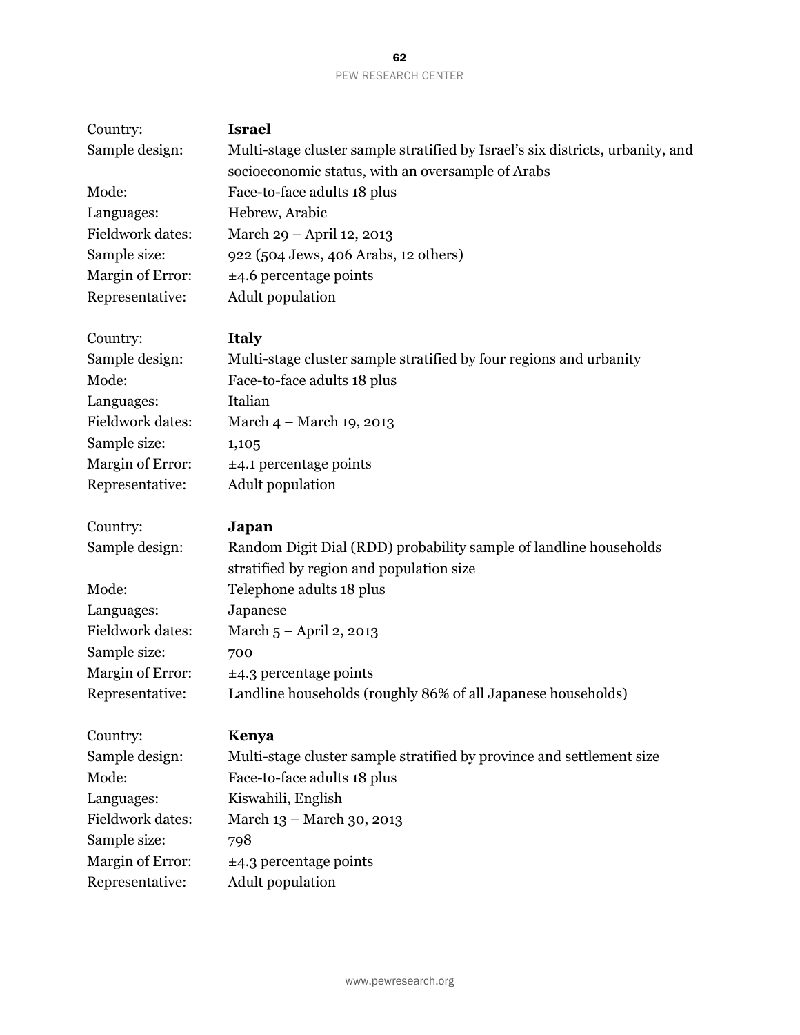| Country:                            | <b>Israel</b>                                                                  |
|-------------------------------------|--------------------------------------------------------------------------------|
| Sample design:                      | Multi-stage cluster sample stratified by Israel's six districts, urbanity, and |
|                                     | socioeconomic status, with an oversample of Arabs                              |
| Mode:                               | Face-to-face adults 18 plus                                                    |
| Languages:                          | Hebrew, Arabic                                                                 |
| <b>Fieldwork dates:</b>             | March 29 - April 12, 2013                                                      |
| Sample size:                        | 922 (504 Jews, 406 Arabs, 12 others)                                           |
| Margin of Error:                    | $±4.6$ percentage points                                                       |
| Representative:                     | Adult population                                                               |
| Country:                            | <b>Italy</b>                                                                   |
| Sample design:                      | Multi-stage cluster sample stratified by four regions and urbanity             |
| Mode:                               | Face-to-face adults 18 plus                                                    |
| Languages:                          | Italian                                                                        |
| Fieldwork dates:                    | March 4 – March 19, 2013                                                       |
| Sample size:                        | 1,105                                                                          |
| Margin of Error:                    | $±4.1$ percentage points                                                       |
| Representative:                     | <b>Adult</b> population                                                        |
| Country:                            | Japan                                                                          |
| Sample design:                      | Random Digit Dial (RDD) probability sample of landline households              |
|                                     | stratified by region and population size                                       |
| Mode:                               | Telephone adults 18 plus                                                       |
| Languages:                          | Japanese                                                                       |
| <b>Fieldwork dates:</b>             | March 5 - April 2, 2013                                                        |
| Sample size:                        | 700                                                                            |
| Margin of Error:                    | $\pm$ 4.3 percentage points                                                    |
| Representative:                     | Landline households (roughly 86% of all Japanese households)                   |
| Country:                            | Kenya                                                                          |
| Sample design:                      | Multi-stage cluster sample stratified by province and settlement size          |
| Mode:                               | Face-to-face adults 18 plus                                                    |
| Languages:                          | Kiswahili, English                                                             |
| <b>Fieldwork dates:</b>             | March 13 - March 30, 2013                                                      |
| Sample size:                        |                                                                                |
|                                     | 798                                                                            |
| Margin of Error:<br>Representative: | $\pm$ 4.3 percentage points<br>Adult population                                |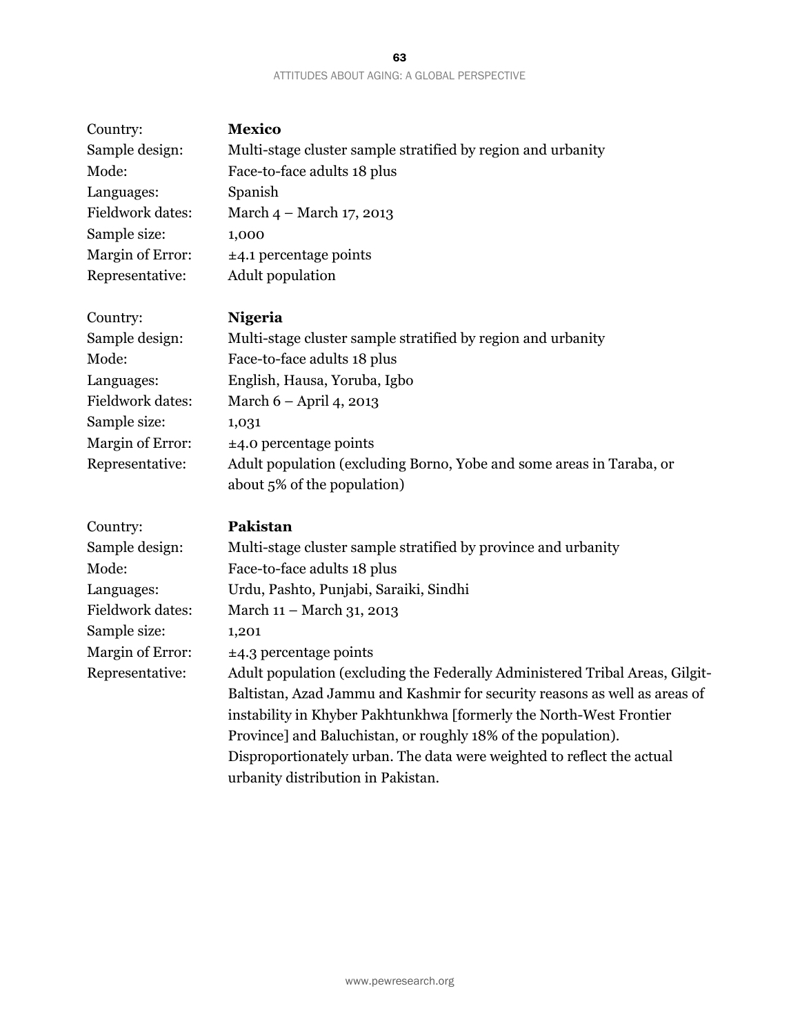#### 63 ATTITUDES ABOUT AGING: A GLOBAL PERSPECTIVE

| Country:                | <b>Mexico</b>                                                                                       |
|-------------------------|-----------------------------------------------------------------------------------------------------|
| Sample design:          | Multi-stage cluster sample stratified by region and urbanity                                        |
| Mode:                   | Face-to-face adults 18 plus                                                                         |
| Languages:              | Spanish                                                                                             |
| Fieldwork dates:        | March 4 - March 17, 2013                                                                            |
| Sample size:            | 1,000                                                                                               |
| <b>Margin of Error:</b> | $±4.1$ percentage points                                                                            |
| Representative:         | Adult population                                                                                    |
| Country:                | <b>Nigeria</b>                                                                                      |
| Sample design:          | Multi-stage cluster sample stratified by region and urbanity                                        |
| Mode:                   | Face-to-face adults 18 plus                                                                         |
| Languages:              | English, Hausa, Yoruba, Igbo                                                                        |
| Fieldwork dates:        | March 6 - April 4, 2013                                                                             |
| Sample size:            | 1,031                                                                                               |
| Margin of Error:        | $±4.0$ percentage points                                                                            |
| Representative:         | Adult population (excluding Borno, Yobe and some areas in Taraba, or<br>about 5% of the population) |
| Country:                | Pakistan                                                                                            |
| Sample design:          | Multi-stage cluster sample stratified by province and urbanity                                      |
| Mode:                   | Face-to-face adults 18 plus                                                                         |
| Languages:              | Urdu, Pashto, Punjabi, Saraiki, Sindhi                                                              |
| Fieldwork dates:        | March 11 - March 31, 2013                                                                           |
| Sample size:            | 1,201                                                                                               |
| <b>Margin of Error:</b> | $\pm$ 4.3 percentage points                                                                         |
| Representative:         | Adult population (excluding the Federally Administered Tribal Areas, Gilgit-                        |
|                         | Baltistan, Azad Jammu and Kashmir for security reasons as well as areas of                          |
|                         | instability in Khyber Pakhtunkhwa [formerly the North-West Frontier                                 |
|                         | Province] and Baluchistan, or roughly 18% of the population).                                       |
|                         | Disproportionately urban. The data were weighted to reflect the actual                              |
|                         | urbanity distribution in Pakistan.                                                                  |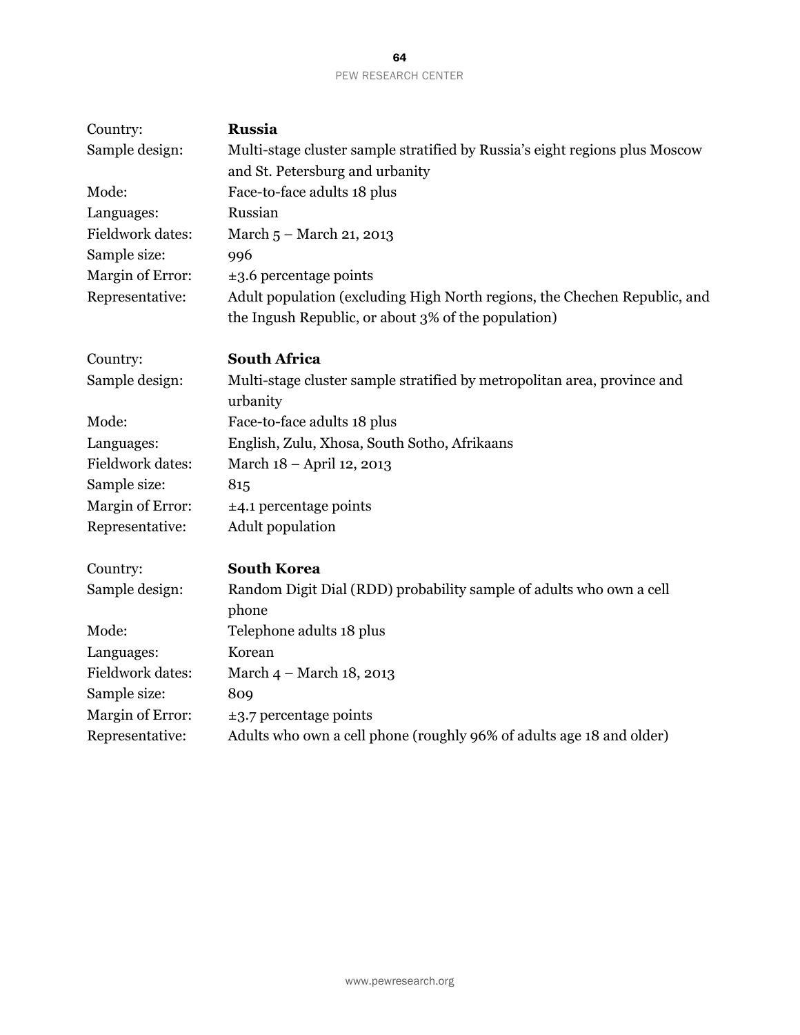| Country:         | Russia                                                                               |
|------------------|--------------------------------------------------------------------------------------|
| Sample design:   | Multi-stage cluster sample stratified by Russia's eight regions plus Moscow          |
|                  | and St. Petersburg and urbanity                                                      |
| Mode:            | Face-to-face adults 18 plus                                                          |
| Languages:       | Russian                                                                              |
| Fieldwork dates: | March 5 - March 21, 2013                                                             |
| Sample size:     | 996                                                                                  |
| Margin of Error: | $\pm$ 3.6 percentage points                                                          |
| Representative:  | Adult population (excluding High North regions, the Chechen Republic, and            |
|                  | the Ingush Republic, or about 3% of the population)                                  |
| Country:         | <b>South Africa</b>                                                                  |
| Sample design:   | Multi-stage cluster sample stratified by metropolitan area, province and<br>urbanity |
| Mode:            | Face-to-face adults 18 plus                                                          |
| Languages:       | English, Zulu, Xhosa, South Sotho, Afrikaans                                         |
| Fieldwork dates: | March 18 - April 12, 2013                                                            |
| Sample size:     | 815                                                                                  |
| Margin of Error: | $±4.1$ percentage points                                                             |
| Representative:  | Adult population                                                                     |
| Country:         | <b>South Korea</b>                                                                   |
| Sample design:   | Random Digit Dial (RDD) probability sample of adults who own a cell<br>phone         |
| Mode:            | Telephone adults 18 plus                                                             |
| Languages:       | Korean                                                                               |
| Fieldwork dates: | March 4 – March 18, 2013                                                             |
| Sample size:     | 809                                                                                  |
| Margin of Error: | $\pm$ 3.7 percentage points                                                          |
| Representative:  | Adults who own a cell phone (roughly 96% of adults age 18 and older)                 |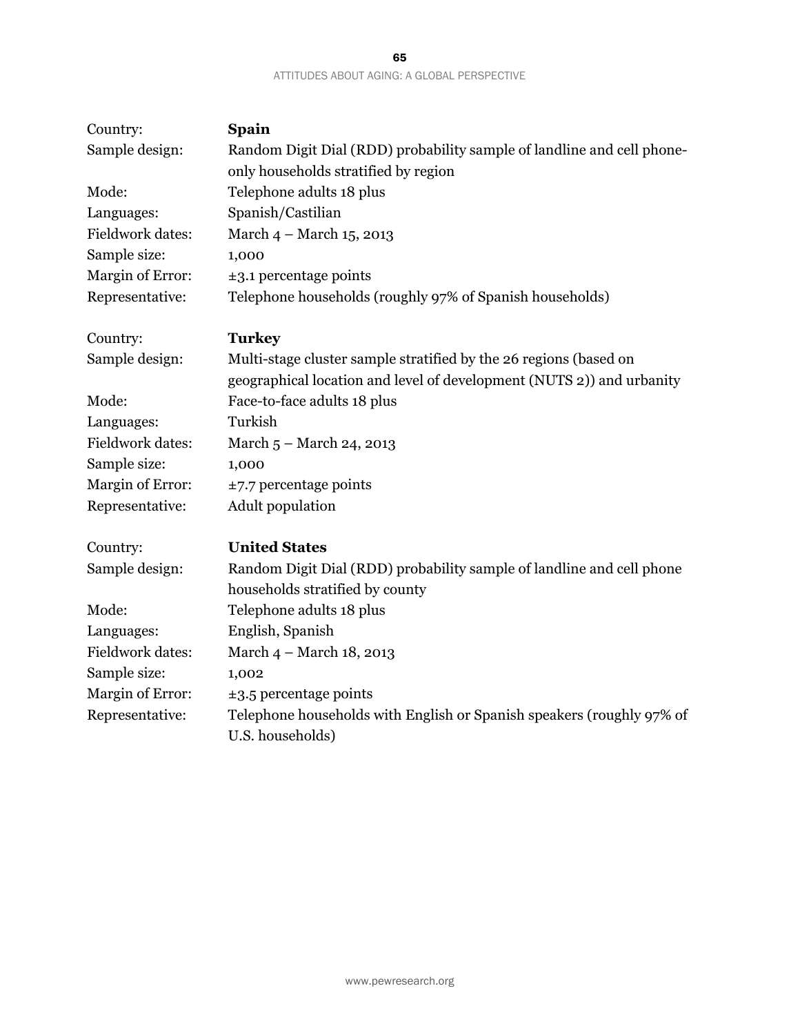| 65                                          |  |
|---------------------------------------------|--|
| ATTITUDES ABOUT AGING: A GLOBAL PERSPECTIVE |  |

| Country:                | <b>Spain</b>                                                                                             |
|-------------------------|----------------------------------------------------------------------------------------------------------|
| Sample design:          | Random Digit Dial (RDD) probability sample of landline and cell phone-                                   |
|                         | only households stratified by region                                                                     |
| Mode:                   | Telephone adults 18 plus                                                                                 |
| Languages:              | Spanish/Castilian                                                                                        |
| <b>Fieldwork dates:</b> | March 4 - March 15, 2013                                                                                 |
| Sample size:            | 1,000                                                                                                    |
| Margin of Error:        | $\pm$ 3.1 percentage points                                                                              |
| Representative:         | Telephone households (roughly 97% of Spanish households)                                                 |
| Country:                | <b>Turkey</b>                                                                                            |
| Sample design:          | Multi-stage cluster sample stratified by the 26 regions (based on                                        |
|                         | geographical location and level of development (NUTS 2)) and urbanity                                    |
| Mode:                   | Face-to-face adults 18 plus                                                                              |
| Languages:              | Turkish                                                                                                  |
| Fieldwork dates:        | March 5 - March 24, 2013                                                                                 |
| Sample size:            | 1,000                                                                                                    |
| Margin of Error:        | $\pm$ 7.7 percentage points                                                                              |
| Representative:         | Adult population                                                                                         |
| Country:                | <b>United States</b>                                                                                     |
| Sample design:          | Random Digit Dial (RDD) probability sample of landline and cell phone<br>households stratified by county |
| Mode:                   | Telephone adults 18 plus                                                                                 |
| Languages:              | English, Spanish                                                                                         |
| Fieldwork dates:        | March 4 - March 18, 2013                                                                                 |
| Sample size:            | 1,002                                                                                                    |
| Margin of Error:        | $\pm$ 3.5 percentage points                                                                              |
| Representative:         | Telephone households with English or Spanish speakers (roughly 97% of                                    |
|                         | U.S. households)                                                                                         |
|                         |                                                                                                          |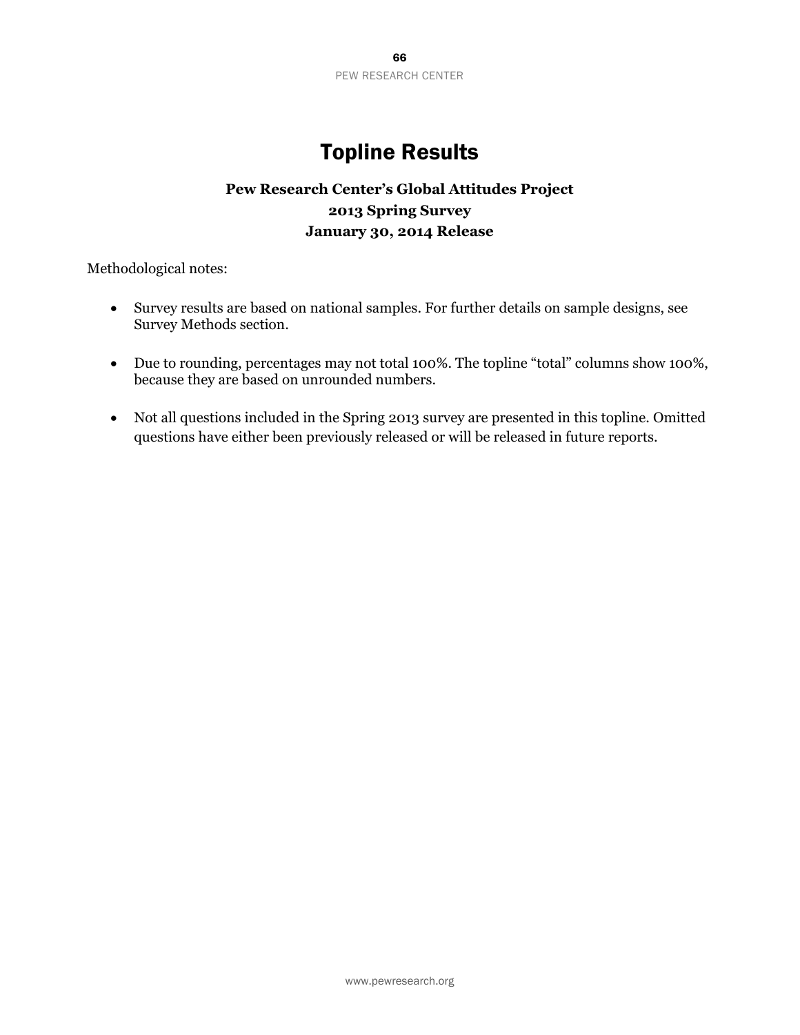

# Topline Results

#### **Pew Research Center's Global Attitudes Project 2013 Spring Survey January 30, 2014 Release**

Methodological notes:

- Survey results are based on national samples. For further details on sample designs, see Survey Methods section.
- Due to rounding, percentages may not total 100%. The topline "total" columns show 100%, because they are based on unrounded numbers.
- Not all questions included in the Spring 2013 survey are presented in this topline. Omitted questions have either been previously released or will be released in future reports.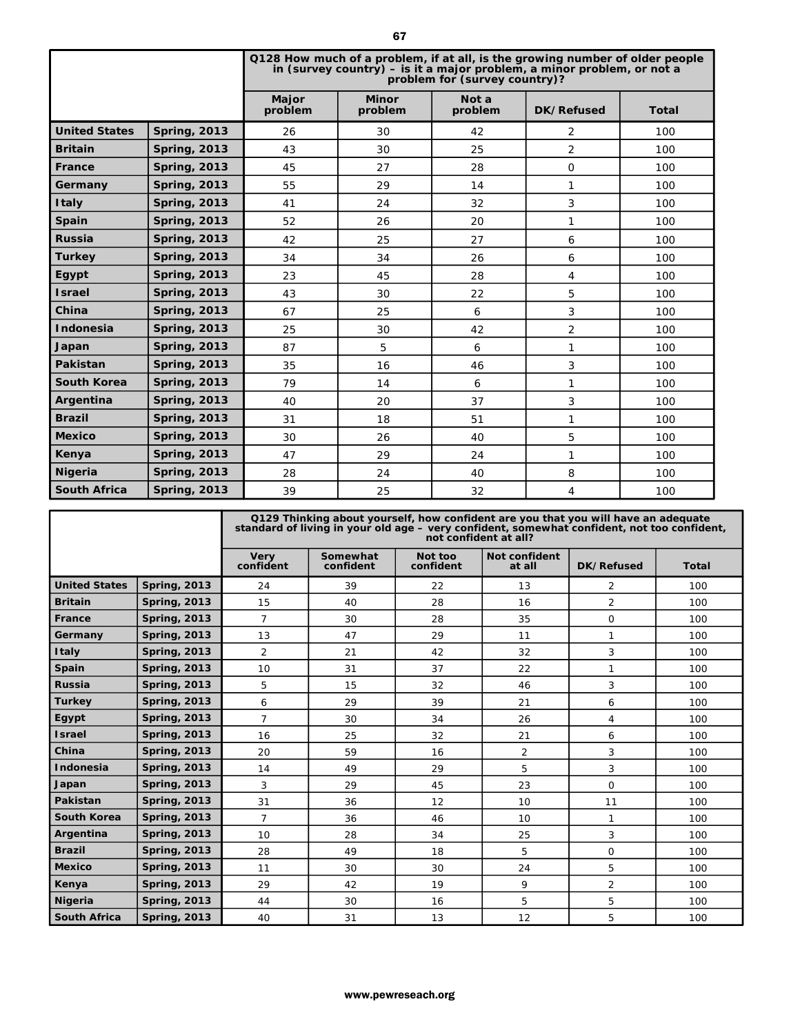|                                             |                                                              |                                                                                                           |         |                                                                                                                                                          | 67                      |                                  |                      |                     |                |     |              |  |
|---------------------------------------------|--------------------------------------------------------------|-----------------------------------------------------------------------------------------------------------|---------|----------------------------------------------------------------------------------------------------------------------------------------------------------|-------------------------|----------------------------------|----------------------|---------------------|----------------|-----|--------------|--|
|                                             |                                                              |                                                                                                           |         | Q128 How much of a problem, if at all, is the growing number of older people<br>in (survey country) $-$ is it a major problem, a minor problem, or not a |                         | problem for (survey country)?    |                      |                     |                |     |              |  |
|                                             |                                                              | Major                                                                                                     | problem |                                                                                                                                                          | <b>Minor</b><br>problem |                                  | Not a<br>problem     |                     | DK/Refused     |     | <b>Total</b> |  |
| <b>United States</b><br><b>Spring, 2013</b> |                                                              | 26                                                                                                        |         |                                                                                                                                                          | 30                      |                                  | 42                   |                     | 2              |     | 100          |  |
| <b>Britain</b>                              | <b>Spring, 2013</b>                                          | 43                                                                                                        |         |                                                                                                                                                          | 30                      |                                  | 25                   |                     | $\overline{2}$ |     | 100          |  |
| France                                      | <b>Spring, 2013</b>                                          | 45                                                                                                        |         | 27                                                                                                                                                       |                         | 28                               |                      | $\overline{0}$      |                | 100 |              |  |
| Germany                                     | <b>Spring, 2013</b>                                          | 55                                                                                                        |         | 29                                                                                                                                                       |                         | 14                               |                      |                     | 1              |     | 100          |  |
| <b>Italy</b>                                | <b>Spring, 2013</b>                                          | 41                                                                                                        |         | 24                                                                                                                                                       |                         | 32                               |                      |                     | 3              |     | 100          |  |
| Spain                                       | <b>Spring, 2013</b>                                          | 52                                                                                                        |         | 26                                                                                                                                                       |                         | 20                               |                      |                     | 1              |     | 100          |  |
| <b>Russia</b>                               | <b>Spring, 2013</b>                                          | 42                                                                                                        |         | 25                                                                                                                                                       |                         | 27                               |                      |                     | 6              |     | 100          |  |
| <b>Turkey</b>                               | <b>Spring, 2013</b>                                          | 34                                                                                                        |         | 34                                                                                                                                                       |                         | 26                               |                      | 6                   |                |     | 100          |  |
| Egypt                                       | <b>Spring, 2013</b>                                          | 23                                                                                                        |         | 45                                                                                                                                                       |                         | 28                               |                      |                     | 4              |     | 100          |  |
| <b>Israel</b>                               | <b>Spring, 2013</b>                                          | 43                                                                                                        |         | 30                                                                                                                                                       |                         | 22                               |                      |                     | 5              |     | 100          |  |
| China                                       | <b>Spring, 2013</b>                                          | 67                                                                                                        |         | 25                                                                                                                                                       |                         | 6                                |                      |                     | 3              |     | 100          |  |
| Indonesia                                   | <b>Spring, 2013</b>                                          | 25                                                                                                        |         | 30                                                                                                                                                       |                         | 42                               |                      |                     | 2              |     | 100          |  |
| Japan                                       | <b>Spring, 2013</b>                                          | 87                                                                                                        |         | 5                                                                                                                                                        |                         | 6                                |                      |                     | 1              |     | 100          |  |
| Pakistan                                    | <b>Spring, 2013</b>                                          | 35                                                                                                        |         | 16                                                                                                                                                       |                         | 46                               |                      |                     | 3              |     | 100          |  |
| <b>South Korea</b>                          | <b>Spring, 2013</b>                                          | 79                                                                                                        |         | 14                                                                                                                                                       |                         | 6                                |                      |                     | $\mathbf{1}$   | 100 |              |  |
| Argentina                                   | <b>Spring, 2013</b>                                          | 40                                                                                                        |         | 20                                                                                                                                                       |                         | 37                               |                      |                     | 3              |     | 100          |  |
| <b>Brazil</b>                               | <b>Spring, 2013</b>                                          | 31                                                                                                        |         |                                                                                                                                                          |                         |                                  |                      |                     | 1              |     |              |  |
| <b>Mexico</b>                               | <b>Spring, 2013</b>                                          |                                                                                                           |         | 18                                                                                                                                                       |                         |                                  | 51                   |                     |                |     | 100          |  |
|                                             |                                                              |                                                                                                           | 30      |                                                                                                                                                          | 26                      |                                  | 40                   |                     | 5              |     | 100          |  |
| Kenya                                       | <b>Spring, 2013</b>                                          | 28                                                                                                        | 47      |                                                                                                                                                          | 29                      |                                  | 24                   |                     | 1              |     | 100          |  |
| <b>South Africa</b>                         | <b>Nigeria</b><br><b>Spring, 2013</b><br><b>Spring, 2013</b> |                                                                                                           |         | 24<br>25                                                                                                                                                 |                         | 40<br>32                         |                      | 8<br>4              |                |     | 100          |  |
|                                             |                                                              | 39                                                                                                        |         |                                                                                                                                                          |                         |                                  |                      |                     |                |     | 100          |  |
|                                             |                                                              | standard of living in your old age – very confident, somewhat confident, not too confident<br><b>Very</b> |         | Q129 Thinking about yourself, how confident are you that you will have an adequate<br>Somewhat                                                           |                         | not confident at all?<br>Not too | <b>Not confident</b> |                     |                |     |              |  |
|                                             |                                                              | confident                                                                                                 |         | confident                                                                                                                                                |                         | confident                        | at all               |                     | DK/Refused     |     | Total        |  |
| <b>United States</b>                        | <b>Spring, 2013</b>                                          | 24                                                                                                        |         | 39                                                                                                                                                       |                         | 22                               | 13                   |                     | 2              |     | 100          |  |
| <b>Britain</b>                              | <b>Spring, 2013</b>                                          | 15                                                                                                        |         | 40                                                                                                                                                       |                         | 28                               |                      | 2<br>16             |                |     | 100          |  |
| France                                      | <b>Spring, 2013</b>                                          | 7                                                                                                         |         | 30                                                                                                                                                       |                         | 28                               |                      | 35<br>0             |                |     | 100          |  |
| Germany                                     | <b>Spring, 2013</b>                                          | 13                                                                                                        |         | 47                                                                                                                                                       |                         | 29<br>11                         |                      | 1                   |                |     | 100          |  |
| <b>Italy</b><br>Spain                       | <b>Spring, 2013</b><br><b>Spring, 2013</b>                   | $\overline{2}$                                                                                            |         | 21                                                                                                                                                       |                         | 42<br>32                         |                      | 3                   |                |     | 100          |  |
| Russia                                      | <b>Spring, 2013</b>                                          | 10<br>5                                                                                                   |         | 31<br>15                                                                                                                                                 |                         | 37<br>22<br>46                   |                      | 1<br>3              |                |     | 100<br>100   |  |
| <b>Turkey</b>                               | <b>Spring, 2013</b>                                          | 6                                                                                                         |         | 29                                                                                                                                                       |                         | 32<br>39                         |                      | 6<br>21             |                |     | 100          |  |
| Egypt                                       | <b>Spring, 2013</b>                                          | $\overline{7}$                                                                                            |         | 30                                                                                                                                                       |                         | 34                               |                      | 26<br>4             |                |     | 100          |  |
| <b>Israel</b>                               | <b>Spring, 2013</b>                                          | 16                                                                                                        |         | 25                                                                                                                                                       |                         | 32                               |                      | 6<br>21             |                |     | 100          |  |
| China                                       | <b>Spring, 2013</b>                                          | 20                                                                                                        |         | 59                                                                                                                                                       |                         | 16                               |                      | $\overline{a}$<br>3 |                |     | 100          |  |
| Indonesia                                   | <b>Spring, 2013</b>                                          | 14                                                                                                        |         | 49                                                                                                                                                       |                         | 29                               |                      | 5<br>3              |                |     | 100          |  |
| Japan                                       | <b>Spring, 2013</b>                                          | 3                                                                                                         |         | 29                                                                                                                                                       |                         | 45                               |                      | 23<br>$\mathsf O$   |                |     | 100          |  |
| Pakistan                                    | <b>Spring, 2013</b>                                          | 31                                                                                                        |         | 36                                                                                                                                                       |                         | 12                               |                      | 11<br>10            |                |     | 100          |  |
| South Korea                                 | <b>Spring, 2013</b>                                          | $\overline{7}$                                                                                            |         | 36                                                                                                                                                       |                         | 46                               |                      | 10<br>1             |                |     | 100          |  |
| Argentina                                   | <b>Spring, 2013</b>                                          | 10                                                                                                        |         | 28                                                                                                                                                       | 34                      |                                  | 25                   |                     | 3              |     | 100          |  |
| <b>Brazil</b>                               | <b>Spring, 2013</b>                                          | 28                                                                                                        |         | 49                                                                                                                                                       |                         | 18                               |                      | 5<br>0              |                |     | 100          |  |
| <b>Mexico</b>                               | <b>Spring, 2013</b>                                          | 11                                                                                                        |         | 30                                                                                                                                                       |                         | 30                               | 24                   |                     | 5              |     | 100          |  |
| Kenya                                       | <b>Spring, 2013</b>                                          | 29                                                                                                        |         | 42                                                                                                                                                       |                         | 19                               | 9                    |                     | $\overline{2}$ |     | 100          |  |
| <b>Nigeria</b>                              | <b>Spring, 2013</b>                                          | 44                                                                                                        |         | 30                                                                                                                                                       |                         | 16                               | 5                    |                     | 5              |     | 100          |  |
| <b>South Africa</b>                         | <b>Spring, 2013</b>                                          | 40                                                                                                        |         | 31                                                                                                                                                       |                         | 13                               | 12                   |                     | 5              |     | 100          |  |
|                                             |                                                              |                                                                                                           |         | www.pewreseach.org                                                                                                                                       |                         |                                  |                      |                     |                |     |              |  |

|                      |                     | Q129 Thinking about yourself, how confident are you that you will have an adequate<br>standard of living in your old age – very confident, somewhat confident, not too confident,<br>not confident at all? |                       |                      |                                |                |              |  |  |
|----------------------|---------------------|------------------------------------------------------------------------------------------------------------------------------------------------------------------------------------------------------------|-----------------------|----------------------|--------------------------------|----------------|--------------|--|--|
|                      |                     | <b>Very</b><br>confident                                                                                                                                                                                   | Somewhat<br>confident | Not too<br>confident | <b>Not confident</b><br>at all | DK/Refused     | <b>Total</b> |  |  |
| <b>United States</b> | <b>Spring, 2013</b> | 24                                                                                                                                                                                                         | 39                    | 22                   | 13                             | $\overline{2}$ | 100          |  |  |
| <b>Britain</b>       | <b>Spring, 2013</b> | 15                                                                                                                                                                                                         | 40                    | 28                   | 16                             | $\overline{2}$ | 100          |  |  |
| <b>France</b>        | <b>Spring, 2013</b> | $\overline{7}$                                                                                                                                                                                             | 30                    | 28                   | 35                             | $\mathbf{O}$   | 100          |  |  |
| Germany              | <b>Spring, 2013</b> | 13                                                                                                                                                                                                         | 47                    | 29                   | 11                             | 1              | 100          |  |  |
| <b>Italy</b>         | <b>Spring, 2013</b> | $\overline{2}$                                                                                                                                                                                             | 21                    | 42                   | 32                             | 3              | 100          |  |  |
| Spain                | <b>Spring, 2013</b> | 10                                                                                                                                                                                                         | 31                    | 37                   | 22                             | 1              | 100          |  |  |
| <b>Russia</b>        | <b>Spring, 2013</b> | 5                                                                                                                                                                                                          | 15                    | 32                   | 46                             | 3              | 100          |  |  |
| <b>Turkey</b>        | <b>Spring, 2013</b> | 6                                                                                                                                                                                                          | 29                    | 39                   | 21                             | 6              | 100          |  |  |
| Egypt                | <b>Spring, 2013</b> | $\overline{7}$                                                                                                                                                                                             | 30                    | 34                   | 26                             | 4              | 100          |  |  |
| <b>Israel</b>        | <b>Spring, 2013</b> | 16                                                                                                                                                                                                         | 25                    | 32                   | 21                             | 6              | 100          |  |  |
| China                | <b>Spring, 2013</b> | 20                                                                                                                                                                                                         | 59                    | 16                   | $\overline{2}$                 | 3              | 100          |  |  |
| <b>Indonesia</b>     | <b>Spring, 2013</b> | 14                                                                                                                                                                                                         | 49                    | 29                   | 5                              | 3              | 100          |  |  |
| Japan                | <b>Spring, 2013</b> | 3                                                                                                                                                                                                          | 29                    | 45                   | 23                             | $\mathbf{O}$   | 100          |  |  |
| Pakistan             | <b>Spring, 2013</b> | 31                                                                                                                                                                                                         | 36                    | 12                   | 10                             | 11             | 100          |  |  |
| <b>South Korea</b>   | <b>Spring, 2013</b> | $\overline{7}$                                                                                                                                                                                             | 36                    | 46                   | 10                             | $\mathbf{1}$   | 100          |  |  |
| Argentina            | <b>Spring, 2013</b> | 10                                                                                                                                                                                                         | 28                    | 34                   | 25                             | 3              | 100          |  |  |
| <b>Brazil</b>        | <b>Spring, 2013</b> | 28                                                                                                                                                                                                         | 49                    | 18                   | 5                              | $\mathbf{O}$   | 100          |  |  |
| <b>Mexico</b>        | <b>Spring, 2013</b> | 11                                                                                                                                                                                                         | 30                    | 30                   | 24                             | 5              | 100          |  |  |
| Kenya                | <b>Spring, 2013</b> | 29                                                                                                                                                                                                         | 42                    | 19                   | 9                              | $\overline{2}$ | 100          |  |  |
| Nigeria              | <b>Spring, 2013</b> | 44                                                                                                                                                                                                         | 30                    | 16                   | 5                              | 5              | 100          |  |  |
| <b>South Africa</b>  | <b>Spring, 2013</b> | 40                                                                                                                                                                                                         | 31                    | 13                   | 12                             | 5              | 100          |  |  |

67